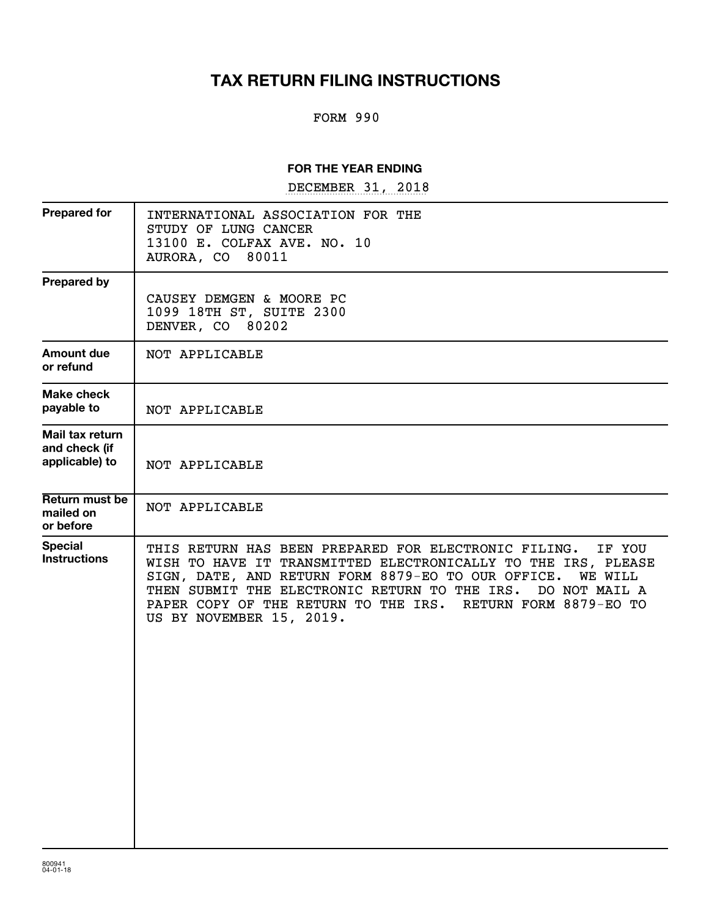## **TAX RETURN FILING INSTRUCTIONS**

### FORM 990

### **FOR THE YEAR ENDING**

DECEMBER 31, 2018

| <b>Prepared for</b>                                | INTERNATIONAL ASSOCIATION FOR THE<br>STUDY OF LUNG CANCER<br>13100 E. COLFAX AVE. NO. 10<br>80011<br>AURORA, CO                                                                                                                                                                                                                                               |
|----------------------------------------------------|---------------------------------------------------------------------------------------------------------------------------------------------------------------------------------------------------------------------------------------------------------------------------------------------------------------------------------------------------------------|
| <b>Prepared by</b>                                 | CAUSEY DEMGEN & MOORE PC<br>1099 18TH ST, SUITE 2300<br>DENVER, CO 80202                                                                                                                                                                                                                                                                                      |
| <b>Amount due</b><br>or refund                     | NOT APPLICABLE                                                                                                                                                                                                                                                                                                                                                |
| Make check<br>payable to                           | NOT APPLICABLE                                                                                                                                                                                                                                                                                                                                                |
| Mail tax return<br>and check (if<br>applicable) to | NOT APPLICABLE                                                                                                                                                                                                                                                                                                                                                |
| Return must be<br>mailed on<br>or before           | NOT APPLICABLE                                                                                                                                                                                                                                                                                                                                                |
| <b>Special</b><br><b>Instructions</b>              | THIS RETURN HAS BEEN PREPARED FOR ELECTRONIC FILING.<br>IF YOU<br>WISH TO HAVE IT TRANSMITTED ELECTRONICALLY TO THE IRS, PLEASE<br>SIGN, DATE, AND RETURN FORM 8879-EO TO OUR OFFICE.<br>WE WILL<br>THEN SUBMIT THE ELECTRONIC RETURN TO THE IRS.<br>DO NOT MAIL A<br>PAPER COPY OF THE RETURN TO THE IRS. RETURN FORM 8879-EO TO<br>US BY NOVEMBER 15, 2019. |
|                                                    |                                                                                                                                                                                                                                                                                                                                                               |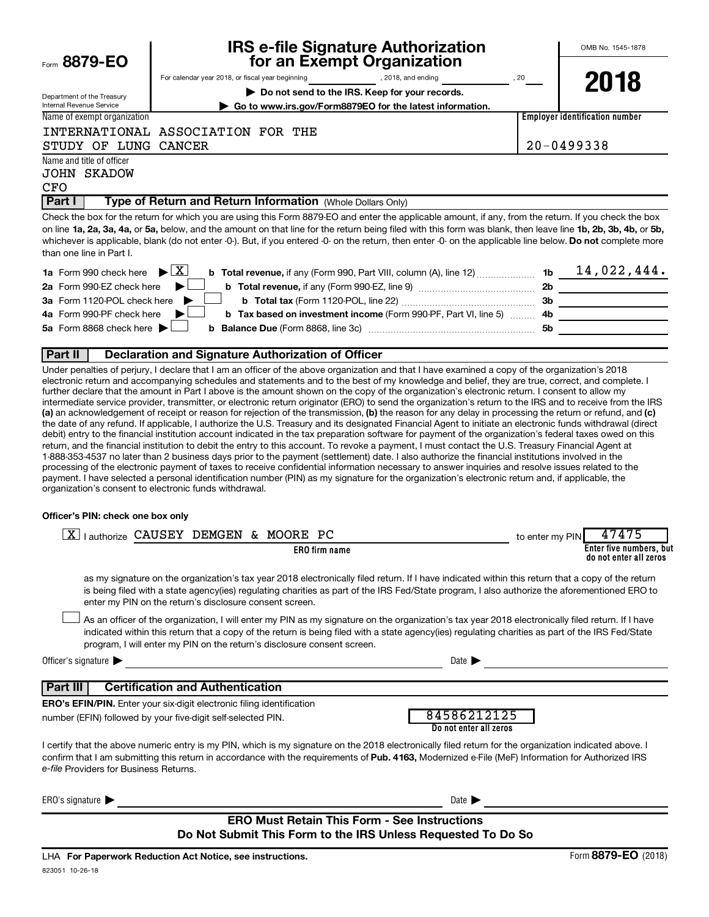Form  $8879 - E<sub>0</sub>$ 

# **IRS e-file Signature Authorization**<br>**687 For an Exempt Organization**

OMB No. 1545-1878

|                                                                     | For calendar year 2018, or fiscal year beginning                                                                                                              | , 2018, and ending                                                                  | , 20           | 2018                                  |
|---------------------------------------------------------------------|---------------------------------------------------------------------------------------------------------------------------------------------------------------|-------------------------------------------------------------------------------------|----------------|---------------------------------------|
| Department of the Treasury                                          |                                                                                                                                                               | Do not send to the IRS. Keep for your records.                                      |                |                                       |
| Internal Revenue Service                                            |                                                                                                                                                               | Go to www.irs.gov/Form8879EO for the latest information.                            |                |                                       |
| Name of exempt organization                                         |                                                                                                                                                               |                                                                                     |                | <b>Employer identification number</b> |
|                                                                     | INTERNATIONAL ASSOCIATION FOR THE                                                                                                                             |                                                                                     |                |                                       |
| STUDY OF LUNG CANCER                                                |                                                                                                                                                               |                                                                                     |                | $20 - 0499338$                        |
| Name and title of officer                                           |                                                                                                                                                               |                                                                                     |                |                                       |
| JOHN SKADOW                                                         |                                                                                                                                                               |                                                                                     |                |                                       |
| CFO                                                                 |                                                                                                                                                               |                                                                                     |                |                                       |
| Part I                                                              | Type of Return and Return Information (Whole Dollars Only)                                                                                                    |                                                                                     |                |                                       |
|                                                                     | Check the box for the return for which you are using this Form 8879-EO and enter the applicable amount, if any, from the return. If you check the box         |                                                                                     |                |                                       |
|                                                                     | on line 1a, 2a, 3a, 4a, or 5a, below, and the amount on that line for the return being filed with this form was blank, then leave line 1b, 2b, 3b, 4b, or 5b, |                                                                                     |                |                                       |
|                                                                     | whichever is applicable, blank (do not enter -0-). But, if you entered -0- on the return, then enter -0- on the applicable line below. Do not complete more   |                                                                                     |                |                                       |
| than one line in Part I.                                            |                                                                                                                                                               |                                                                                     |                |                                       |
| 1a Form 990 check here $\triangleright \lfloor \frac{X}{X} \rfloor$ |                                                                                                                                                               |                                                                                     | 1 <sub>b</sub> | 14,022,444.                           |
| 2a Form 990-EZ check here                                           |                                                                                                                                                               |                                                                                     | 2 <sub>b</sub> |                                       |
| 3a Form 1120-POL check here                                         |                                                                                                                                                               |                                                                                     | 3b             |                                       |
| 4a Form 990-PF check here                                           |                                                                                                                                                               | <b>b</b> Tax based on investment income (Form 990-PF, Part VI, line 5) <i>manni</i> | 4b             |                                       |
| 5a Form 8868 check here                                             | b                                                                                                                                                             |                                                                                     | 5b             |                                       |

#### **Part II Declaration and Signature Authorization of Officer**

(a) an acknowledgement of receipt or reason for rejection of the transmission, (b) the reason for any delay in processing the return or refund, and (c) Under penalties of perjury, I declare that I am an officer of the above organization and that I have examined a copy of the organization's 2018 electronic return and accompanying schedules and statements and to the best of my knowledge and belief, they are true, correct, and complete. I further declare that the amount in Part I above is the amount shown on the copy of the organization's electronic return. I consent to allow my intermediate service provider, transmitter, or electronic return originator (ERO) to send the organization's return to the IRS and to receive from the IRS the date of any refund. If applicable, I authorize the U.S. Treasury and its designated Financial Agent to initiate an electronic funds withdrawal (direct debit) entry to the financial institution account indicated in the tax preparation software for payment of the organization's federal taxes owed on this return, and the financial institution to debit the entry to this account. To revoke a payment, I must contact the U.S. Treasury Financial Agent at 1-888-353-4537 no later than 2 business days prior to the payment (settlement) date. I also authorize the financial institutions involved in the processing of the electronic payment of taxes to receive confidential information necessary to answer inquiries and resolve issues related to the payment. I have selected a personal identification number (PIN) as my signature for the organization's electronic return and, if applicable, the organization's consent to electronic funds withdrawal.

#### **Officer's PIN: check one box only**

| I authorize CAUSEY DEMGEN & MOORE PC<br>х                                                                                                                                                                                                                                                                                                                                        | to enter my PIN | 47475                                             |
|----------------------------------------------------------------------------------------------------------------------------------------------------------------------------------------------------------------------------------------------------------------------------------------------------------------------------------------------------------------------------------|-----------------|---------------------------------------------------|
| <b>ERO</b> firm name                                                                                                                                                                                                                                                                                                                                                             |                 | Enter five numbers, but<br>do not enter all zeros |
| as my signature on the organization's tax year 2018 electronically filed return. If I have indicated within this return that a copy of the return<br>is being filed with a state agency(ies) regulating charities as part of the IRS Fed/State program, I also authorize the aforementioned ERO to<br>enter my PIN on the return's disclosure consent screen.                    |                 |                                                   |
| As an officer of the organization, I will enter my PIN as my signature on the organization's tax year 2018 electronically filed return. If I have<br>indicated within this return that a copy of the return is being filed with a state agency(ies) regulating charities as part of the IRS Fed/State<br>program, I will enter my PIN on the return's disclosure consent screen. |                 |                                                   |
| Officer's signature $\blacktriangleright$<br>Date $\blacktriangleright$                                                                                                                                                                                                                                                                                                          |                 |                                                   |
| <b>Certification and Authentication</b><br>Part III                                                                                                                                                                                                                                                                                                                              |                 |                                                   |
| <b>ERO's EFIN/PIN.</b> Enter your six-digit electronic filing identification                                                                                                                                                                                                                                                                                                     |                 |                                                   |
| 84586212125<br>number (EFIN) followed by your five-digit self-selected PIN.<br>Do not enter all zeros                                                                                                                                                                                                                                                                            |                 |                                                   |
| I certify that the above numeric entry is my PIN, which is my signature on the 2018 electronically filed return for the organization indicated above. I<br>confirm that I am submitting this return in accordance with the requirements of Pub. 4163, Modernized e-File (MeF) Information for Authorized IRS<br>e-file Providers for Business Returns.                           |                 |                                                   |
| ERO's signature $\blacktriangleright$<br>Date $\blacktriangleright$                                                                                                                                                                                                                                                                                                              |                 |                                                   |
| <b>ERO Must Retain This Form - See Instructions</b><br>Do Not Submit This Form to the IRS Unless Requested To Do So                                                                                                                                                                                                                                                              |                 |                                                   |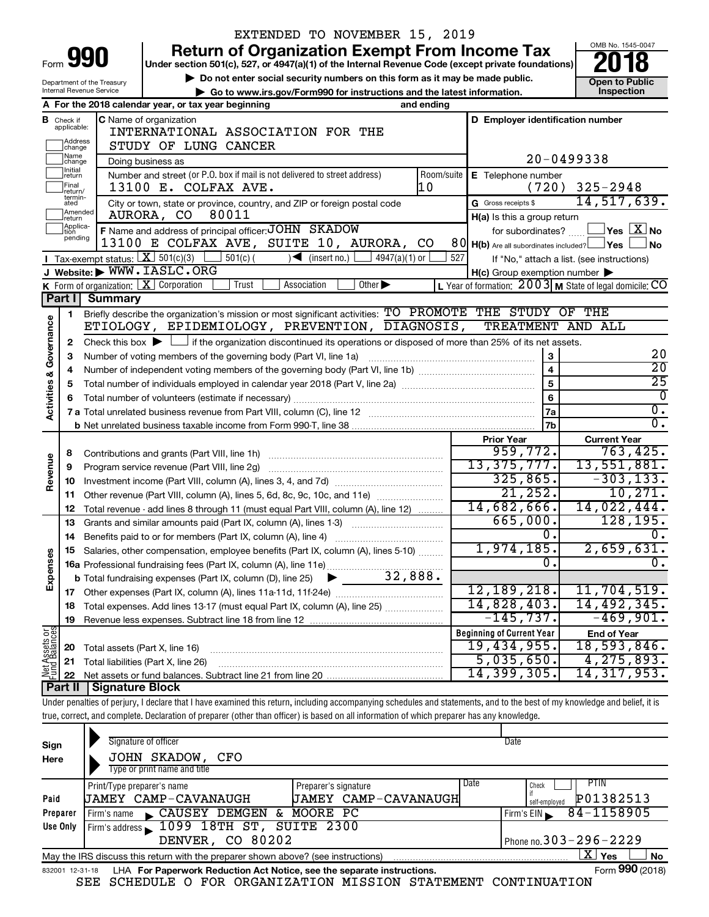|                                       |                                                                                                    |                                       | EXTENDED TO NOVEMBER 15, 2019                                                                                                                                                                                         |                                                           |                                            |  |  |  |
|---------------------------------------|----------------------------------------------------------------------------------------------------|---------------------------------------|-----------------------------------------------------------------------------------------------------------------------------------------------------------------------------------------------------------------------|-----------------------------------------------------------|--------------------------------------------|--|--|--|
|                                       |                                                                                                    | 990                                   | <b>Return of Organization Exempt From Income Tax</b>                                                                                                                                                                  |                                                           | OMB No. 1545-0047                          |  |  |  |
| Form                                  | Under section 501(c), 527, or 4947(a)(1) of the Internal Revenue Code (except private foundations) |                                       |                                                                                                                                                                                                                       |                                                           |                                            |  |  |  |
|                                       | Department of the Treasury                                                                         | <b>Open to Public</b>                 |                                                                                                                                                                                                                       |                                                           |                                            |  |  |  |
|                                       | Internal Revenue Service                                                                           | Inspection                            |                                                                                                                                                                                                                       |                                                           |                                            |  |  |  |
|                                       |                                                                                                    |                                       | A For the 2018 calendar year, or tax year beginning<br>and ending                                                                                                                                                     |                                                           |                                            |  |  |  |
|                                       | <b>B</b> Check if<br>applicable:                                                                   |                                       | C Name of organization<br>INTERNATIONAL ASSOCIATION FOR THE                                                                                                                                                           | D Employer identification number                          |                                            |  |  |  |
|                                       | Address                                                                                            |                                       | STUDY OF LUNG CANCER                                                                                                                                                                                                  |                                                           |                                            |  |  |  |
|                                       | change<br>Name<br>change                                                                           |                                       | Doing business as                                                                                                                                                                                                     |                                                           | 20-0499338                                 |  |  |  |
|                                       | Initial<br>return                                                                                  |                                       | Number and street (or P.O. box if mail is not delivered to street address)<br>Room/suite                                                                                                                              | E Telephone number                                        |                                            |  |  |  |
|                                       | Final<br>return/                                                                                   |                                       | 13100 E. COLFAX AVE.<br>10                                                                                                                                                                                            | (720)                                                     | $325 - 2948$                               |  |  |  |
|                                       | termin-<br>ated                                                                                    |                                       | City or town, state or province, country, and ZIP or foreign postal code                                                                                                                                              | G Gross receipts \$                                       | 14,517,639.                                |  |  |  |
|                                       | Amended<br>return                                                                                  |                                       | 80011<br>AURORA, CO                                                                                                                                                                                                   | H(a) Is this a group return                               |                                            |  |  |  |
|                                       | Applica-<br>tion                                                                                   |                                       | F Name and address of principal officer: JOHN SKADOW                                                                                                                                                                  | for subordinates?                                         | $\Box$ Yes $\Box X$ No                     |  |  |  |
|                                       | pending                                                                                            |                                       | 13100 E COLFAX AVE, SUITE 10, AURORA, CO                                                                                                                                                                              | 8 0 H(b) Are all subordinates included? Ves               | <b>No</b>                                  |  |  |  |
|                                       |                                                                                                    | Tax-exempt status: $X \mid 501(c)(3)$ | $501(c)$ (<br>$\sqrt{\frac{1}{1}}$ (insert no.)<br>$4947(a)(1)$ or                                                                                                                                                    | 527                                                       | If "No," attach a list. (see instructions) |  |  |  |
|                                       |                                                                                                    |                                       | J Website: WWW. IASLC.ORG                                                                                                                                                                                             | $H(c)$ Group exemption number $\blacktriangleright$       |                                            |  |  |  |
|                                       |                                                                                                    |                                       | K Form of organization: X Corporation<br>Other $\blacktriangleright$<br>Trust<br>Association                                                                                                                          | L Year of formation: $2003$ M State of legal domicile: CO |                                            |  |  |  |
|                                       |                                                                                                    | Part I Summary                        |                                                                                                                                                                                                                       |                                                           |                                            |  |  |  |
|                                       | 1                                                                                                  |                                       | Briefly describe the organization's mission or most significant activities: TO PROMOTE THE STUDY OF THE<br>ETIOLOGY, EPIDEMIOLOGY, PREVENTION, DIAGNOSIS,                                                             | TREATMENT AND ALL                                         |                                            |  |  |  |
|                                       | 2                                                                                                  |                                       |                                                                                                                                                                                                                       |                                                           |                                            |  |  |  |
|                                       | з                                                                                                  |                                       | Check this box $\blacktriangleright$ $\Box$ if the organization discontinued its operations or disposed of more than 25% of its net assets.<br>3<br>Number of voting members of the governing body (Part VI, line 1a) |                                                           |                                            |  |  |  |
|                                       | 4                                                                                                  |                                       |                                                                                                                                                                                                                       | $\overline{\mathbf{4}}$                                   | 20<br>$\overline{20}$                      |  |  |  |
| <b>Activities &amp; Governance</b>    | 5                                                                                                  |                                       |                                                                                                                                                                                                                       | 5                                                         | $\overline{25}$                            |  |  |  |
|                                       | 6                                                                                                  |                                       |                                                                                                                                                                                                                       | 6                                                         | 0                                          |  |  |  |
|                                       |                                                                                                    |                                       |                                                                                                                                                                                                                       | 7a                                                        | $\overline{0}$ .                           |  |  |  |
|                                       |                                                                                                    |                                       |                                                                                                                                                                                                                       | 7b                                                        | $\overline{0}$ .                           |  |  |  |
|                                       |                                                                                                    |                                       |                                                                                                                                                                                                                       | <b>Prior Year</b>                                         | <b>Current Year</b>                        |  |  |  |
|                                       | 8                                                                                                  |                                       | Contributions and grants (Part VIII, line 1h)                                                                                                                                                                         | 959,772.                                                  | 763,425.                                   |  |  |  |
| Revenue                               | 9                                                                                                  |                                       | Program service revenue (Part VIII, line 2g)                                                                                                                                                                          | 13, 375, 777.                                             | 13,551,881.                                |  |  |  |
|                                       | 10                                                                                                 |                                       |                                                                                                                                                                                                                       | 325,865.                                                  | $-303, 133.$                               |  |  |  |
|                                       | 11                                                                                                 |                                       | Other revenue (Part VIII, column (A), lines 5, 6d, 8c, 9c, 10c, and 11e)                                                                                                                                              | 21, 252.<br>14,682,666.                                   | 10,271.<br>14,022,444.                     |  |  |  |
|                                       | 12                                                                                                 |                                       | Total revenue - add lines 8 through 11 (must equal Part VIII, column (A), line 12)                                                                                                                                    | 665,000.                                                  | 128, 195.                                  |  |  |  |
|                                       | 13<br>14                                                                                           |                                       | Grants and similar amounts paid (Part IX, column (A), lines 1-3)<br>Benefits paid to or for members (Part IX, column (A), line 4)                                                                                     | О.                                                        | о.                                         |  |  |  |
|                                       |                                                                                                    |                                       | 15 Salaries, other compensation, employee benefits (Part IX, column (A), lines 5-10)                                                                                                                                  | 1,974,185.                                                | $2,659,631$ .                              |  |  |  |
|                                       |                                                                                                    |                                       |                                                                                                                                                                                                                       | 0                                                         | Ο.                                         |  |  |  |
| Expenses                              |                                                                                                    |                                       |                                                                                                                                                                                                                       |                                                           |                                            |  |  |  |
|                                       | 17                                                                                                 |                                       |                                                                                                                                                                                                                       | 12, 189, 218.                                             | 11,704,519.                                |  |  |  |
|                                       | 18                                                                                                 |                                       | Total expenses. Add lines 13-17 (must equal Part IX, column (A), line 25)                                                                                                                                             | 14,828,403.                                               | 14,492,345.                                |  |  |  |
|                                       | 19                                                                                                 |                                       |                                                                                                                                                                                                                       | $-145, 737.$                                              | $-469,901.$                                |  |  |  |
|                                       |                                                                                                    |                                       |                                                                                                                                                                                                                       | <b>Beginning of Current Year</b>                          | <b>End of Year</b>                         |  |  |  |
|                                       | 20                                                                                                 | Total assets (Part X, line 16)        |                                                                                                                                                                                                                       | 19,434,955.                                               | 18,593,846.                                |  |  |  |
| <b>Net Assets or</b><br>Fund Balances | 21                                                                                                 |                                       | Total liabilities (Part X, line 26)                                                                                                                                                                                   | 5,035,650.                                                | 4,275,893.                                 |  |  |  |
|                                       | 22                                                                                                 |                                       |                                                                                                                                                                                                                       | 14, 399, 305.                                             | 14,317,953.                                |  |  |  |
|                                       | <b>Part II</b>                                                                                     | Signature Block                       | Under penalties of perjury, I declare that I have examined this return, including accompanying schedules and statements, and to the best of my knowledge and belief, it is                                            |                                                           |                                            |  |  |  |
|                                       |                                                                                                    |                                       | true, correct, and complete. Declaration of preparer (other than officer) is based on all information of which preparer has any knowledge.                                                                            |                                                           |                                            |  |  |  |
|                                       |                                                                                                    |                                       |                                                                                                                                                                                                                       |                                                           |                                            |  |  |  |
|                                       |                                                                                                    |                                       | Cianature of officer                                                                                                                                                                                                  | <b>D</b> ate                                              |                                            |  |  |  |

| Sign<br>Here | Signature of officer<br>JOHN SKADOW,<br>CFO<br>Type or print name and title                                  |                              | Date                       |  |  |  |  |
|--------------|--------------------------------------------------------------------------------------------------------------|------------------------------|----------------------------|--|--|--|--|
|              | Print/Type preparer's name                                                                                   | Date<br>Preparer's signature | PTIN<br>Check              |  |  |  |  |
| Paid         | JAMEY CAMP-CAVANAUGH                                                                                         | JAMEY CAMP-CAVANAUGH         | P01382513<br>self-emploved |  |  |  |  |
| Preparer     | CAUSEY DEMGEN & MOORE PC<br>Firm's name                                                                      |                              | 84-1158905<br>Firm's $EIN$ |  |  |  |  |
| Use Only     | Firm's address 1099 18TH ST, SUITE 2300                                                                      |                              |                            |  |  |  |  |
|              | Phone no. $303 - 296 - 2229$<br>DENVER, CO 80202                                                             |                              |                            |  |  |  |  |
|              | x<br>Yes<br><b>No</b><br>May the IRS discuss this return with the preparer shown above? (see instructions)   |                              |                            |  |  |  |  |
|              | Form 990 (2018)<br>LHA For Paperwork Reduction Act Notice, see the separate instructions.<br>832001 12-31-18 |                              |                            |  |  |  |  |

SEE SCHEDULE O FOR ORGANIZATION MISSION STATEMENT CONTINUATION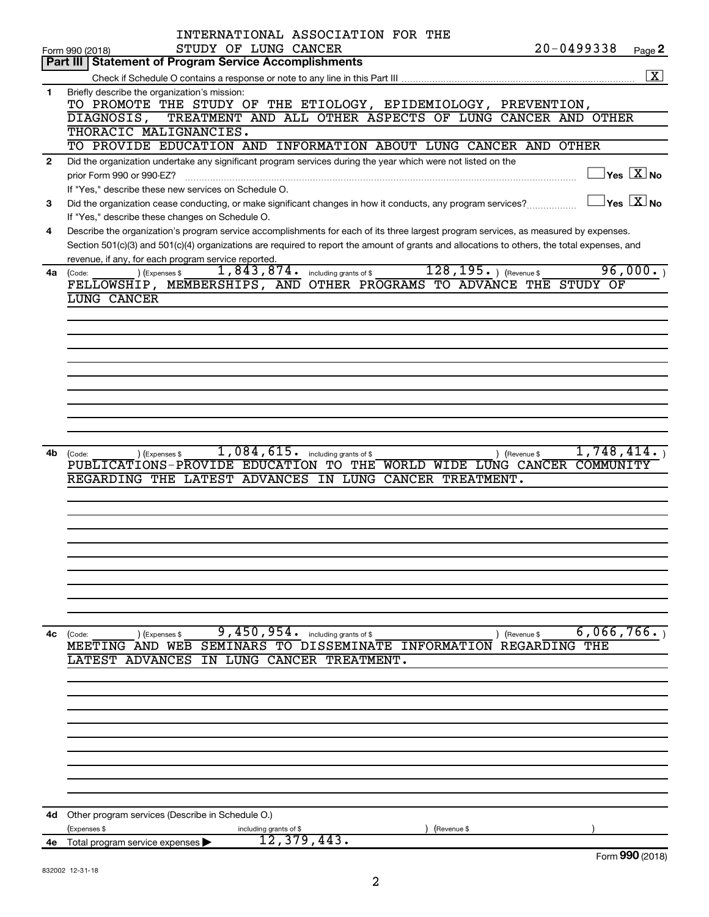|              | INTERNATIONAL ASSOCIATION FOR THE<br>20-0499338<br>STUDY OF LUNG CANCER<br>Page 2<br>Form 990 (2018)<br><b>Part III   Statement of Program Service Accomplishments</b> |
|--------------|------------------------------------------------------------------------------------------------------------------------------------------------------------------------|
|              | $\overline{\mathbf{x}}$                                                                                                                                                |
| $\mathbf{1}$ | Briefly describe the organization's mission:<br>TO PROMOTE THE STUDY OF THE ETIOLOGY, EPIDEMIOLOGY, PREVENTION,                                                        |
|              | DIAGNOSIS, TREATMENT AND ALL OTHER ASPECTS OF LUNG CANCER AND OTHER                                                                                                    |
|              | THORACIC MALIGNANCIES.                                                                                                                                                 |
|              | TO PROVIDE EDUCATION AND INFORMATION ABOUT LUNG CANCER AND OTHER                                                                                                       |
| $\mathbf{2}$ | Did the organization undertake any significant program services during the year which were not listed on the                                                           |
|              | $\sqrt{}$ Yes $\sqrt{ \ \overline{\mathrm{X}}}$ No<br>prior Form 990 or 990-EZ?                                                                                        |
|              | If "Yes," describe these new services on Schedule O.                                                                                                                   |
| 3            | $\vert$ Yes $\vert$ $\mathrm{X}$ $\vert$ No<br>Did the organization cease conducting, or make significant changes in how it conducts, any program services?            |
|              | If "Yes," describe these changes on Schedule O.                                                                                                                        |
| 4            | Describe the organization's program service accomplishments for each of its three largest program services, as measured by expenses.                                   |
|              | Section 501(c)(3) and 501(c)(4) organizations are required to report the amount of grants and allocations to others, the total expenses, and                           |
| 4a           | revenue, if any, for each program service reported.<br>128, 195. ) (Revenue \$<br>96,000.<br>1,843,874.<br>) (Expenses \$<br>including grants of \$<br>(Code:          |
|              | FELLOWSHIP, MEMBERSHIPS, AND OTHER PROGRAMS TO ADVANCE THE STUDY OF                                                                                                    |
|              | LUNG CANCER                                                                                                                                                            |
|              |                                                                                                                                                                        |
|              |                                                                                                                                                                        |
|              |                                                                                                                                                                        |
|              |                                                                                                                                                                        |
|              |                                                                                                                                                                        |
|              |                                                                                                                                                                        |
|              |                                                                                                                                                                        |
|              |                                                                                                                                                                        |
|              |                                                                                                                                                                        |
|              | 1,084,615.<br>1,748,414.                                                                                                                                               |
| 4b.          | including grants of \$<br>) (Revenue \$<br>(Expenses \$<br>(Code:<br>PUBLICATIONS-PROVIDE EDUCATION TO THE WORLD WIDE LUNG CANCER COMMUNITY                            |
|              | REGARDING THE LATEST ADVANCES IN LUNG<br>CANCER TREATMENT.                                                                                                             |
|              |                                                                                                                                                                        |
|              |                                                                                                                                                                        |
|              |                                                                                                                                                                        |
|              |                                                                                                                                                                        |
|              |                                                                                                                                                                        |
|              |                                                                                                                                                                        |
|              |                                                                                                                                                                        |
|              |                                                                                                                                                                        |
|              |                                                                                                                                                                        |
|              | 9,450,954. including grants of \$                                                                                                                                      |
| 4с           | 6,066,766.<br>(Code:<br>(Expenses \$<br>) (Revenue \$<br>MEETING AND WEB SEMINARS TO DISSEMINATE INFORMATION<br>REGARDING<br>THE                                       |
|              | LATEST ADVANCES IN LUNG CANCER TREATMENT.                                                                                                                              |
|              |                                                                                                                                                                        |
|              |                                                                                                                                                                        |
|              |                                                                                                                                                                        |
|              |                                                                                                                                                                        |
|              |                                                                                                                                                                        |
|              |                                                                                                                                                                        |
|              |                                                                                                                                                                        |
|              |                                                                                                                                                                        |
|              |                                                                                                                                                                        |
|              |                                                                                                                                                                        |
| 4d           | Other program services (Describe in Schedule O.)                                                                                                                       |
| 4е           | (Expenses \$<br>including grants of \$<br>(Revenue \$<br>12, 379, 443.<br>Total program service expenses                                                               |
|              | Form 990 (2018)                                                                                                                                                        |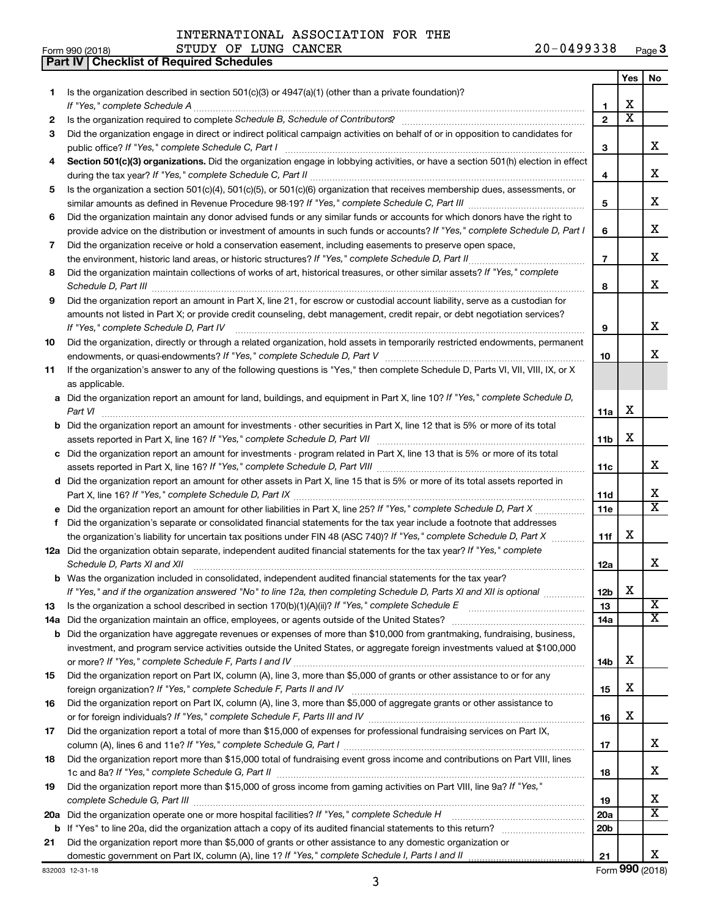**Part IV Checklist of Required Schedules**

|    |                                                                                                                                                                                                                                             |                 | Yes                          | No                      |
|----|---------------------------------------------------------------------------------------------------------------------------------------------------------------------------------------------------------------------------------------------|-----------------|------------------------------|-------------------------|
| 1. | Is the organization described in section 501(c)(3) or 4947(a)(1) (other than a private foundation)?                                                                                                                                         |                 |                              |                         |
|    |                                                                                                                                                                                                                                             | 1               | х<br>$\overline{\textbf{x}}$ |                         |
| 2  | Is the organization required to complete Schedule B, Schedule of Contributors? [11] The organization required to complete Schedule B, Schedule of Contributors?                                                                             | $\overline{2}$  |                              |                         |
| 3  | Did the organization engage in direct or indirect political campaign activities on behalf of or in opposition to candidates for                                                                                                             |                 |                              | x                       |
|    |                                                                                                                                                                                                                                             | 3               |                              |                         |
| 4  | Section 501(c)(3) organizations. Did the organization engage in lobbying activities, or have a section 501(h) election in effect                                                                                                            | 4               |                              | x                       |
| 5  | Is the organization a section 501(c)(4), 501(c)(5), or 501(c)(6) organization that receives membership dues, assessments, or                                                                                                                |                 |                              |                         |
|    |                                                                                                                                                                                                                                             | 5               |                              | x                       |
| 6  | Did the organization maintain any donor advised funds or any similar funds or accounts for which donors have the right to                                                                                                                   |                 |                              |                         |
|    | provide advice on the distribution or investment of amounts in such funds or accounts? If "Yes," complete Schedule D, Part I                                                                                                                | 6               |                              | x                       |
| 7  | Did the organization receive or hold a conservation easement, including easements to preserve open space,                                                                                                                                   |                 |                              |                         |
|    |                                                                                                                                                                                                                                             | $\overline{7}$  |                              | х                       |
| 8  | Did the organization maintain collections of works of art, historical treasures, or other similar assets? If "Yes," complete                                                                                                                |                 |                              |                         |
|    |                                                                                                                                                                                                                                             | 8               |                              | x                       |
| 9  | Did the organization report an amount in Part X, line 21, for escrow or custodial account liability, serve as a custodian for                                                                                                               |                 |                              |                         |
|    | amounts not listed in Part X; or provide credit counseling, debt management, credit repair, or debt negotiation services?                                                                                                                   |                 |                              |                         |
|    | If "Yes," complete Schedule D, Part IV                                                                                                                                                                                                      | 9               |                              | х                       |
| 10 | Did the organization, directly or through a related organization, hold assets in temporarily restricted endowments, permanent                                                                                                               |                 |                              |                         |
|    |                                                                                                                                                                                                                                             | 10              |                              | x                       |
| 11 | If the organization's answer to any of the following questions is "Yes," then complete Schedule D, Parts VI, VII, VIII, IX, or X                                                                                                            |                 |                              |                         |
|    | as applicable.                                                                                                                                                                                                                              |                 |                              |                         |
|    | a Did the organization report an amount for land, buildings, and equipment in Part X, line 10? If "Yes," complete Schedule D,<br>Part VI                                                                                                    | 11a             | X                            |                         |
|    | <b>b</b> Did the organization report an amount for investments - other securities in Part X, line 12 that is 5% or more of its total                                                                                                        |                 |                              |                         |
|    |                                                                                                                                                                                                                                             | 11b             | X                            |                         |
|    | c Did the organization report an amount for investments - program related in Part X, line 13 that is 5% or more of its total                                                                                                                |                 |                              |                         |
|    |                                                                                                                                                                                                                                             | 11c             |                              | x                       |
|    | d Did the organization report an amount for other assets in Part X, line 15 that is 5% or more of its total assets reported in                                                                                                              |                 |                              |                         |
|    |                                                                                                                                                                                                                                             | 11d             |                              | х                       |
|    |                                                                                                                                                                                                                                             | 11e             |                              | $\overline{\text{X}}$   |
| f  | Did the organization's separate or consolidated financial statements for the tax year include a footnote that addresses                                                                                                                     |                 |                              |                         |
|    | the organization's liability for uncertain tax positions under FIN 48 (ASC 740)? If "Yes," complete Schedule D, Part X                                                                                                                      | 11f             | х                            |                         |
|    | 12a Did the organization obtain separate, independent audited financial statements for the tax year? If "Yes," complete                                                                                                                     |                 |                              |                         |
|    | Schedule D, Parts XI and XII                                                                                                                                                                                                                | 12a             |                              | x                       |
|    | <b>b</b> Was the organization included in consolidated, independent audited financial statements for the tax year?<br>If "Yes," and if the organization answered "No" to line 12a, then completing Schedule D, Parts XI and XII is optional | 12 <sub>b</sub> | X                            |                         |
|    |                                                                                                                                                                                                                                             | 13              |                              | $\overline{\textbf{X}}$ |
| 13 |                                                                                                                                                                                                                                             | 14a             |                              | $\mathbf{X}$            |
|    | <b>b</b> Did the organization have aggregate revenues or expenses of more than \$10,000 from grantmaking, fundraising, business,                                                                                                            |                 |                              |                         |
|    | investment, and program service activities outside the United States, or aggregate foreign investments valued at \$100,000                                                                                                                  |                 |                              |                         |
|    |                                                                                                                                                                                                                                             | 14b             | х                            |                         |
| 15 | Did the organization report on Part IX, column (A), line 3, more than \$5,000 of grants or other assistance to or for any                                                                                                                   |                 |                              |                         |
|    |                                                                                                                                                                                                                                             | 15              | х                            |                         |
| 16 | Did the organization report on Part IX, column (A), line 3, more than \$5,000 of aggregate grants or other assistance to                                                                                                                    |                 |                              |                         |
|    |                                                                                                                                                                                                                                             | 16              | X                            |                         |
| 17 | Did the organization report a total of more than \$15,000 of expenses for professional fundraising services on Part IX,                                                                                                                     |                 |                              |                         |
|    |                                                                                                                                                                                                                                             | 17              |                              | x                       |
| 18 | Did the organization report more than \$15,000 total of fundraising event gross income and contributions on Part VIII, lines                                                                                                                |                 |                              | x                       |
| 19 | Did the organization report more than \$15,000 of gross income from gaming activities on Part VIII, line 9a? If "Yes,"                                                                                                                      | 18              |                              |                         |
|    |                                                                                                                                                                                                                                             | 19              |                              | х                       |
|    |                                                                                                                                                                                                                                             | <b>20a</b>      |                              | X                       |
|    |                                                                                                                                                                                                                                             | 20 <sub>b</sub> |                              |                         |
| 21 | Did the organization report more than \$5,000 of grants or other assistance to any domestic organization or                                                                                                                                 |                 |                              |                         |
|    |                                                                                                                                                                                                                                             | 21              |                              | x                       |

3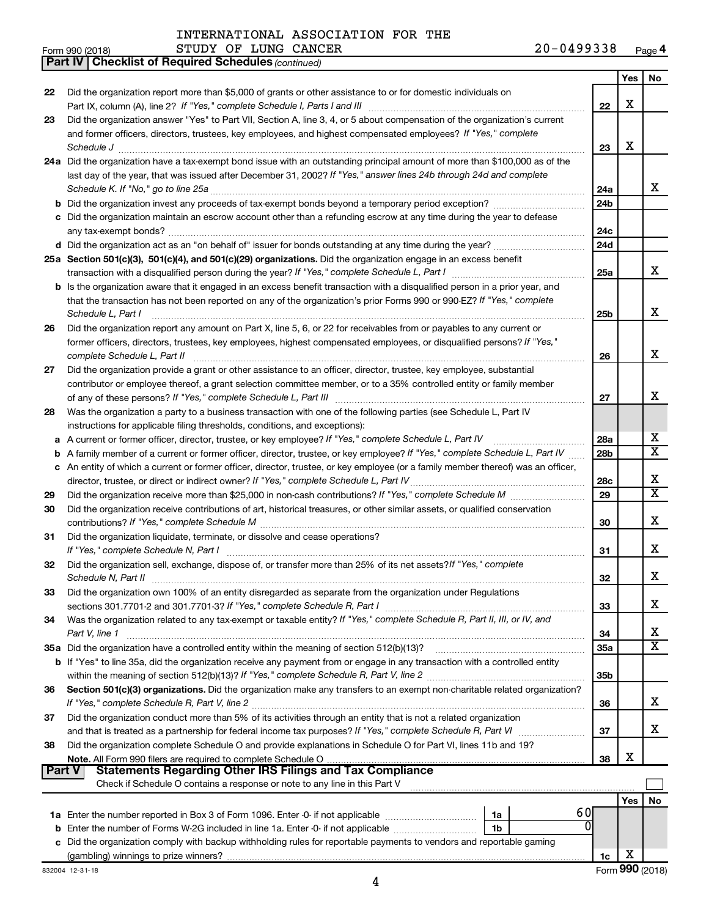| 22            | Did the organization report more than \$5,000 of grants or other assistance to or for domestic individuals on<br>Part IX, column (A), line 2? If "Yes," complete Schedule I, Parts I and III |                        |     |                         |  |
|---------------|----------------------------------------------------------------------------------------------------------------------------------------------------------------------------------------------|------------------------|-----|-------------------------|--|
| 23            | Did the organization answer "Yes" to Part VII, Section A, line 3, 4, or 5 about compensation of the organization's current                                                                   | 22                     | х   |                         |  |
|               | and former officers, directors, trustees, key employees, and highest compensated employees? If "Yes," complete                                                                               |                        |     |                         |  |
|               |                                                                                                                                                                                              | 23                     | х   |                         |  |
|               | 24a Did the organization have a tax-exempt bond issue with an outstanding principal amount of more than \$100,000 as of the                                                                  |                        |     |                         |  |
|               | last day of the year, that was issued after December 31, 2002? If "Yes," answer lines 24b through 24d and complete                                                                           |                        |     |                         |  |
|               |                                                                                                                                                                                              | 24a                    |     | x                       |  |
|               |                                                                                                                                                                                              | 24b                    |     |                         |  |
|               | c Did the organization maintain an escrow account other than a refunding escrow at any time during the year to defease                                                                       |                        |     |                         |  |
|               |                                                                                                                                                                                              | 24c                    |     |                         |  |
|               |                                                                                                                                                                                              | 24d                    |     |                         |  |
|               | 25a Section 501(c)(3), 501(c)(4), and 501(c)(29) organizations. Did the organization engage in an excess benefit                                                                             |                        |     |                         |  |
|               |                                                                                                                                                                                              | 25a                    |     | x                       |  |
|               | b Is the organization aware that it engaged in an excess benefit transaction with a disqualified person in a prior year, and                                                                 |                        |     |                         |  |
|               | that the transaction has not been reported on any of the organization's prior Forms 990 or 990-EZ? If "Yes," complete                                                                        |                        |     |                         |  |
|               | Schedule L, Part I                                                                                                                                                                           | 25b                    |     | x                       |  |
| 26            | Did the organization report any amount on Part X, line 5, 6, or 22 for receivables from or payables to any current or                                                                        |                        |     |                         |  |
|               | former officers, directors, trustees, key employees, highest compensated employees, or disqualified persons? If "Yes,"                                                                       |                        |     |                         |  |
|               | complete Schedule L, Part II                                                                                                                                                                 | 26                     |     | x                       |  |
| 27            | Did the organization provide a grant or other assistance to an officer, director, trustee, key employee, substantial                                                                         |                        |     |                         |  |
|               | contributor or employee thereof, a grant selection committee member, or to a 35% controlled entity or family member                                                                          |                        |     |                         |  |
|               |                                                                                                                                                                                              | 27                     |     | x                       |  |
| 28            | Was the organization a party to a business transaction with one of the following parties (see Schedule L, Part IV                                                                            |                        |     |                         |  |
|               | instructions for applicable filing thresholds, conditions, and exceptions):                                                                                                                  |                        |     |                         |  |
| a             | A current or former officer, director, trustee, or key employee? If "Yes," complete Schedule L, Part IV                                                                                      | 28a<br>28 <sub>b</sub> |     | x                       |  |
| b             | A family member of a current or former officer, director, trustee, or key employee? If "Yes," complete Schedule L, Part IV                                                                   |                        |     | $\overline{\mathtt{x}}$ |  |
|               | c An entity of which a current or former officer, director, trustee, or key employee (or a family member thereof) was an officer,                                                            | 28c                    |     | x                       |  |
|               | director, trustee, or direct or indirect owner? If "Yes," complete Schedule L, Part IV                                                                                                       |                        |     |                         |  |
| 29            |                                                                                                                                                                                              | 29                     |     | $\overline{\mathtt{x}}$ |  |
| 30            | Did the organization receive contributions of art, historical treasures, or other similar assets, or qualified conservation                                                                  |                        |     |                         |  |
|               |                                                                                                                                                                                              | 30                     |     | x                       |  |
| 31            | Did the organization liquidate, terminate, or dissolve and cease operations?                                                                                                                 |                        |     | x                       |  |
|               |                                                                                                                                                                                              | 31                     |     |                         |  |
| 32            | Did the organization sell, exchange, dispose of, or transfer more than 25% of its net assets? If "Yes," complete<br>Schedule N, Part II                                                      |                        |     | x                       |  |
|               |                                                                                                                                                                                              | 32                     |     |                         |  |
| 33            | Did the organization own 100% of an entity disregarded as separate from the organization under Regulations                                                                                   | 33                     |     | Χ                       |  |
| 34            | Was the organization related to any tax-exempt or taxable entity? If "Yes," complete Schedule R, Part II, III, or IV, and                                                                    |                        |     |                         |  |
|               | Part V, line 1                                                                                                                                                                               | 34                     |     | x                       |  |
|               | 35a Did the organization have a controlled entity within the meaning of section 512(b)(13)?                                                                                                  | 35a                    |     | $\overline{\texttt{x}}$ |  |
|               | b If "Yes" to line 35a, did the organization receive any payment from or engage in any transaction with a controlled entity                                                                  |                        |     |                         |  |
|               |                                                                                                                                                                                              | 35 <sub>b</sub>        |     |                         |  |
| 36            | Section 501(c)(3) organizations. Did the organization make any transfers to an exempt non-charitable related organization?                                                                   |                        |     |                         |  |
|               |                                                                                                                                                                                              | 36                     |     | x                       |  |
| 37            | Did the organization conduct more than 5% of its activities through an entity that is not a related organization                                                                             |                        |     |                         |  |
|               |                                                                                                                                                                                              | 37                     |     | x                       |  |
| 38            | Did the organization complete Schedule O and provide explanations in Schedule O for Part VI, lines 11b and 19?                                                                               |                        |     |                         |  |
|               |                                                                                                                                                                                              | 38                     | х   |                         |  |
| <b>Part V</b> | <b>Statements Regarding Other IRS Filings and Tax Compliance</b>                                                                                                                             |                        |     |                         |  |
|               | Check if Schedule O contains a response or note to any line in this Part V                                                                                                                   |                        |     |                         |  |
|               |                                                                                                                                                                                              |                        | Yes | No                      |  |
|               | 60<br>1a                                                                                                                                                                                     |                        |     |                         |  |
|               | 0<br><b>b</b> Enter the number of Forms W-2G included in line 1a. Enter -0- if not applicable<br>1b                                                                                          |                        |     |                         |  |
|               | $\epsilon$ . Did the organization comply with backup withholding rules for reportable payments to vendors and reportable gaming                                                              |                        |     |                         |  |

**c** Did the organization comply with backup withholding rules for reportable payments to vendors and reportable gaming (gambling) winnings to prize winners?

4

X

**1c**

**Yes No**

|                 | <b>Part IV   Checklist of Required Schedules (continued)</b> |                    |  |  |
|-----------------|--------------------------------------------------------------|--------------------|--|--|
| Form 990 (2018) |                                                              | STUDY OF LUNG CANO |  |  |
|                 |                                                              |                    |  |  |

|  |                       |  | STUDY OF LUNG CANCER |
|--|-----------------------|--|----------------------|
|  | INIERWAIIUWAU ASSUCI. |  |                      |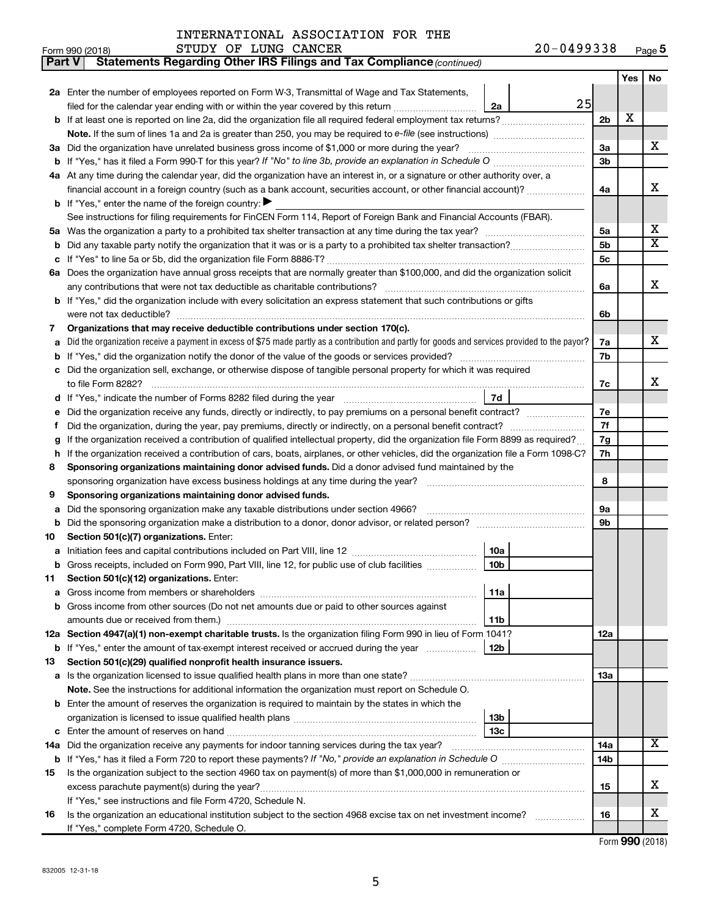| <b>Part V</b> | Statements Regarding Other IRS Filings and Tax Compliance (continued)                                                                                                                                                                      |                |   |   |  |  |
|---------------|--------------------------------------------------------------------------------------------------------------------------------------------------------------------------------------------------------------------------------------------|----------------|---|---|--|--|
|               |                                                                                                                                                                                                                                            |                |   |   |  |  |
|               | 2a Enter the number of employees reported on Form W-3, Transmittal of Wage and Tax Statements,                                                                                                                                             |                |   |   |  |  |
|               | 25<br>filed for the calendar year ending with or within the year covered by this return<br>2a                                                                                                                                              |                |   |   |  |  |
| b             | If at least one is reported on line 2a, did the organization file all required federal employment tax returns?                                                                                                                             | 2 <sub>b</sub> | X |   |  |  |
|               | Note. If the sum of lines 1a and 2a is greater than 250, you may be required to e-file (see instructions) <i>marroummann</i>                                                                                                               |                |   |   |  |  |
| За            | Did the organization have unrelated business gross income of \$1,000 or more during the year?                                                                                                                                              | За             |   | x |  |  |
| b             |                                                                                                                                                                                                                                            | 3b             |   |   |  |  |
|               | 4a At any time during the calendar year, did the organization have an interest in, or a signature or other authority over, a                                                                                                               |                |   |   |  |  |
|               | financial account in a foreign country (such as a bank account, securities account, or other financial account)?                                                                                                                           | 4a             |   | x |  |  |
|               | <b>b</b> If "Yes," enter the name of the foreign country: $\blacktriangleright$                                                                                                                                                            |                |   |   |  |  |
|               | See instructions for filing requirements for FinCEN Form 114, Report of Foreign Bank and Financial Accounts (FBAR).                                                                                                                        |                |   |   |  |  |
| 5a            |                                                                                                                                                                                                                                            | 5a             |   | х |  |  |
| b             |                                                                                                                                                                                                                                            | 5b             |   | X |  |  |
|               |                                                                                                                                                                                                                                            | 5с             |   |   |  |  |
|               | 6a Does the organization have annual gross receipts that are normally greater than \$100,000, and did the organization solicit                                                                                                             |                |   |   |  |  |
|               |                                                                                                                                                                                                                                            | 6a             |   | x |  |  |
| b             | If "Yes," did the organization include with every solicitation an express statement that such contributions or gifts                                                                                                                       |                |   |   |  |  |
|               | were not tax deductible?                                                                                                                                                                                                                   | 6b             |   |   |  |  |
| 7             | Organizations that may receive deductible contributions under section 170(c).                                                                                                                                                              |                |   |   |  |  |
| а             | Did the organization receive a payment in excess of \$75 made partly as a contribution and partly for goods and services provided to the payor?                                                                                            | 7a             |   | x |  |  |
| b             |                                                                                                                                                                                                                                            | 7b             |   |   |  |  |
|               | Did the organization sell, exchange, or otherwise dispose of tangible personal property for which it was required                                                                                                                          |                |   |   |  |  |
|               |                                                                                                                                                                                                                                            | 7c             |   | x |  |  |
| d             | 7d                                                                                                                                                                                                                                         |                |   |   |  |  |
|               | Did the organization receive any funds, directly or indirectly, to pay premiums on a personal benefit contract?                                                                                                                            | 7е             |   |   |  |  |
| f             | Did the organization, during the year, pay premiums, directly or indirectly, on a personal benefit contract?                                                                                                                               | 7f             |   |   |  |  |
| g             | If the organization received a contribution of qualified intellectual property, did the organization file Form 8899 as required?                                                                                                           | 7g<br>7h       |   |   |  |  |
| h<br>8        | If the organization received a contribution of cars, boats, airplanes, or other vehicles, did the organization file a Form 1098-C?<br>Sponsoring organizations maintaining donor advised funds. Did a donor advised fund maintained by the |                |   |   |  |  |
|               |                                                                                                                                                                                                                                            | 8              |   |   |  |  |
| 9             | Sponsoring organizations maintaining donor advised funds.                                                                                                                                                                                  |                |   |   |  |  |
| а             | Did the sponsoring organization make any taxable distributions under section 4966?                                                                                                                                                         | <b>9a</b>      |   |   |  |  |
| b             |                                                                                                                                                                                                                                            | 9b             |   |   |  |  |
| 10            | Section 501(c)(7) organizations. Enter:                                                                                                                                                                                                    |                |   |   |  |  |
| а             | 10a                                                                                                                                                                                                                                        |                |   |   |  |  |
|               | 10 <sub>b</sub><br>Gross receipts, included on Form 990, Part VIII, line 12, for public use of club facilities                                                                                                                             |                |   |   |  |  |
| 11            | Section 501(c)(12) organizations. Enter:                                                                                                                                                                                                   |                |   |   |  |  |
| а             | 11a                                                                                                                                                                                                                                        |                |   |   |  |  |
| b             | Gross income from other sources (Do not net amounts due or paid to other sources against                                                                                                                                                   |                |   |   |  |  |
|               | 11 <sub>b</sub><br>amounts due or received from them.)                                                                                                                                                                                     |                |   |   |  |  |
|               | 12a Section 4947(a)(1) non-exempt charitable trusts. Is the organization filing Form 990 in lieu of Form 1041?                                                                                                                             | 12a            |   |   |  |  |
|               | 12 <sub>b</sub><br>b If "Yes," enter the amount of tax-exempt interest received or accrued during the year                                                                                                                                 |                |   |   |  |  |
| 13            | Section 501(c)(29) qualified nonprofit health insurance issuers.                                                                                                                                                                           |                |   |   |  |  |
|               | <b>a</b> Is the organization licensed to issue qualified health plans in more than one state?                                                                                                                                              | 13a            |   |   |  |  |
|               | Note. See the instructions for additional information the organization must report on Schedule O.                                                                                                                                          |                |   |   |  |  |
| b             | Enter the amount of reserves the organization is required to maintain by the states in which the                                                                                                                                           |                |   |   |  |  |
|               | 13 <sub>b</sub>                                                                                                                                                                                                                            |                |   |   |  |  |
| с             | 13 <sub>c</sub>                                                                                                                                                                                                                            |                |   |   |  |  |
|               | 14a Did the organization receive any payments for indoor tanning services during the tax year?                                                                                                                                             | 14a            |   | x |  |  |
|               |                                                                                                                                                                                                                                            | 14b            |   |   |  |  |
| 15            | Is the organization subject to the section 4960 tax on payment(s) of more than \$1,000,000 in remuneration or                                                                                                                              |                |   |   |  |  |
|               | excess parachute payment(s) during the year?                                                                                                                                                                                               | 15             |   | x |  |  |
|               | If "Yes," see instructions and file Form 4720, Schedule N.                                                                                                                                                                                 |                |   | х |  |  |
| 16            | Is the organization an educational institution subject to the section 4968 excise tax on net investment income?                                                                                                                            | 16             |   |   |  |  |
|               | If "Yes," complete Form 4720, Schedule O.                                                                                                                                                                                                  |                |   |   |  |  |

Form (2018) **990**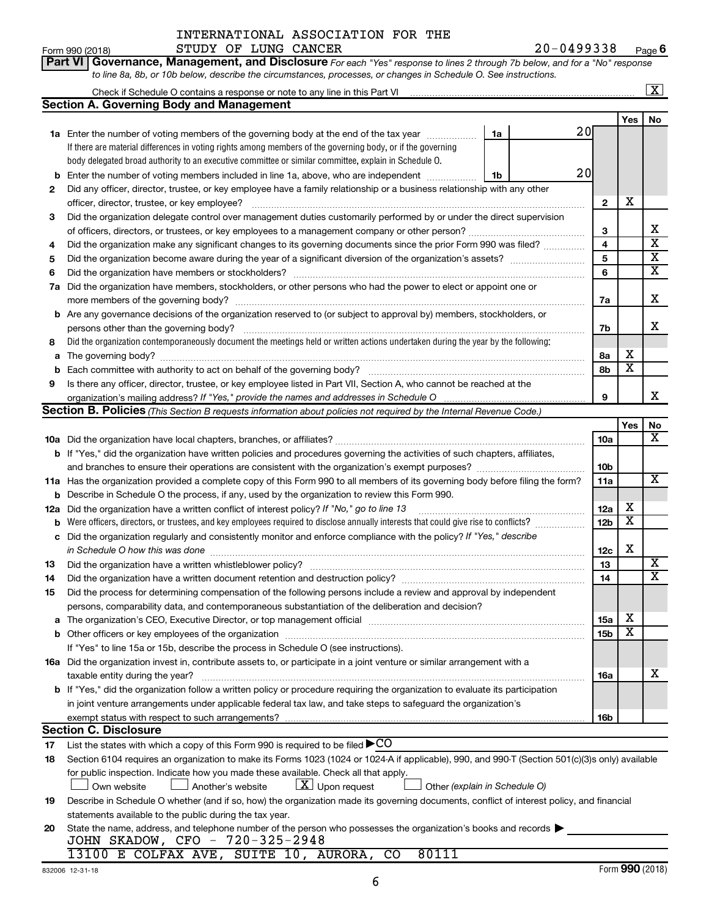| Form 990 (2018) |  | STUDY OF LUNG CANCER | $20 - 0499338$                                                                                                                     | Pag |
|-----------------|--|----------------------|------------------------------------------------------------------------------------------------------------------------------------|-----|
|                 |  |                      | <b>Part VI Governance, Management, and Disclosure</b> For each "Yes" response to lines 2 through 7b below, and for a "No" response |     |
|                 |  |                      | to line 8a, 8b, or 10b below, describe the circumstances, processes, or changes in Schedule O. See instructions.                   |     |

|    |                                                                                                                                                                                                                  |    |  |    |                 |                         | $\lfloor x \rfloor$     |  |  |
|----|------------------------------------------------------------------------------------------------------------------------------------------------------------------------------------------------------------------|----|--|----|-----------------|-------------------------|-------------------------|--|--|
|    | Section A. Governing Body and Management                                                                                                                                                                         |    |  |    |                 |                         |                         |  |  |
|    |                                                                                                                                                                                                                  |    |  |    |                 | Yes                     | No                      |  |  |
|    | <b>1a</b> Enter the number of voting members of the governing body at the end of the tax year                                                                                                                    | 1a |  | 20 |                 |                         |                         |  |  |
|    | If there are material differences in voting rights among members of the governing body, or if the governing                                                                                                      |    |  |    |                 |                         |                         |  |  |
|    | body delegated broad authority to an executive committee or similar committee, explain in Schedule O.                                                                                                            |    |  |    |                 |                         |                         |  |  |
| b  | Enter the number of voting members included in line 1a, above, who are independent                                                                                                                               | 1b |  | 20 |                 |                         |                         |  |  |
| 2  | Did any officer, director, trustee, or key employee have a family relationship or a business relationship with any other                                                                                         |    |  |    |                 |                         |                         |  |  |
|    | officer, director, trustee, or key employee?                                                                                                                                                                     |    |  |    | $\mathbf{2}$    | X                       |                         |  |  |
| 3  | Did the organization delegate control over management duties customarily performed by or under the direct supervision                                                                                            |    |  |    |                 |                         |                         |  |  |
|    |                                                                                                                                                                                                                  |    |  |    | 3               |                         | Χ                       |  |  |
| 4  | Did the organization make any significant changes to its governing documents since the prior Form 990 was filed?                                                                                                 |    |  |    |                 |                         |                         |  |  |
| 5  |                                                                                                                                                                                                                  |    |  |    | 5               |                         | $\overline{\mathbf{X}}$ |  |  |
| 6  | Did the organization have members or stockholders?                                                                                                                                                               |    |  |    |                 |                         |                         |  |  |
|    | 7a Did the organization have members, stockholders, or other persons who had the power to elect or appoint one or                                                                                                |    |  |    |                 |                         |                         |  |  |
|    | more members of the governing body?                                                                                                                                                                              |    |  |    | 7a              |                         | X                       |  |  |
|    | <b>b</b> Are any governance decisions of the organization reserved to (or subject to approval by) members, stockholders, or                                                                                      |    |  |    |                 |                         |                         |  |  |
|    | persons other than the governing body?                                                                                                                                                                           |    |  |    | 7b              |                         | x                       |  |  |
| 8  | Did the organization contemporaneously document the meetings held or written actions undertaken during the year by the following:                                                                                |    |  |    |                 |                         |                         |  |  |
| a  | The governing body?                                                                                                                                                                                              |    |  |    | 8а              | х                       |                         |  |  |
| b  |                                                                                                                                                                                                                  |    |  |    | 8b              | $\overline{\textbf{x}}$ |                         |  |  |
| 9  | Is there any officer, director, trustee, or key employee listed in Part VII, Section A, who cannot be reached at the                                                                                             |    |  |    |                 |                         |                         |  |  |
|    |                                                                                                                                                                                                                  |    |  |    | 9               |                         | X                       |  |  |
|    | <b>Section B. Policies</b> (This Section B requests information about policies not required by the Internal Revenue Code.)                                                                                       |    |  |    |                 |                         |                         |  |  |
|    |                                                                                                                                                                                                                  |    |  |    |                 | Yes                     | No                      |  |  |
|    |                                                                                                                                                                                                                  |    |  |    | 10a             |                         | X                       |  |  |
|    | <b>b</b> If "Yes," did the organization have written policies and procedures governing the activities of such chapters, affiliates,                                                                              |    |  |    |                 |                         |                         |  |  |
|    |                                                                                                                                                                                                                  |    |  |    | 10 <sub>b</sub> |                         |                         |  |  |
|    | 11a Has the organization provided a complete copy of this Form 990 to all members of its governing body before filing the form?                                                                                  |    |  |    | 11a             |                         | X                       |  |  |
|    | <b>b</b> Describe in Schedule O the process, if any, used by the organization to review this Form 990.                                                                                                           |    |  |    |                 |                         |                         |  |  |
|    | 12a Did the organization have a written conflict of interest policy? If "No," go to line 13                                                                                                                      |    |  |    | 12a             | х                       |                         |  |  |
| b  | Were officers, directors, or trustees, and key employees required to disclose annually interests that could give rise to conflicts?                                                                              |    |  |    | 12 <sub>b</sub> | $\overline{\textbf{X}}$ |                         |  |  |
| с  | Did the organization regularly and consistently monitor and enforce compliance with the policy? If "Yes," describe                                                                                               |    |  |    |                 |                         |                         |  |  |
|    | in Schedule O how this was done manufactured and an architecture of the state of the state of the state of the                                                                                                   |    |  |    | 12c             | х                       |                         |  |  |
| 13 | Did the organization have a written whistleblower policy?                                                                                                                                                        |    |  |    | 13              |                         | x                       |  |  |
| 14 |                                                                                                                                                                                                                  |    |  |    | 14              |                         | $\overline{\mathbf{X}}$ |  |  |
| 15 | Did the process for determining compensation of the following persons include a review and approval by independent                                                                                               |    |  |    |                 |                         |                         |  |  |
|    | persons, comparability data, and contemporaneous substantiation of the deliberation and decision?                                                                                                                |    |  |    |                 |                         |                         |  |  |
|    | The organization's CEO, Executive Director, or top management official manufactured content of the organization's CEO, Executive Director, or top management official manufactured content of the organization's |    |  |    | 15a             | х                       |                         |  |  |
|    |                                                                                                                                                                                                                  |    |  |    | 15 <sub>b</sub> | X                       |                         |  |  |
|    | If "Yes" to line 15a or 15b, describe the process in Schedule O (see instructions).                                                                                                                              |    |  |    |                 |                         |                         |  |  |
|    | 16a Did the organization invest in, contribute assets to, or participate in a joint venture or similar arrangement with a                                                                                        |    |  |    |                 |                         |                         |  |  |
|    | taxable entity during the year?                                                                                                                                                                                  |    |  |    | 16a             |                         | х                       |  |  |
|    | b If "Yes," did the organization follow a written policy or procedure requiring the organization to evaluate its participation                                                                                   |    |  |    |                 |                         |                         |  |  |
|    | in joint venture arrangements under applicable federal tax law, and take steps to safeguard the organization's                                                                                                   |    |  |    |                 |                         |                         |  |  |
|    | exempt status with respect to such arrangements?                                                                                                                                                                 |    |  |    | 16b             |                         |                         |  |  |
|    | <b>Section C. Disclosure</b>                                                                                                                                                                                     |    |  |    |                 |                         |                         |  |  |
| 17 | List the states with which a copy of this Form 990 is required to be filed $\blacktriangleright$ CO                                                                                                              |    |  |    |                 |                         |                         |  |  |
| 18 | Section 6104 requires an organization to make its Forms 1023 (1024 or 1024 A if applicable), 990, and 990-T (Section 501(c)(3)s only) available                                                                  |    |  |    |                 |                         |                         |  |  |
|    | for public inspection. Indicate how you made these available. Check all that apply.                                                                                                                              |    |  |    |                 |                         |                         |  |  |
|    | $ \mathbf{X} $ Upon request<br>Own website<br>Another's website<br>Other (explain in Schedule O)                                                                                                                 |    |  |    |                 |                         |                         |  |  |
| 19 | Describe in Schedule O whether (and if so, how) the organization made its governing documents, conflict of interest policy, and financial                                                                        |    |  |    |                 |                         |                         |  |  |
|    | statements available to the public during the tax year.                                                                                                                                                          |    |  |    |                 |                         |                         |  |  |
| 20 | State the name, address, and telephone number of the person who possesses the organization's books and records                                                                                                   |    |  |    |                 |                         |                         |  |  |
|    | JOHN SKADOW, CFO - 720-325-2948<br>80111                                                                                                                                                                         |    |  |    |                 |                         |                         |  |  |
|    | 13100 E COLFAX AVE, SUITE 10, AURORA, CO                                                                                                                                                                         |    |  |    |                 |                         |                         |  |  |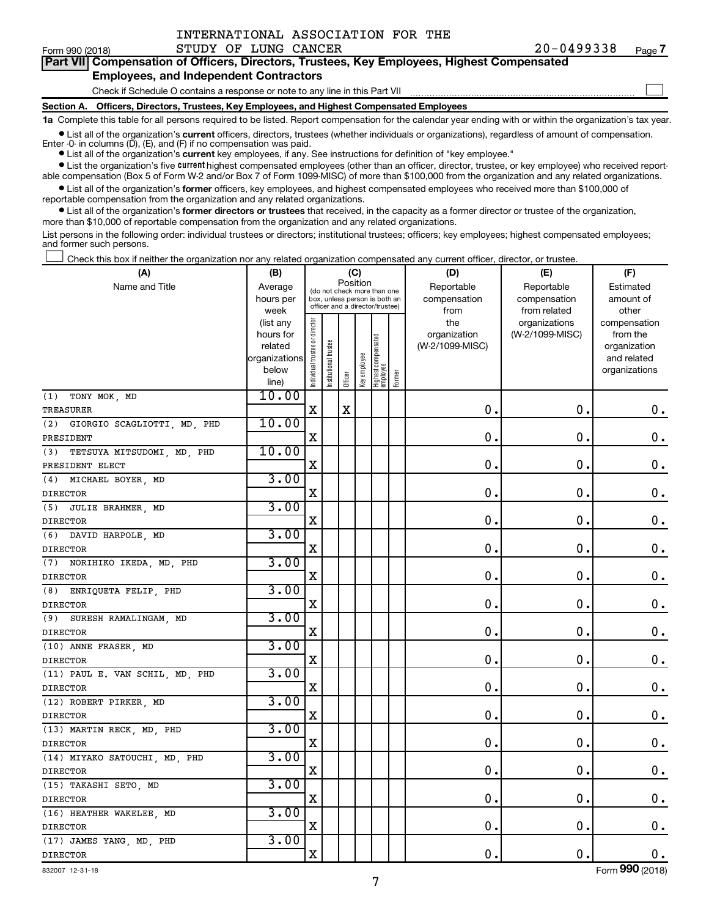| INTERNATIONAL ASSOCIATION FOR THE |  |  |  |
|-----------------------------------|--|--|--|
|-----------------------------------|--|--|--|

 $\Box$ 

|  | Part VII Compensation of Officers, Directors, Trustees, Key Employees, Highest Compensated |  |  |  |  |
|--|--------------------------------------------------------------------------------------------|--|--|--|--|
|  | <b>Employees, and Independent Contractors</b>                                              |  |  |  |  |

#### **Employees, and Independent Contractors**

Check if Schedule O contains a response or note to any line in this Part VII

**Section A. Officers, Directors, Trustees, Key Employees, and Highest Compensated Employees**

**1a**  Complete this table for all persons required to be listed. Report compensation for the calendar year ending with or within the organization's tax year.

**•** List all of the organization's current officers, directors, trustees (whether individuals or organizations), regardless of amount of compensation. Enter -0- in columns  $(D)$ ,  $(E)$ , and  $(F)$  if no compensation was paid.

**•** List all of the organization's **current** key employees, if any. See instructions for definition of "key employee."

**•** List the organization's five current highest compensated employees (other than an officer, director, trustee, or key employee) who received reportable compensation (Box 5 of Form W-2 and/or Box 7 of Form 1099-MISC) of more than \$100,000 from the organization and any related organizations.

**•** List all of the organization's former officers, key employees, and highest compensated employees who received more than \$100,000 of reportable compensation from the organization and any related organizations.

**•** List all of the organization's former directors or trustees that received, in the capacity as a former director or trustee of the organization, more than \$10,000 of reportable compensation from the organization and any related organizations.

List persons in the following order: individual trustees or directors; institutional trustees; officers; key employees; highest compensated employees; and former such persons.

Check this box if neither the organization nor any related organization compensated any current officer, director, or trustee.  $\Box$ 

| (A)                                | (B)                    |                                |                       |             | (C)          |                                                                  |        | (D)                 | (E)                              | (F)                      |
|------------------------------------|------------------------|--------------------------------|-----------------------|-------------|--------------|------------------------------------------------------------------|--------|---------------------|----------------------------------|--------------------------|
| Name and Title                     | Average                |                                |                       | Position    |              | (do not check more than one                                      |        | Reportable          | Reportable                       | Estimated                |
|                                    | hours per              |                                |                       |             |              | box, unless person is both an<br>officer and a director/trustee) |        | compensation        | compensation                     | amount of                |
|                                    | week                   |                                |                       |             |              |                                                                  |        | from                | from related                     | other                    |
|                                    | (list any<br>hours for |                                |                       |             |              |                                                                  |        | the<br>organization | organizations<br>(W-2/1099-MISC) | compensation<br>from the |
|                                    | related                |                                |                       |             |              |                                                                  |        | (W-2/1099-MISC)     |                                  | organization             |
|                                    | organizations          |                                |                       |             |              |                                                                  |        |                     |                                  | and related              |
|                                    | below                  |                                |                       |             |              |                                                                  |        |                     |                                  | organizations            |
|                                    | line)                  | Individual trustee or director | Institutional trustee | Officer     | Key employee | Highest compensated<br>employee                                  | Former |                     |                                  |                          |
| TONY MOK, MD<br>(1)                | 10.00                  |                                |                       |             |              |                                                                  |        |                     |                                  |                          |
| TREASURER                          |                        | $\mathbf X$                    |                       | $\mathbf X$ |              |                                                                  |        | 0.                  | $\mathbf 0$                      | 0.                       |
| GIORGIO SCAGLIOTTI, MD, PHD<br>(2) | 10.00                  |                                |                       |             |              |                                                                  |        |                     |                                  |                          |
| PRESIDENT                          |                        | $\mathbf X$                    |                       |             |              |                                                                  |        | 0                   | $\mathbf 0$                      | $\mathbf 0$ .            |
| (3)<br>TETSUYA MITSUDOMI, MD, PHD  | 10.00                  |                                |                       |             |              |                                                                  |        |                     |                                  |                          |
| PRESIDENT ELECT                    |                        | X                              |                       |             |              |                                                                  |        | $\mathbf 0$         | $\mathbf 0$                      | $\boldsymbol{0}$ .       |
| (4)<br>MICHAEL BOYER, MD           | 3.00                   |                                |                       |             |              |                                                                  |        |                     |                                  |                          |
| <b>DIRECTOR</b>                    |                        | $\mathbf X$                    |                       |             |              |                                                                  |        | $\mathbf 0$ .       | $\mathbf 0$ .                    | $\mathbf 0$ .            |
| JULIE BRAHMER, MD<br>(5)           | 3.00                   |                                |                       |             |              |                                                                  |        |                     |                                  |                          |
| <b>DIRECTOR</b>                    |                        | X                              |                       |             |              |                                                                  |        | $\mathbf 0$ .       | $\mathbf 0$ .                    | $\mathbf 0$ .            |
| (6)<br>DAVID HARPOLE, MD           | 3.00                   |                                |                       |             |              |                                                                  |        |                     |                                  |                          |
| <b>DIRECTOR</b>                    |                        | $\mathbf X$                    |                       |             |              |                                                                  |        | $\mathbf 0$         | $\mathbf 0$ .                    | $\mathbf 0$ .            |
| (7)<br>NORIHIKO IKEDA, MD, PHD     | 3.00                   |                                |                       |             |              |                                                                  |        |                     |                                  |                          |
| <b>DIRECTOR</b>                    |                        | X                              |                       |             |              |                                                                  |        | 0.                  | $\mathbf 0$ .                    | $\mathbf 0$ .            |
| ENRIQUETA FELIP, PHD<br>(8)        | 3.00                   |                                |                       |             |              |                                                                  |        |                     |                                  |                          |
| <b>DIRECTOR</b>                    |                        | $\mathbf X$                    |                       |             |              |                                                                  |        | 0.                  | $\mathbf 0$ .                    | $\mathbf 0$ .            |
| SURESH RAMALINGAM, MD<br>(9)       | 3.00                   |                                |                       |             |              |                                                                  |        |                     |                                  |                          |
| <b>DIRECTOR</b>                    |                        | $\mathbf X$                    |                       |             |              |                                                                  |        | 0.                  | $\mathbf 0$ .                    | $\mathbf 0$ .            |
| (10) ANNE FRASER, MD               | 3.00                   |                                |                       |             |              |                                                                  |        |                     |                                  |                          |
| <b>DIRECTOR</b>                    |                        | $\mathbf X$                    |                       |             |              |                                                                  |        | 0.                  | $\mathbf 0$ .                    | $\mathbf 0$ .            |
| (11) PAUL E. VAN SCHIL, MD, PHD    | 3.00                   |                                |                       |             |              |                                                                  |        |                     |                                  |                          |
| <b>DIRECTOR</b>                    |                        | $\mathbf X$                    |                       |             |              |                                                                  |        | 0.                  | $\mathbf 0$ .                    | $\mathbf 0$ .            |
| (12) ROBERT PIRKER, MD             | 3.00                   |                                |                       |             |              |                                                                  |        |                     |                                  |                          |
| <b>DIRECTOR</b>                    |                        | $\mathbf X$                    |                       |             |              |                                                                  |        | $\mathbf 0$ .       | 0.                               | 0.                       |
| (13) MARTIN RECK, MD, PHD          | 3.00                   |                                |                       |             |              |                                                                  |        |                     |                                  |                          |
| <b>DIRECTOR</b>                    |                        | $\mathbf X$                    |                       |             |              |                                                                  |        | 0.                  | $\mathbf 0$ .                    | $\mathbf 0$ .            |
| (14) MIYAKO SATOUCHI, MD, PHD      | 3.00                   |                                |                       |             |              |                                                                  |        |                     |                                  |                          |
| <b>DIRECTOR</b>                    |                        | $\mathbf X$                    |                       |             |              |                                                                  |        | $\mathbf 0$ .       | 0.                               | $\mathbf 0$ .            |
| (15) TAKASHI SETO, MD              | 3.00                   |                                |                       |             |              |                                                                  |        |                     |                                  |                          |
| <b>DIRECTOR</b>                    |                        | $\mathbf X$                    |                       |             |              |                                                                  |        | 0.                  | $\mathbf 0$ .                    | $\mathbf 0$ .            |
| (16) HEATHER WAKELEE, MD           | 3.00                   |                                |                       |             |              |                                                                  |        |                     |                                  |                          |
| <b>DIRECTOR</b>                    |                        | $\mathbf X$                    |                       |             |              |                                                                  |        | $\mathbf 0$ .       | 0.                               | 0.                       |
| (17) JAMES YANG, MD, PHD           | 3.00                   |                                |                       |             |              |                                                                  |        |                     |                                  |                          |
| <b>DIRECTOR</b>                    |                        | $\mathbf X$                    |                       |             |              |                                                                  |        | 0.                  | 0.                               | $0$ .                    |

832007 12-31-18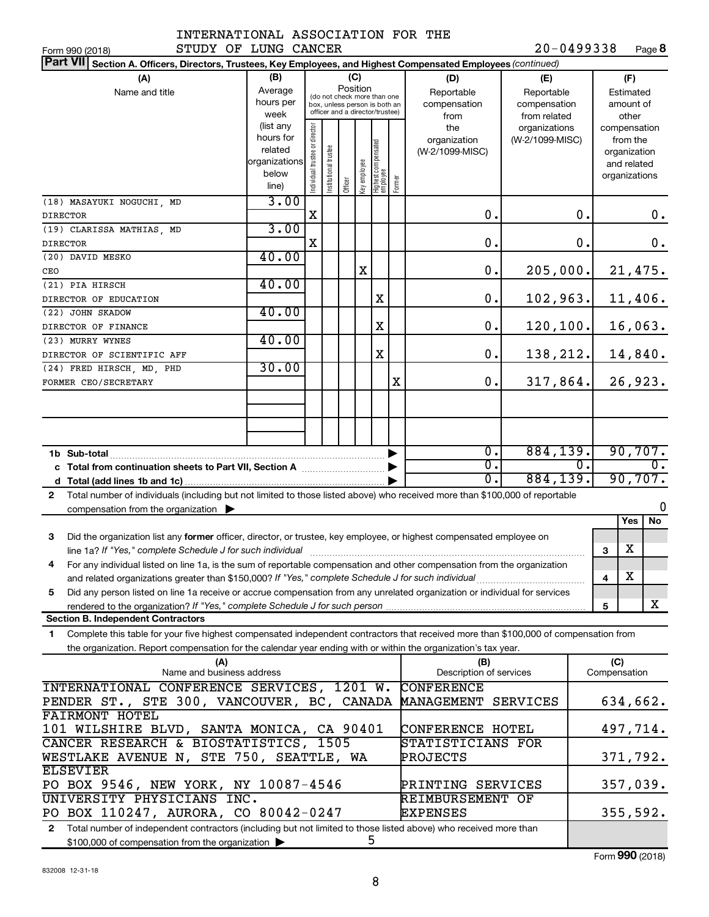20-0499338 Page 8

| STUDY OF LUNG CANCER<br>Form 990 (2018)                                                                                                      |               |                                                              |                       |         |              |                                   |        |                         | 20-0499338      |                  |               |          | Page 8           |
|----------------------------------------------------------------------------------------------------------------------------------------------|---------------|--------------------------------------------------------------|-----------------------|---------|--------------|-----------------------------------|--------|-------------------------|-----------------|------------------|---------------|----------|------------------|
| <b>Part VII</b><br>Section A. Officers, Directors, Trustees, Key Employees, and Highest Compensated Employees (continued)                    |               |                                                              |                       |         |              |                                   |        |                         |                 |                  |               |          |                  |
| (A)                                                                                                                                          | (B)           |                                                              |                       |         | (C)          |                                   |        | (D)                     | (E)             |                  |               | (F)      |                  |
| Name and title                                                                                                                               | Average       |                                                              |                       |         | Position     |                                   |        | Reportable              | Reportable      |                  | Estimated     |          |                  |
|                                                                                                                                              | hours per     | (do not check more than one<br>box, unless person is both an |                       |         |              |                                   |        | compensation            | compensation    |                  | amount of     |          |                  |
|                                                                                                                                              | week          | officer and a director/trustee)                              |                       |         |              |                                   |        | from                    | from related    |                  |               | other    |                  |
|                                                                                                                                              | (list any     |                                                              |                       |         |              |                                   |        | the                     | organizations   |                  | compensation  |          |                  |
|                                                                                                                                              | hours for     |                                                              |                       |         |              |                                   |        | organization            | (W-2/1099-MISC) |                  |               | from the |                  |
|                                                                                                                                              | related       |                                                              |                       |         |              |                                   |        | (W-2/1099-MISC)         |                 |                  | organization  |          |                  |
|                                                                                                                                              | organizations |                                                              |                       |         |              |                                   |        |                         |                 |                  | and related   |          |                  |
|                                                                                                                                              | below         | Individual trustee or director                               | Institutional trustee | Officer | Key employee | Highest compensated<br>  employee | Former |                         |                 |                  | organizations |          |                  |
|                                                                                                                                              | line)         |                                                              |                       |         |              |                                   |        |                         |                 |                  |               |          |                  |
| (18) MASAYUKI NOGUCHI, MD                                                                                                                    | 3.00          |                                                              |                       |         |              |                                   |        |                         |                 |                  |               |          |                  |
| <b>DIRECTOR</b>                                                                                                                              |               | Χ                                                            |                       |         |              |                                   |        | 0.                      |                 | 0.               |               |          | $0$ .            |
| (19) CLARISSA MATHIAS, MD                                                                                                                    | 3.00          |                                                              |                       |         |              |                                   |        |                         |                 |                  |               |          |                  |
| <b>DIRECTOR</b>                                                                                                                              |               | Χ                                                            |                       |         |              |                                   |        | 0.                      |                 | 0.               |               |          | 0.               |
| (20) DAVID MESKO                                                                                                                             | 40.00         |                                                              |                       |         |              |                                   |        |                         |                 |                  |               |          |                  |
| CEO                                                                                                                                          |               |                                                              |                       |         | X            |                                   |        | $\mathbf 0$ .           | 205,000.        |                  |               |          | 21,475.          |
| (21) PIA HIRSCH                                                                                                                              | 40.00         |                                                              |                       |         |              |                                   |        |                         |                 |                  |               |          |                  |
| DIRECTOR OF EDUCATION                                                                                                                        |               |                                                              |                       |         |              | Χ                                 |        | $\mathbf 0$ .           | 102,963.        |                  |               |          | 11,406.          |
| (22) JOHN SKADOW                                                                                                                             | 40.00         |                                                              |                       |         |              |                                   |        |                         |                 |                  |               |          |                  |
| DIRECTOR OF FINANCE                                                                                                                          |               |                                                              |                       |         |              | X                                 |        | $\mathbf 0$ .           | 120,100.        |                  |               |          | 16,063.          |
| (23) MURRY WYNES                                                                                                                             | 40.00         |                                                              |                       |         |              |                                   |        |                         |                 |                  |               |          |                  |
| DIRECTOR OF SCIENTIFIC AFF                                                                                                                   |               |                                                              |                       |         |              | Χ                                 |        | 0.                      | 138,212.        |                  |               |          | 14,840.          |
| (24) FRED HIRSCH, MD, PHD                                                                                                                    | 30.00         |                                                              |                       |         |              |                                   |        |                         |                 |                  |               |          |                  |
| FORMER CEO/SECRETARY                                                                                                                         |               |                                                              |                       |         |              |                                   | X      | 0.                      | 317,864.        |                  |               |          | 26,923.          |
|                                                                                                                                              |               |                                                              |                       |         |              |                                   |        |                         |                 |                  |               |          |                  |
|                                                                                                                                              |               |                                                              |                       |         |              |                                   |        |                         |                 |                  |               |          |                  |
|                                                                                                                                              |               |                                                              |                       |         |              |                                   |        |                         |                 |                  |               |          |                  |
|                                                                                                                                              |               |                                                              |                       |         |              |                                   |        |                         |                 |                  |               |          |                  |
|                                                                                                                                              |               |                                                              |                       |         |              |                                   | ▶      | $\overline{0}$ .        | 884, 139.       |                  |               |          | 90,707.          |
| 1b Sub-total                                                                                                                                 |               |                                                              |                       |         |              |                                   |        | $\overline{0}$ .        |                 | $\overline{0}$ . |               |          | $\overline{0}$ . |
| c Total from continuation sheets to Part VII, Section A manuscription.                                                                       |               |                                                              |                       |         |              |                                   | ▶      | $\overline{0}$ .        | 884,139.        |                  |               |          | 90,707.          |
|                                                                                                                                              |               |                                                              |                       |         |              |                                   |        |                         |                 |                  |               |          |                  |
| Total number of individuals (including but not limited to those listed above) who received more than \$100,000 of reportable<br>$\mathbf{2}$ |               |                                                              |                       |         |              |                                   |        |                         |                 |                  |               |          | 0                |
| compensation from the organization $\blacktriangleright$                                                                                     |               |                                                              |                       |         |              |                                   |        |                         |                 |                  |               | Yes      | No               |
|                                                                                                                                              |               |                                                              |                       |         |              |                                   |        |                         |                 |                  |               |          |                  |
| 3<br>Did the organization list any former officer, director, or trustee, key employee, or highest compensated employee on                    |               |                                                              |                       |         |              |                                   |        |                         |                 |                  |               |          |                  |
|                                                                                                                                              |               |                                                              |                       |         |              |                                   |        |                         |                 |                  | 3             | X        |                  |
| For any individual listed on line 1a, is the sum of reportable compensation and other compensation from the organization                     |               |                                                              |                       |         |              |                                   |        |                         |                 |                  |               |          |                  |
| and related organizations greater than \$150,000? If "Yes," complete Schedule J for such individual                                          |               |                                                              |                       |         |              |                                   |        |                         |                 |                  | 4             | X        |                  |
| Did any person listed on line 1a receive or accrue compensation from any unrelated organization or individual for services<br>5              |               |                                                              |                       |         |              |                                   |        |                         |                 |                  |               |          |                  |
| rendered to the organization? If "Yes," complete Schedule J for such person                                                                  |               |                                                              |                       |         |              |                                   |        |                         |                 |                  | 5             |          | X                |
| <b>Section B. Independent Contractors</b>                                                                                                    |               |                                                              |                       |         |              |                                   |        |                         |                 |                  |               |          |                  |
| Complete this table for your five highest compensated independent contractors that received more than \$100,000 of compensation from<br>1.   |               |                                                              |                       |         |              |                                   |        |                         |                 |                  |               |          |                  |
| the organization. Report compensation for the calendar year ending with or within the organization's tax year.                               |               |                                                              |                       |         |              |                                   |        |                         |                 |                  |               |          |                  |
| (A)                                                                                                                                          |               |                                                              |                       |         |              |                                   |        | (B)                     |                 |                  | (C)           |          |                  |
| Name and business address                                                                                                                    |               |                                                              |                       |         |              |                                   |        | Description of services |                 |                  | Compensation  |          |                  |
| INTERNATIONAL CONFERENCE SERVICES, 1201 W.                                                                                                   |               |                                                              |                       |         |              |                                   |        | <b>CONFERENCE</b>       |                 |                  |               |          |                  |
| PENDER ST., STE 300, VANCOUVER, BC, CANADA                                                                                                   |               |                                                              |                       |         |              |                                   |        | MANAGEMENT SERVICES     |                 |                  | 634,662.      |          |                  |
| <b>FAIRMONT HOTEL</b>                                                                                                                        |               |                                                              |                       |         |              |                                   |        |                         |                 |                  |               |          |                  |
| 101 WILSHIRE BLVD, SANTA MONICA, CA 90401                                                                                                    |               |                                                              |                       |         |              |                                   |        | CONFERENCE HOTEL        |                 |                  | 497,714.      |          |                  |
| CANCER RESEARCH & BIOSTATISTICS, 1505                                                                                                        |               |                                                              |                       |         |              |                                   |        | STATISTICIANS FOR       |                 |                  |               |          |                  |
| WESTLAKE AVENUE N, STE 750, SEATTLE, WA                                                                                                      |               |                                                              |                       |         |              |                                   |        | PROJECTS                |                 |                  | 371,792.      |          |                  |
| <b>ELSEVIER</b>                                                                                                                              |               |                                                              |                       |         |              |                                   |        |                         |                 |                  |               |          |                  |
| PO BOX 9546, NEW YORK, NY 10087-4546                                                                                                         |               |                                                              |                       |         |              |                                   |        | PRINTING SERVICES       |                 |                  | 357,039.      |          |                  |
| UNIVERSITY PHYSICIANS INC.                                                                                                                   |               |                                                              |                       |         |              |                                   |        | REIMBURSEMENT OF        |                 |                  |               |          |                  |
| PO BOX 110247, AURORA, CO 80042-0247                                                                                                         |               |                                                              |                       |         |              |                                   |        | EXPENSES                |                 |                  | 355,592.      |          |                  |
|                                                                                                                                              |               |                                                              |                       |         |              |                                   |        |                         |                 |                  |               |          |                  |

**2** Total number of independent contractors (including but not limited to those listed above) who received more than \$100,000 of compensation from the organization 5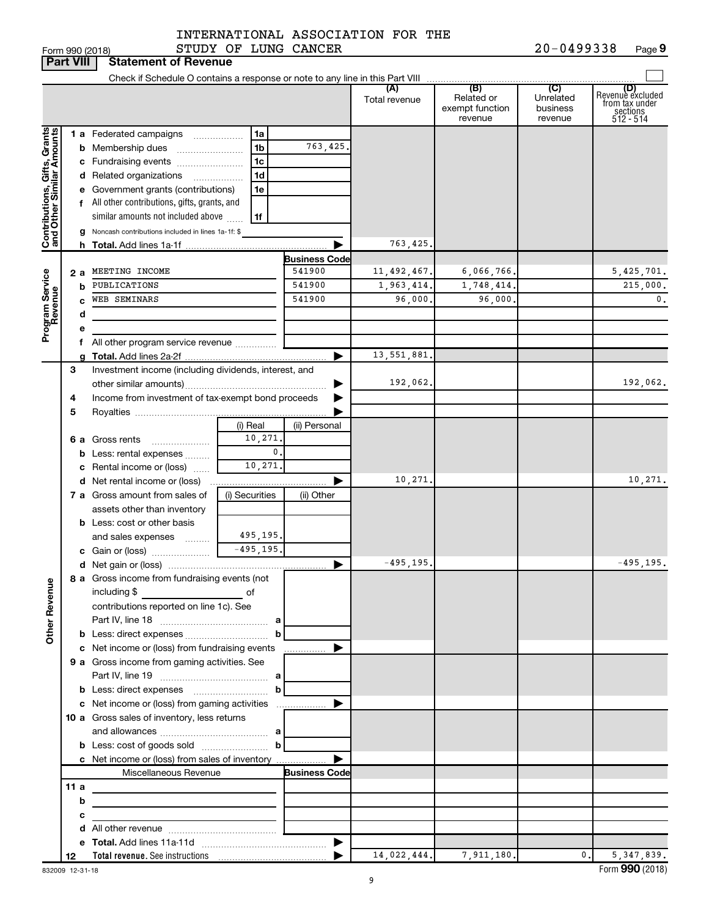**Part VIII STUDY**<br>**Part VIII Statement of Revenue** 

### INTERNATIONAL ASSOCIATION FOR THE

|                                                           | <b>Part VIII</b> | Statement of Revenue                                                                                                                                                                                                                |                |                      |                      |                                                 |                                                    |                                                                    |
|-----------------------------------------------------------|------------------|-------------------------------------------------------------------------------------------------------------------------------------------------------------------------------------------------------------------------------------|----------------|----------------------|----------------------|-------------------------------------------------|----------------------------------------------------|--------------------------------------------------------------------|
|                                                           |                  |                                                                                                                                                                                                                                     |                |                      | (A)<br>Total revenue | (B)<br>Related or<br>exempt function<br>revenue | $\overline{C}$<br>Unrelated<br>business<br>revenue | (D)<br>Revenue excluded<br>from tax under<br>sections<br>512 - 514 |
|                                                           |                  | <b>1 a</b> Federated campaigns <i>minimum</i>                                                                                                                                                                                       | 1a             |                      |                      |                                                 |                                                    |                                                                    |
| Contributions, Gifts, Grants<br>and Other Similar Amounts |                  |                                                                                                                                                                                                                                     | 1 <sub>b</sub> | 763,425.             |                      |                                                 |                                                    |                                                                    |
|                                                           |                  | c Fundraising events                                                                                                                                                                                                                | 1c             |                      |                      |                                                 |                                                    |                                                                    |
|                                                           |                  | d Related organizations                                                                                                                                                                                                             | 1d             |                      |                      |                                                 |                                                    |                                                                    |
|                                                           |                  | e Government grants (contributions)                                                                                                                                                                                                 | 1e             |                      |                      |                                                 |                                                    |                                                                    |
|                                                           |                  | f All other contributions, gifts, grants, and                                                                                                                                                                                       |                |                      |                      |                                                 |                                                    |                                                                    |
|                                                           |                  | similar amounts not included above                                                                                                                                                                                                  | 1f             |                      |                      |                                                 |                                                    |                                                                    |
|                                                           |                  | g Noncash contributions included in lines 1a-1f: \$                                                                                                                                                                                 |                |                      |                      |                                                 |                                                    |                                                                    |
|                                                           |                  |                                                                                                                                                                                                                                     |                |                      | 763,425.             |                                                 |                                                    |                                                                    |
|                                                           |                  |                                                                                                                                                                                                                                     |                | Business Code        |                      |                                                 |                                                    |                                                                    |
|                                                           |                  | 2 a MEETING INCOME                                                                                                                                                                                                                  |                | 541900               | 11, 492, 467.        | 6,066,766.                                      |                                                    | 5,425,701.                                                         |
| Program Service<br>Revenue                                |                  | PUBLICATIONS<br>b                                                                                                                                                                                                                   |                | 541900               | 1,963,414.           | 1,748,414.                                      |                                                    | 215,000.                                                           |
|                                                           |                  | WEB SEMINARS                                                                                                                                                                                                                        |                | 541900               | 96,000               | 96,000.                                         |                                                    | $\mathbf 0$ .                                                      |
|                                                           |                  | d                                                                                                                                                                                                                                   |                |                      |                      |                                                 |                                                    |                                                                    |
|                                                           |                  |                                                                                                                                                                                                                                     |                |                      |                      |                                                 |                                                    |                                                                    |
|                                                           |                  | f All other program service revenue                                                                                                                                                                                                 |                |                      |                      |                                                 |                                                    |                                                                    |
|                                                           |                  |                                                                                                                                                                                                                                     |                | ▶                    | 13,551,881.          |                                                 |                                                    |                                                                    |
|                                                           | З                | Investment income (including dividends, interest, and                                                                                                                                                                               |                |                      |                      |                                                 |                                                    |                                                                    |
|                                                           |                  |                                                                                                                                                                                                                                     |                | ▶                    | 192,062.             |                                                 |                                                    | 192,062.                                                           |
|                                                           | 4                | Income from investment of tax-exempt bond proceeds                                                                                                                                                                                  |                | ▶                    |                      |                                                 |                                                    |                                                                    |
|                                                           | 5                |                                                                                                                                                                                                                                     |                | ▸                    |                      |                                                 |                                                    |                                                                    |
|                                                           |                  |                                                                                                                                                                                                                                     | (i) Real       | (ii) Personal        |                      |                                                 |                                                    |                                                                    |
|                                                           |                  | 6 a Gross rents                                                                                                                                                                                                                     | 10,271.        | $\mathbf{0}$ .       |                      |                                                 |                                                    |                                                                    |
|                                                           |                  | <b>b</b> Less: rental expenses <i></i>                                                                                                                                                                                              |                |                      |                      |                                                 |                                                    |                                                                    |
|                                                           |                  | <b>c</b> Rental income or (loss) $\ldots$                                                                                                                                                                                           | 10,271.        |                      | 10,271               |                                                 |                                                    | 10,271.                                                            |
|                                                           |                  | 7 a Gross amount from sales of                                                                                                                                                                                                      | (i) Securities | ▶                    |                      |                                                 |                                                    |                                                                    |
|                                                           |                  |                                                                                                                                                                                                                                     |                | (ii) Other           |                      |                                                 |                                                    |                                                                    |
|                                                           |                  | assets other than inventory<br><b>b</b> Less: cost or other basis                                                                                                                                                                   |                |                      |                      |                                                 |                                                    |                                                                    |
|                                                           |                  | and sales expenses                                                                                                                                                                                                                  | 495,195.       |                      |                      |                                                 |                                                    |                                                                    |
|                                                           |                  |                                                                                                                                                                                                                                     | $-495, 195.$   |                      |                      |                                                 |                                                    |                                                                    |
|                                                           |                  |                                                                                                                                                                                                                                     |                |                      | $-495, 195$          |                                                 |                                                    | $-495, 195.$                                                       |
| Ф                                                         |                  | 8 a Gross income from fundraising events (not                                                                                                                                                                                       |                |                      |                      |                                                 |                                                    |                                                                    |
| Other Revenu                                              |                  | including \$                                                                                                                                                                                                                        |                |                      |                      |                                                 |                                                    |                                                                    |
|                                                           |                  | contributions reported on line 1c). See                                                                                                                                                                                             |                |                      |                      |                                                 |                                                    |                                                                    |
|                                                           |                  |                                                                                                                                                                                                                                     |                |                      |                      |                                                 |                                                    |                                                                    |
|                                                           |                  |                                                                                                                                                                                                                                     |                |                      |                      |                                                 |                                                    |                                                                    |
|                                                           |                  | c Net income or (loss) from fundraising events                                                                                                                                                                                      |                | ▶                    |                      |                                                 |                                                    |                                                                    |
|                                                           |                  | 9 a Gross income from gaming activities. See                                                                                                                                                                                        |                |                      |                      |                                                 |                                                    |                                                                    |
|                                                           |                  | <b>b</b> Less: direct expenses <b>manually b</b>                                                                                                                                                                                    |                |                      |                      |                                                 |                                                    |                                                                    |
|                                                           |                  | c Net income or (loss) from gaming activities                                                                                                                                                                                       |                | ▶                    |                      |                                                 |                                                    |                                                                    |
|                                                           |                  | 10 a Gross sales of inventory, less returns                                                                                                                                                                                         |                |                      |                      |                                                 |                                                    |                                                                    |
|                                                           |                  |                                                                                                                                                                                                                                     |                |                      |                      |                                                 |                                                    |                                                                    |
|                                                           |                  |                                                                                                                                                                                                                                     |                |                      |                      |                                                 |                                                    |                                                                    |
|                                                           |                  | c Net income or (loss) from sales of inventory                                                                                                                                                                                      |                |                      |                      |                                                 |                                                    |                                                                    |
|                                                           |                  | Miscellaneous Revenue                                                                                                                                                                                                               |                | <b>Business Code</b> |                      |                                                 |                                                    |                                                                    |
|                                                           | 11 $a$           |                                                                                                                                                                                                                                     |                |                      |                      |                                                 |                                                    |                                                                    |
|                                                           |                  | b<br><u> 1989 - Johann John Stein, mars an deus Amerikaansk kommunister (</u>                                                                                                                                                       |                |                      |                      |                                                 |                                                    |                                                                    |
|                                                           |                  | с<br><u> 1989 - Johann Harry Barn, mars ar breist fan de Fryske k</u>                                                                                                                                                               |                |                      |                      |                                                 |                                                    |                                                                    |
|                                                           |                  | d All other revenue <i>manually contained</i> and the contained and the set of the set of the set of the set of the set of the set of the set of the set of the set of the set of the set of the set of the set of the set of the s |                |                      |                      |                                                 |                                                    |                                                                    |
|                                                           |                  |                                                                                                                                                                                                                                     |                |                      |                      |                                                 |                                                    |                                                                    |
|                                                           | 12               |                                                                                                                                                                                                                                     |                |                      | 14,022,444.          | 7,911,180.                                      | $\mathbf{0}$ .                                     | 5, 347, 839.                                                       |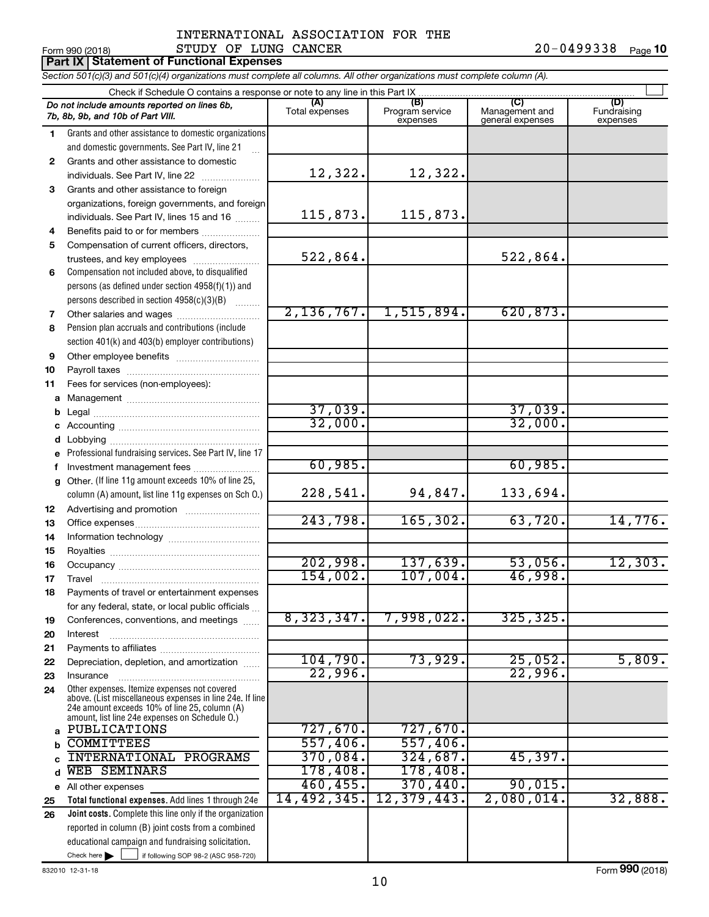20-0499338 Page 10

Form 990 (2018)  $S T U D Y OF L U N G CANCE R$ **Part IX Statement of Functional Expenses**

*Section 501(c)(3) and 501(c)(4) organizations must complete all columns. All other organizations must complete column (A).*

|              | Do not include amounts reported on lines 6b,<br>7b, 8b, 9b, and 10b of Part VIII.                        | (A)<br>Total expenses   | (B)<br>Program service<br>expenses | (C)<br>Management and<br>general expenses | (D)<br>Fundraising<br>expenses |  |  |  |  |  |  |  |
|--------------|----------------------------------------------------------------------------------------------------------|-------------------------|------------------------------------|-------------------------------------------|--------------------------------|--|--|--|--|--|--|--|
| 1.           | Grants and other assistance to domestic organizations                                                    |                         |                                    |                                           |                                |  |  |  |  |  |  |  |
|              | and domestic governments. See Part IV, line 21                                                           |                         |                                    |                                           |                                |  |  |  |  |  |  |  |
| 2            | Grants and other assistance to domestic                                                                  |                         |                                    |                                           |                                |  |  |  |  |  |  |  |
|              | individuals. See Part IV, line 22                                                                        | 12,322.                 | 12,322.                            |                                           |                                |  |  |  |  |  |  |  |
| 3            | Grants and other assistance to foreign                                                                   |                         |                                    |                                           |                                |  |  |  |  |  |  |  |
|              | organizations, foreign governments, and foreign                                                          |                         |                                    |                                           |                                |  |  |  |  |  |  |  |
|              | individuals. See Part IV, lines 15 and 16                                                                | 115,873.                | 115,873.                           |                                           |                                |  |  |  |  |  |  |  |
| 4            | Benefits paid to or for members                                                                          |                         |                                    |                                           |                                |  |  |  |  |  |  |  |
| 5            | Compensation of current officers, directors,                                                             |                         |                                    |                                           |                                |  |  |  |  |  |  |  |
|              | trustees, and key employees                                                                              | 522,864.                |                                    | 522,864.                                  |                                |  |  |  |  |  |  |  |
| 6            | Compensation not included above, to disqualified                                                         |                         |                                    |                                           |                                |  |  |  |  |  |  |  |
|              | persons (as defined under section 4958(f)(1)) and                                                        |                         |                                    |                                           |                                |  |  |  |  |  |  |  |
|              | persons described in section 4958(c)(3)(B)                                                               | $\overline{2,136,767.}$ | 1,515,894.                         | 620, 873.                                 |                                |  |  |  |  |  |  |  |
| 7<br>8       | Other salaries and wages<br>Pension plan accruals and contributions (include                             |                         |                                    |                                           |                                |  |  |  |  |  |  |  |
|              | section 401(k) and 403(b) employer contributions)                                                        |                         |                                    |                                           |                                |  |  |  |  |  |  |  |
| 9            |                                                                                                          |                         |                                    |                                           |                                |  |  |  |  |  |  |  |
| 10           |                                                                                                          |                         |                                    |                                           |                                |  |  |  |  |  |  |  |
| 11           | Fees for services (non-employees):                                                                       |                         |                                    |                                           |                                |  |  |  |  |  |  |  |
|              |                                                                                                          |                         |                                    |                                           |                                |  |  |  |  |  |  |  |
|              |                                                                                                          | 37,039.                 |                                    | 37,039.                                   |                                |  |  |  |  |  |  |  |
|              |                                                                                                          | 32,000.                 |                                    | 32,000.                                   |                                |  |  |  |  |  |  |  |
| d            |                                                                                                          |                         |                                    |                                           |                                |  |  |  |  |  |  |  |
| e            | Professional fundraising services. See Part IV, line 17                                                  |                         |                                    |                                           |                                |  |  |  |  |  |  |  |
| f            | Investment management fees                                                                               | 60,985.                 |                                    | 60,985.                                   |                                |  |  |  |  |  |  |  |
| $\mathbf{q}$ | Other. (If line 11g amount exceeds 10% of line 25,                                                       |                         |                                    |                                           |                                |  |  |  |  |  |  |  |
|              | column (A) amount, list line 11g expenses on Sch O.)                                                     | 228,541.                | 94,847.                            | 133,694.                                  |                                |  |  |  |  |  |  |  |
| 12           |                                                                                                          | 243,798.                |                                    | 63,720.                                   | 14,776.                        |  |  |  |  |  |  |  |
| 13           |                                                                                                          |                         | 165, 302.                          |                                           |                                |  |  |  |  |  |  |  |
| 14           |                                                                                                          |                         |                                    |                                           |                                |  |  |  |  |  |  |  |
| 15           |                                                                                                          | 202,998.                | 137,639.                           | 53,056.                                   | 12,303.                        |  |  |  |  |  |  |  |
| 16<br>17     |                                                                                                          | 154,002.                | 107,004.                           | 46,998.                                   |                                |  |  |  |  |  |  |  |
| 18           | Payments of travel or entertainment expenses                                                             |                         |                                    |                                           |                                |  |  |  |  |  |  |  |
|              | for any federal, state, or local public officials                                                        |                         |                                    |                                           |                                |  |  |  |  |  |  |  |
| 19           | Conferences, conventions, and meetings                                                                   | 8,323,347.              | 7,998,022.                         | 325, 325.                                 |                                |  |  |  |  |  |  |  |
| 20           | Interest                                                                                                 |                         |                                    |                                           |                                |  |  |  |  |  |  |  |
| 21           |                                                                                                          |                         |                                    |                                           |                                |  |  |  |  |  |  |  |
| 22           | Depreciation, depletion, and amortization                                                                | 104,790.                | 73,929.                            | 25,052.                                   | 5,809.                         |  |  |  |  |  |  |  |
| 23           | Insurance                                                                                                | 22,996.                 |                                    | 22,996                                    |                                |  |  |  |  |  |  |  |
| 24           | Other expenses. Itemize expenses not covered<br>above. (List miscellaneous expenses in line 24e. If line |                         |                                    |                                           |                                |  |  |  |  |  |  |  |
|              | 24e amount exceeds 10% of line 25, column (A)                                                            |                         |                                    |                                           |                                |  |  |  |  |  |  |  |
|              | amount, list line 24e expenses on Schedule O.)<br>PUBLICATIONS                                           | 727,670.                | 727,670.                           |                                           |                                |  |  |  |  |  |  |  |
| a            | <b>COMMITTEES</b>                                                                                        | 557,406.                | 557,406.                           |                                           |                                |  |  |  |  |  |  |  |
| b<br>C       | <b>INTERNATIONAL PROGRAMS</b>                                                                            | 370,084.                | 324,687.                           | 45,397.                                   |                                |  |  |  |  |  |  |  |
| d            | <b>WEB SEMINARS</b>                                                                                      | 178,408.                | 178,408.                           |                                           |                                |  |  |  |  |  |  |  |
|              | e All other expenses                                                                                     | 460, 455.               | 370,440.                           | 90,015.                                   |                                |  |  |  |  |  |  |  |
| 25           | Total functional expenses. Add lines 1 through 24e                                                       | 14,492,345.             | 12,379,443.                        | 2,080,014.                                | 32,888.                        |  |  |  |  |  |  |  |
| 26           | <b>Joint costs.</b> Complete this line only if the organization                                          |                         |                                    |                                           |                                |  |  |  |  |  |  |  |
|              | reported in column (B) joint costs from a combined                                                       |                         |                                    |                                           |                                |  |  |  |  |  |  |  |
|              | educational campaign and fundraising solicitation.                                                       |                         |                                    |                                           |                                |  |  |  |  |  |  |  |
|              | Check here $\blacktriangleright$<br>if following SOP 98-2 (ASC 958-720)                                  |                         |                                    |                                           |                                |  |  |  |  |  |  |  |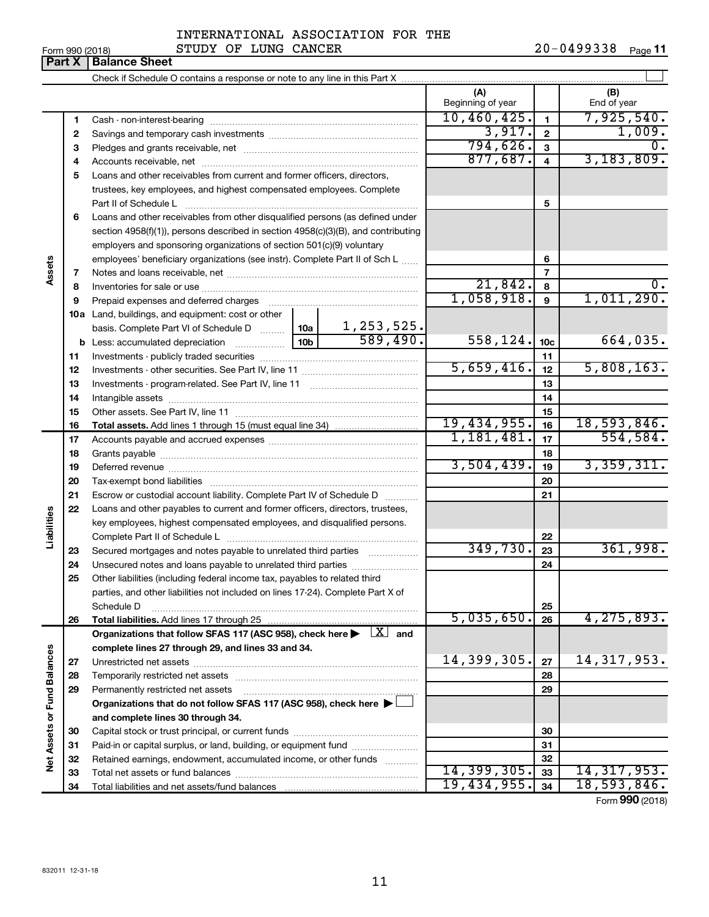## INTERNATIONAL ASSOCIATION FOR THE

20-0499338 Page 11

Form 990 (2018)  $S T U D Y OF L U N G CANCE R$   $20-0499338$   $Page$ **Part X Balance Sheet** 

|                             |    |                                                                                                                                | (A)<br>Beginning of year |                         | (B)<br>End of year |
|-----------------------------|----|--------------------------------------------------------------------------------------------------------------------------------|--------------------------|-------------------------|--------------------|
|                             | 1  |                                                                                                                                | 10,460,425.              | $\blacksquare$          | 7,925,540.         |
|                             | 2  |                                                                                                                                | 3,917.                   | $\overline{\mathbf{2}}$ | 1,009.             |
|                             | з  |                                                                                                                                | 794,626.                 | $\mathbf{3}$            | 0.                 |
|                             | 4  |                                                                                                                                | 877,687.                 | $\overline{\mathbf{4}}$ | 3, 183, 809.       |
|                             | 5  | Loans and other receivables from current and former officers, directors,                                                       |                          |                         |                    |
|                             |    | trustees, key employees, and highest compensated employees. Complete                                                           |                          |                         |                    |
|                             |    |                                                                                                                                |                          | 5                       |                    |
|                             | 6  | Loans and other receivables from other disqualified persons (as defined under                                                  |                          |                         |                    |
|                             |    | section 4958(f)(1)), persons described in section 4958(c)(3)(B), and contributing                                              |                          |                         |                    |
|                             |    | employers and sponsoring organizations of section 501(c)(9) voluntary                                                          |                          |                         |                    |
| Assets                      |    | employees' beneficiary organizations (see instr). Complete Part II of Sch L                                                    |                          | 6                       |                    |
|                             | 7  |                                                                                                                                |                          | $\overline{7}$          |                    |
|                             | 8  |                                                                                                                                | 21,842.                  | 8                       | υ.                 |
|                             | 9  | Prepaid expenses and deferred charges                                                                                          | 1,058,918.               | $\mathbf{g}$            | 1,011,290.         |
|                             |    | <b>10a</b> Land, buildings, and equipment: cost or other                                                                       |                          |                         |                    |
|                             |    | $\frac{1,253,525}{589,490}$<br>basis. Complete Part VI of Schedule D  10a                                                      |                          |                         |                    |
|                             |    | 10 <sub>b</sub><br><b>b</b> Less: accumulated depreciation                                                                     | 558, 124.                | 10 <sub>c</sub>         | 664,035.           |
|                             | 11 |                                                                                                                                |                          | 11                      |                    |
|                             | 12 |                                                                                                                                | 5,659,416.               | 12                      | 5,808,163.         |
|                             | 13 |                                                                                                                                |                          | 13                      |                    |
|                             | 14 |                                                                                                                                |                          | 14                      |                    |
|                             | 15 |                                                                                                                                |                          | 15                      |                    |
|                             | 16 |                                                                                                                                | 19,434,955.              | 16                      | 18,593,846.        |
|                             | 17 |                                                                                                                                | 1,181,481.               | 17                      | 554,584.           |
|                             | 18 |                                                                                                                                | 3,504,439.               | 18                      | 3,359,311.         |
|                             | 19 |                                                                                                                                |                          | 19                      |                    |
|                             | 20 |                                                                                                                                |                          | 20                      |                    |
|                             | 21 | Escrow or custodial account liability. Complete Part IV of Schedule D                                                          |                          | 21                      |                    |
| Liabilities                 | 22 | Loans and other payables to current and former officers, directors, trustees,                                                  |                          |                         |                    |
|                             |    | key employees, highest compensated employees, and disqualified persons.                                                        |                          | 22                      |                    |
|                             | 23 |                                                                                                                                | 349,730.                 | 23                      | 361,998.           |
|                             | 24 | Secured mortgages and notes payable to unrelated third parties<br>Unsecured notes and loans payable to unrelated third parties |                          | 24                      |                    |
|                             | 25 | Other liabilities (including federal income tax, payables to related third                                                     |                          |                         |                    |
|                             |    | parties, and other liabilities not included on lines 17-24). Complete Part X of                                                |                          |                         |                    |
|                             |    | Schedule D                                                                                                                     |                          | 25                      |                    |
|                             | 26 | Total liabilities. Add lines 17 through 25                                                                                     | 5,035,650.               | 26                      | 4, 275, 893.       |
|                             |    | Organizations that follow SFAS 117 (ASC 958), check here $\blacktriangleright \begin{array}{c} \perp X \end{array}$ and        |                          |                         |                    |
|                             |    | complete lines 27 through 29, and lines 33 and 34.                                                                             |                          |                         |                    |
|                             | 27 |                                                                                                                                | 14,399,305.              | 27                      | 14, 317, 953.      |
|                             | 28 |                                                                                                                                |                          | 28                      |                    |
|                             | 29 | Permanently restricted net assets                                                                                              |                          | 29                      |                    |
|                             |    | Organizations that do not follow SFAS 117 (ASC 958), check here ▶ [                                                            |                          |                         |                    |
|                             |    | and complete lines 30 through 34.                                                                                              |                          |                         |                    |
|                             | 30 |                                                                                                                                |                          | 30                      |                    |
|                             | 31 | Paid-in or capital surplus, or land, building, or equipment fund                                                               |                          | 31                      |                    |
| Net Assets or Fund Balances | 32 | Retained earnings, endowment, accumulated income, or other funds                                                               |                          | 32                      |                    |
|                             | 33 |                                                                                                                                | 14, 399, 305.            | 33                      | 14, 317, 953.      |
|                             | 34 |                                                                                                                                | 19,434,955.              | 34                      | 18,593,846.        |

Form (2018) **990**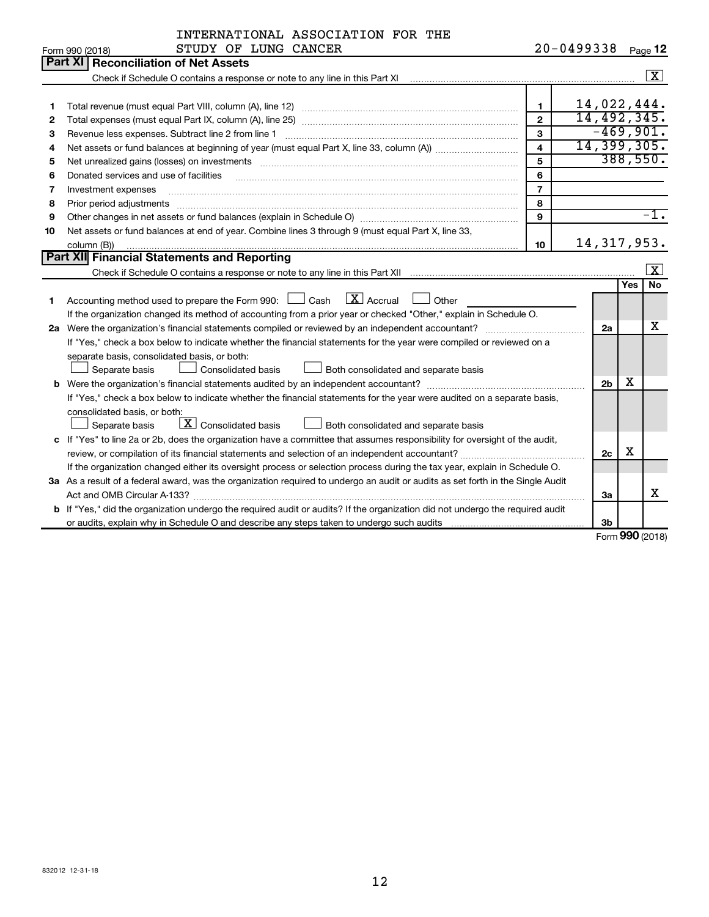|    | INTERNATIONAL ASSOCIATION FOR THE                                                                                               |                         |                |            |                             |  |  |  |  |
|----|---------------------------------------------------------------------------------------------------------------------------------|-------------------------|----------------|------------|-----------------------------|--|--|--|--|
|    | STUDY OF LUNG CANCER<br>Form 990 (2018)                                                                                         |                         | 20-0499338     |            | Page 12                     |  |  |  |  |
|    | <b>Reconciliation of Net Assets</b><br>Part XI I                                                                                |                         |                |            |                             |  |  |  |  |
|    |                                                                                                                                 |                         |                |            | $\overline{\mathbf{x}}$     |  |  |  |  |
|    |                                                                                                                                 |                         |                |            |                             |  |  |  |  |
| 1  |                                                                                                                                 | $\blacksquare$          | 14,022,444.    |            |                             |  |  |  |  |
| 2  |                                                                                                                                 | $\mathbf{2}$            | 14,492,345.    |            |                             |  |  |  |  |
| З  | $-469,901.$<br>3<br>Revenue less expenses. Subtract line 2 from line 1                                                          |                         |                |            |                             |  |  |  |  |
| 4  |                                                                                                                                 | $\overline{\mathbf{4}}$ | 14, 399, 305.  |            |                             |  |  |  |  |
| 5  |                                                                                                                                 | 5                       |                |            | 388,550.                    |  |  |  |  |
| 6  | Donated services and use of facilities                                                                                          | 6                       |                |            |                             |  |  |  |  |
| 7  | Investment expenses                                                                                                             | $\overline{7}$          |                |            |                             |  |  |  |  |
| 8  | Prior period adjustments                                                                                                        | 8                       |                |            |                             |  |  |  |  |
| 9  |                                                                                                                                 | 9                       |                |            | $\overline{-1}$ .           |  |  |  |  |
| 10 | Net assets or fund balances at end of year. Combine lines 3 through 9 (must equal Part X, line 33,                              |                         |                |            |                             |  |  |  |  |
|    | column (B))                                                                                                                     | 10                      | 14, 317, 953.  |            |                             |  |  |  |  |
|    | Part XII Financial Statements and Reporting                                                                                     |                         |                |            |                             |  |  |  |  |
|    |                                                                                                                                 |                         |                |            | $\overline{\mathbf{X}}$     |  |  |  |  |
|    |                                                                                                                                 |                         |                | <b>Yes</b> | No                          |  |  |  |  |
| 1  | $\boxed{\text{X}}$ Accrual<br>Accounting method used to prepare the Form 990: $\Box$ Cash<br>Other                              |                         |                |            |                             |  |  |  |  |
|    | If the organization changed its method of accounting from a prior year or checked "Other," explain in Schedule O.               |                         |                |            |                             |  |  |  |  |
|    |                                                                                                                                 |                         | 2a             |            | x                           |  |  |  |  |
|    | If "Yes," check a box below to indicate whether the financial statements for the year were compiled or reviewed on a            |                         |                |            |                             |  |  |  |  |
|    | separate basis, consolidated basis, or both:                                                                                    |                         |                |            |                             |  |  |  |  |
|    | Both consolidated and separate basis<br>Separate basis<br><b>Consolidated basis</b>                                             |                         |                |            |                             |  |  |  |  |
|    |                                                                                                                                 |                         | 2 <sub>b</sub> | X          |                             |  |  |  |  |
|    | If "Yes," check a box below to indicate whether the financial statements for the year were audited on a separate basis,         |                         |                |            |                             |  |  |  |  |
|    | consolidated basis, or both:                                                                                                    |                         |                |            |                             |  |  |  |  |
|    | $\boxed{\textbf{X}}$ Consolidated basis<br>Separate basis<br>Both consolidated and separate basis                               |                         |                |            |                             |  |  |  |  |
|    | c If "Yes" to line 2a or 2b, does the organization have a committee that assumes responsibility for oversight of the audit,     |                         |                |            |                             |  |  |  |  |
|    |                                                                                                                                 |                         | 2c             | х          |                             |  |  |  |  |
|    | If the organization changed either its oversight process or selection process during the tax year, explain in Schedule O.       |                         |                |            |                             |  |  |  |  |
|    | 3a As a result of a federal award, was the organization required to undergo an audit or audits as set forth in the Single Audit |                         |                |            |                             |  |  |  |  |
|    |                                                                                                                                 |                         | 3a             |            | x                           |  |  |  |  |
|    | b If "Yes," did the organization undergo the required audit or audits? If the organization did not undergo the required audit   |                         |                |            |                             |  |  |  |  |
|    |                                                                                                                                 |                         | 3 <sub>b</sub> |            | $F_{\text{arm}}$ 000 (2018) |  |  |  |  |

Form (2018) **990**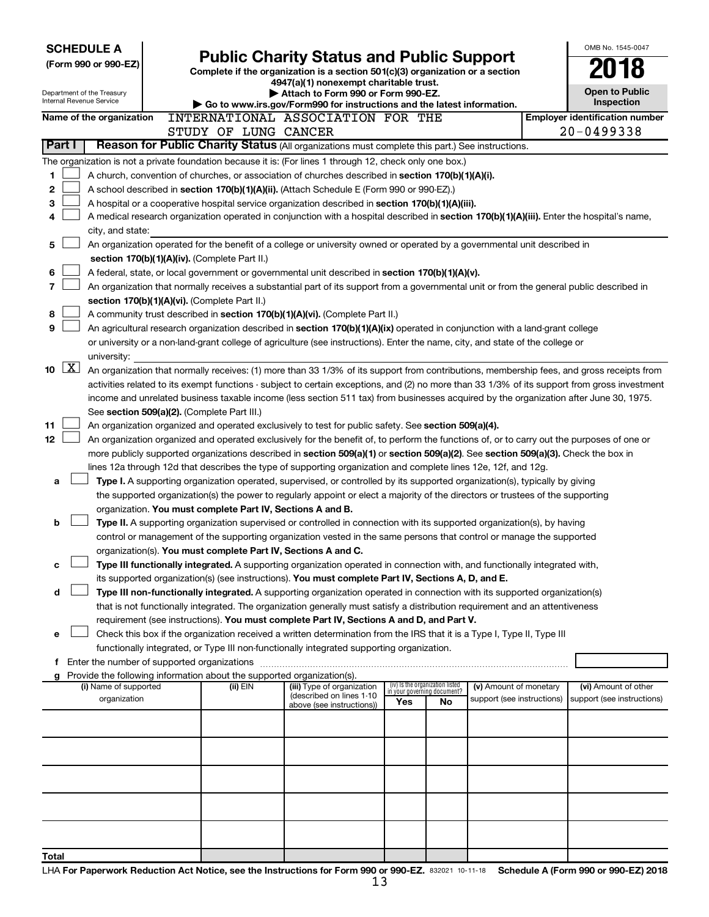| <b>SCHEDULE A</b>                                                                                         |                                                                                                   |                                                                                                                         |                                                                                                                                               |     |                                 |                            |  | OMB No. 1545-0047                                  |  |
|-----------------------------------------------------------------------------------------------------------|---------------------------------------------------------------------------------------------------|-------------------------------------------------------------------------------------------------------------------------|-----------------------------------------------------------------------------------------------------------------------------------------------|-----|---------------------------------|----------------------------|--|----------------------------------------------------|--|
| (Form 990 or 990-EZ)                                                                                      |                                                                                                   |                                                                                                                         | <b>Public Charity Status and Public Support</b>                                                                                               |     |                                 |                            |  |                                                    |  |
|                                                                                                           |                                                                                                   | Complete if the organization is a section 501(c)(3) organization or a section<br>4947(a)(1) nonexempt charitable trust. |                                                                                                                                               |     |                                 |                            |  |                                                    |  |
| Department of the Treasury                                                                                |                                                                                                   |                                                                                                                         | Attach to Form 990 or Form 990-EZ.                                                                                                            |     |                                 |                            |  | Open to Public                                     |  |
| Internal Revenue Service                                                                                  |                                                                                                   |                                                                                                                         | $\triangleright$ Go to www.irs.gov/Form990 for instructions and the latest information.                                                       |     |                                 |                            |  | <b>Inspection</b>                                  |  |
| Name of the organization                                                                                  |                                                                                                   |                                                                                                                         | INTERNATIONAL ASSOCIATION FOR THE                                                                                                             |     |                                 |                            |  | <b>Employer identification number</b>              |  |
|                                                                                                           |                                                                                                   | STUDY OF LUNG CANCER                                                                                                    |                                                                                                                                               |     |                                 |                            |  | $20 - 0499338$                                     |  |
| Part I                                                                                                    |                                                                                                   |                                                                                                                         | Reason for Public Charity Status (All organizations must complete this part.) See instructions.                                               |     |                                 |                            |  |                                                    |  |
| The organization is not a private foundation because it is: (For lines 1 through 12, check only one box.) |                                                                                                   |                                                                                                                         |                                                                                                                                               |     |                                 |                            |  |                                                    |  |
| 1                                                                                                         |                                                                                                   |                                                                                                                         | A church, convention of churches, or association of churches described in section 170(b)(1)(A)(i).                                            |     |                                 |                            |  |                                                    |  |
| 2<br>A school described in section 170(b)(1)(A)(ii). (Attach Schedule E (Form 990 or 990-EZ).)            |                                                                                                   |                                                                                                                         |                                                                                                                                               |     |                                 |                            |  |                                                    |  |
| 3                                                                                                         | A hospital or a cooperative hospital service organization described in section 170(b)(1)(A)(iii). |                                                                                                                         |                                                                                                                                               |     |                                 |                            |  |                                                    |  |
| 4                                                                                                         |                                                                                                   |                                                                                                                         | A medical research organization operated in conjunction with a hospital described in section 170(b)(1)(A)(iii). Enter the hospital's name,    |     |                                 |                            |  |                                                    |  |
| city, and state:                                                                                          |                                                                                                   |                                                                                                                         |                                                                                                                                               |     |                                 |                            |  |                                                    |  |
| 5                                                                                                         |                                                                                                   |                                                                                                                         | An organization operated for the benefit of a college or university owned or operated by a governmental unit described in                     |     |                                 |                            |  |                                                    |  |
|                                                                                                           |                                                                                                   | section 170(b)(1)(A)(iv). (Complete Part II.)                                                                           |                                                                                                                                               |     |                                 |                            |  |                                                    |  |
| 6                                                                                                         |                                                                                                   |                                                                                                                         | A federal, state, or local government or governmental unit described in section 170(b)(1)(A)(v).                                              |     |                                 |                            |  |                                                    |  |
| 7                                                                                                         |                                                                                                   |                                                                                                                         | An organization that normally receives a substantial part of its support from a governmental unit or from the general public described in     |     |                                 |                            |  |                                                    |  |
|                                                                                                           |                                                                                                   | section 170(b)(1)(A)(vi). (Complete Part II.)                                                                           |                                                                                                                                               |     |                                 |                            |  |                                                    |  |
| 8                                                                                                         |                                                                                                   |                                                                                                                         | A community trust described in section 170(b)(1)(A)(vi). (Complete Part II.)                                                                  |     |                                 |                            |  |                                                    |  |
| 9                                                                                                         |                                                                                                   |                                                                                                                         | An agricultural research organization described in section 170(b)(1)(A)(ix) operated in conjunction with a land-grant college                 |     |                                 |                            |  |                                                    |  |
|                                                                                                           |                                                                                                   |                                                                                                                         | or university or a non-land-grant college of agriculture (see instructions). Enter the name, city, and state of the college or                |     |                                 |                            |  |                                                    |  |
| university:<br>$\lfloor x \rfloor$<br>10                                                                  |                                                                                                   |                                                                                                                         | An organization that normally receives: (1) more than 33 1/3% of its support from contributions, membership fees, and gross receipts from     |     |                                 |                            |  |                                                    |  |
|                                                                                                           |                                                                                                   |                                                                                                                         | activities related to its exempt functions - subject to certain exceptions, and (2) no more than 33 1/3% of its support from gross investment |     |                                 |                            |  |                                                    |  |
|                                                                                                           |                                                                                                   |                                                                                                                         | income and unrelated business taxable income (less section 511 tax) from businesses acquired by the organization after June 30, 1975.         |     |                                 |                            |  |                                                    |  |
|                                                                                                           |                                                                                                   | See section 509(a)(2). (Complete Part III.)                                                                             |                                                                                                                                               |     |                                 |                            |  |                                                    |  |
| 11                                                                                                        |                                                                                                   |                                                                                                                         | An organization organized and operated exclusively to test for public safety. See section 509(a)(4).                                          |     |                                 |                            |  |                                                    |  |
| 12 <sub>2</sub>                                                                                           |                                                                                                   |                                                                                                                         | An organization organized and operated exclusively for the benefit of, to perform the functions of, or to carry out the purposes of one or    |     |                                 |                            |  |                                                    |  |
|                                                                                                           |                                                                                                   |                                                                                                                         | more publicly supported organizations described in section 509(a)(1) or section 509(a)(2). See section 509(a)(3). Check the box in            |     |                                 |                            |  |                                                    |  |
|                                                                                                           |                                                                                                   |                                                                                                                         | lines 12a through 12d that describes the type of supporting organization and complete lines 12e, 12f, and 12g.                                |     |                                 |                            |  |                                                    |  |
| a                                                                                                         |                                                                                                   |                                                                                                                         | Type I. A supporting organization operated, supervised, or controlled by its supported organization(s), typically by giving                   |     |                                 |                            |  |                                                    |  |
|                                                                                                           |                                                                                                   |                                                                                                                         | the supported organization(s) the power to regularly appoint or elect a majority of the directors or trustees of the supporting               |     |                                 |                            |  |                                                    |  |
|                                                                                                           |                                                                                                   | organization. You must complete Part IV, Sections A and B.                                                              |                                                                                                                                               |     |                                 |                            |  |                                                    |  |
| b                                                                                                         |                                                                                                   |                                                                                                                         | Type II. A supporting organization supervised or controlled in connection with its supported organization(s), by having                       |     |                                 |                            |  |                                                    |  |
|                                                                                                           |                                                                                                   |                                                                                                                         | control or management of the supporting organization vested in the same persons that control or manage the supported                          |     |                                 |                            |  |                                                    |  |
|                                                                                                           |                                                                                                   | organization(s). You must complete Part IV, Sections A and C.                                                           |                                                                                                                                               |     |                                 |                            |  |                                                    |  |
|                                                                                                           |                                                                                                   |                                                                                                                         | Type III functionally integrated. A supporting organization operated in connection with, and functionally integrated with,                    |     |                                 |                            |  |                                                    |  |
|                                                                                                           |                                                                                                   |                                                                                                                         | its supported organization(s) (see instructions). You must complete Part IV, Sections A, D, and E.                                            |     |                                 |                            |  |                                                    |  |
| d                                                                                                         |                                                                                                   |                                                                                                                         | Type III non-functionally integrated. A supporting organization operated in connection with its supported organization(s)                     |     |                                 |                            |  |                                                    |  |
|                                                                                                           |                                                                                                   |                                                                                                                         | that is not functionally integrated. The organization generally must satisfy a distribution requirement and an attentiveness                  |     |                                 |                            |  |                                                    |  |
|                                                                                                           |                                                                                                   |                                                                                                                         | requirement (see instructions). You must complete Part IV, Sections A and D, and Part V.                                                      |     |                                 |                            |  |                                                    |  |
| e                                                                                                         |                                                                                                   |                                                                                                                         | Check this box if the organization received a written determination from the IRS that it is a Type I, Type II, Type III                       |     |                                 |                            |  |                                                    |  |
|                                                                                                           |                                                                                                   |                                                                                                                         | functionally integrated, or Type III non-functionally integrated supporting organization.                                                     |     |                                 |                            |  |                                                    |  |
|                                                                                                           |                                                                                                   |                                                                                                                         |                                                                                                                                               |     |                                 |                            |  |                                                    |  |
| g Provide the following information about the supported organization(s).                                  |                                                                                                   |                                                                                                                         |                                                                                                                                               |     | (iv) Is the organization listed | (v) Amount of monetary     |  |                                                    |  |
| (i) Name of supported<br>organization                                                                     |                                                                                                   | (ii) EIN                                                                                                                | (iii) Type of organization<br>(described on lines 1-10                                                                                        |     | in your governing document?     | support (see instructions) |  | (vi) Amount of other<br>support (see instructions) |  |
|                                                                                                           |                                                                                                   |                                                                                                                         | above (see instructions))                                                                                                                     | Yes | No.                             |                            |  |                                                    |  |
|                                                                                                           |                                                                                                   |                                                                                                                         |                                                                                                                                               |     |                                 |                            |  |                                                    |  |
|                                                                                                           |                                                                                                   |                                                                                                                         |                                                                                                                                               |     |                                 |                            |  |                                                    |  |
|                                                                                                           |                                                                                                   |                                                                                                                         |                                                                                                                                               |     |                                 |                            |  |                                                    |  |
|                                                                                                           |                                                                                                   |                                                                                                                         |                                                                                                                                               |     |                                 |                            |  |                                                    |  |
|                                                                                                           |                                                                                                   |                                                                                                                         |                                                                                                                                               |     |                                 |                            |  |                                                    |  |
|                                                                                                           |                                                                                                   |                                                                                                                         |                                                                                                                                               |     |                                 |                            |  |                                                    |  |
|                                                                                                           |                                                                                                   |                                                                                                                         |                                                                                                                                               |     |                                 |                            |  |                                                    |  |
|                                                                                                           |                                                                                                   |                                                                                                                         |                                                                                                                                               |     |                                 |                            |  |                                                    |  |
|                                                                                                           |                                                                                                   |                                                                                                                         |                                                                                                                                               |     |                                 |                            |  |                                                    |  |
| Total                                                                                                     |                                                                                                   |                                                                                                                         |                                                                                                                                               |     |                                 |                            |  |                                                    |  |
|                                                                                                           |                                                                                                   |                                                                                                                         |                                                                                                                                               |     |                                 |                            |  |                                                    |  |

r.

 $\mathbf{r}$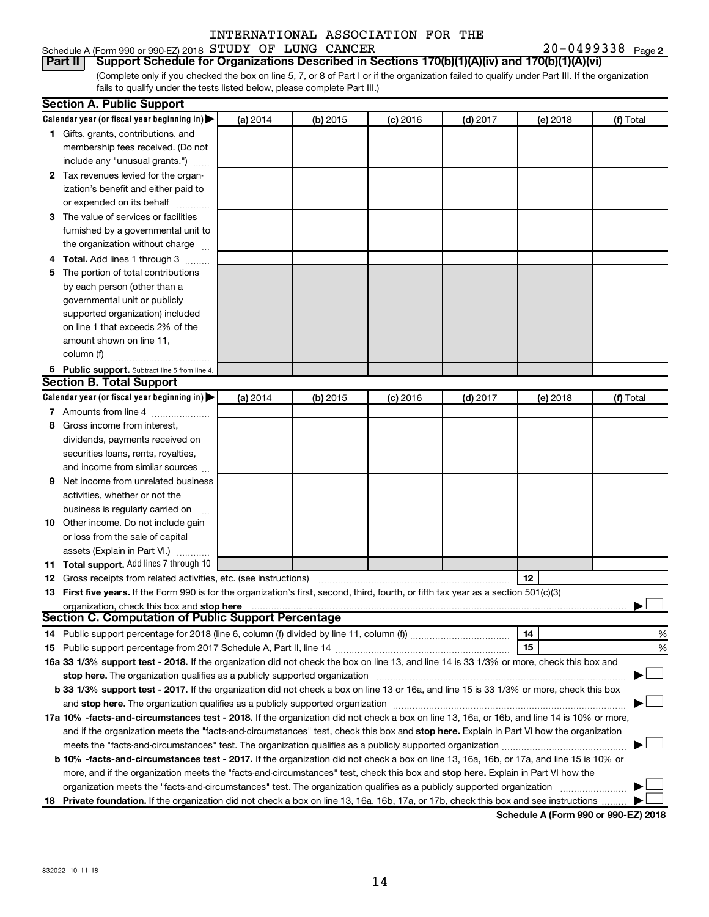### Schedule A (Form 990 or 990-EZ) 2018  $S TUDY$  OF LUNG CANCER  $20-0499338$  Page

20-0499338 Page 2

(Complete only if you checked the box on line 5, 7, or 8 of Part I or if the organization failed to qualify under Part III. If the organization fails to qualify under the tests listed below, please complete Part III.) **Part II Support Schedule for Organizations Described in Sections 170(b)(1)(A)(iv) and 170(b)(1)(A)(vi)**

|   | <b>Section A. Public Support</b>                                                                                                           |          |          |            |            |          |           |
|---|--------------------------------------------------------------------------------------------------------------------------------------------|----------|----------|------------|------------|----------|-----------|
|   | Calendar year (or fiscal year beginning in)                                                                                                | (a) 2014 | (b) 2015 | $(c)$ 2016 | $(d)$ 2017 | (e) 2018 | (f) Total |
|   | 1 Gifts, grants, contributions, and                                                                                                        |          |          |            |            |          |           |
|   | membership fees received. (Do not                                                                                                          |          |          |            |            |          |           |
|   | include any "unusual grants.")                                                                                                             |          |          |            |            |          |           |
|   | 2 Tax revenues levied for the organ-                                                                                                       |          |          |            |            |          |           |
|   | ization's benefit and either paid to                                                                                                       |          |          |            |            |          |           |
|   | or expended on its behalf                                                                                                                  |          |          |            |            |          |           |
|   | 3 The value of services or facilities                                                                                                      |          |          |            |            |          |           |
|   | furnished by a governmental unit to                                                                                                        |          |          |            |            |          |           |
|   | the organization without charge                                                                                                            |          |          |            |            |          |           |
|   | 4 Total. Add lines 1 through 3                                                                                                             |          |          |            |            |          |           |
|   | 5 The portion of total contributions                                                                                                       |          |          |            |            |          |           |
|   | by each person (other than a                                                                                                               |          |          |            |            |          |           |
|   | governmental unit or publicly                                                                                                              |          |          |            |            |          |           |
|   | supported organization) included                                                                                                           |          |          |            |            |          |           |
|   | on line 1 that exceeds 2% of the                                                                                                           |          |          |            |            |          |           |
|   | amount shown on line 11,                                                                                                                   |          |          |            |            |          |           |
|   | column (f)                                                                                                                                 |          |          |            |            |          |           |
|   | 6 Public support. Subtract line 5 from line 4.                                                                                             |          |          |            |            |          |           |
|   | <b>Section B. Total Support</b>                                                                                                            |          |          |            |            |          |           |
|   | Calendar year (or fiscal year beginning in)                                                                                                | (a) 2014 | (b) 2015 | $(c)$ 2016 | $(d)$ 2017 | (e) 2018 | (f) Total |
|   | 7 Amounts from line 4                                                                                                                      |          |          |            |            |          |           |
|   | 8 Gross income from interest,                                                                                                              |          |          |            |            |          |           |
|   | dividends, payments received on                                                                                                            |          |          |            |            |          |           |
|   | securities loans, rents, royalties,                                                                                                        |          |          |            |            |          |           |
|   | and income from similar sources                                                                                                            |          |          |            |            |          |           |
| 9 | Net income from unrelated business                                                                                                         |          |          |            |            |          |           |
|   | activities, whether or not the                                                                                                             |          |          |            |            |          |           |
|   | business is regularly carried on                                                                                                           |          |          |            |            |          |           |
|   | 10 Other income. Do not include gain                                                                                                       |          |          |            |            |          |           |
|   | or loss from the sale of capital                                                                                                           |          |          |            |            |          |           |
|   | assets (Explain in Part VI.)                                                                                                               |          |          |            |            |          |           |
|   | 11 Total support. Add lines 7 through 10                                                                                                   |          |          |            |            |          |           |
|   | <b>12</b> Gross receipts from related activities, etc. (see instructions)                                                                  |          |          |            |            | 12       |           |
|   | 13 First five years. If the Form 990 is for the organization's first, second, third, fourth, or fifth tax year as a section 501(c)(3)      |          |          |            |            |          |           |
|   | organization, check this box and stop here                                                                                                 |          |          |            |            |          |           |
|   | <b>Section C. Computation of Public Support Percentage</b>                                                                                 |          |          |            |            |          |           |
|   |                                                                                                                                            |          |          |            |            | 14       | %         |
|   |                                                                                                                                            |          |          |            |            | 15       | %         |
|   | 16a 33 1/3% support test - 2018. If the organization did not check the box on line 13, and line 14 is 33 1/3% or more, check this box and  |          |          |            |            |          |           |
|   | stop here. The organization qualifies as a publicly supported organization                                                                 |          |          |            |            |          |           |
|   | b 33 1/3% support test - 2017. If the organization did not check a box on line 13 or 16a, and line 15 is 33 1/3% or more, check this box   |          |          |            |            |          |           |
|   |                                                                                                                                            |          |          |            |            |          |           |
|   | 17a 10% -facts-and-circumstances test - 2018. If the organization did not check a box on line 13, 16a, or 16b, and line 14 is 10% or more, |          |          |            |            |          |           |
|   | and if the organization meets the "facts-and-circumstances" test, check this box and stop here. Explain in Part VI how the organization    |          |          |            |            |          |           |
|   | meets the "facts-and-circumstances" test. The organization qualifies as a publicly supported organization                                  |          |          |            |            |          |           |
|   | b 10% -facts-and-circumstances test - 2017. If the organization did not check a box on line 13, 16a, 16b, or 17a, and line 15 is 10% or    |          |          |            |            |          |           |
|   | more, and if the organization meets the "facts-and-circumstances" test, check this box and stop here. Explain in Part VI how the           |          |          |            |            |          |           |
|   | organization meets the "facts-and-circumstances" test. The organization qualifies as a publicly supported organization                     |          |          |            |            |          |           |
|   | 18 Private foundation. If the organization did not check a box on line 13, 16a, 16b, 17a, or 17b, check this box and see instructions      |          |          |            |            |          |           |
|   |                                                                                                                                            |          |          |            |            |          |           |

**Schedule A (Form 990 or 990-EZ) 2018**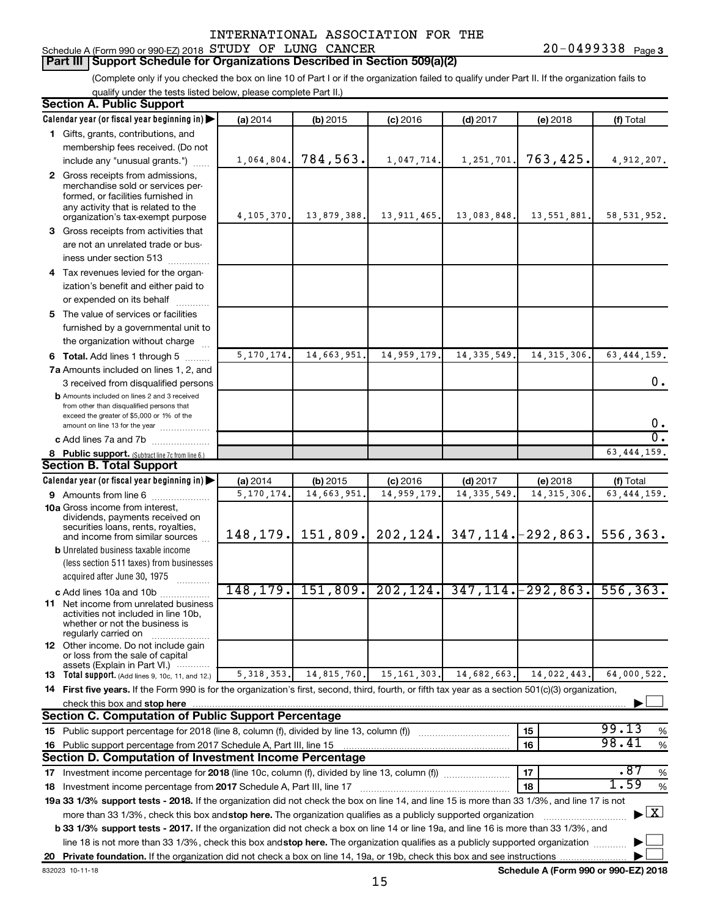### Schedule A (Form 990 or 990-EZ) 2018  $S TUDY$  OF LUNG CANCER  $20-0499338$  Page

### **Part III Support Schedule for Organizations Described in Section 509(a)(2)**

(Complete only if you checked the box on line 10 of Part I or if the organization failed to qualify under Part II. If the organization fails to qualify under the tests listed below, please complete Part II.)

| <b>Section A. Public Support</b>                                                                                                                    |              |                     |               |              |                         |                                    |
|-----------------------------------------------------------------------------------------------------------------------------------------------------|--------------|---------------------|---------------|--------------|-------------------------|------------------------------------|
| Calendar year (or fiscal year beginning in)                                                                                                         | (a) 2014     | (b) 2015            | $(c)$ 2016    | $(d)$ 2017   | (e) 2018                | (f) Total                          |
| 1 Gifts, grants, contributions, and                                                                                                                 |              |                     |               |              |                         |                                    |
| membership fees received. (Do not                                                                                                                   |              |                     |               |              |                         |                                    |
| include any "unusual grants.")                                                                                                                      | 1,064,804.   | 784,563.            | 1,047,714.    | 1,251,701.   | 763,425.                | 4,912,207.                         |
| 2 Gross receipts from admissions,                                                                                                                   |              |                     |               |              |                         |                                    |
| merchandise sold or services per-                                                                                                                   |              |                     |               |              |                         |                                    |
| formed, or facilities furnished in<br>any activity that is related to the                                                                           |              |                     |               |              |                         |                                    |
| organization's tax-exempt purpose                                                                                                                   | 4, 105, 370. | 13,879,388.         | 13, 911, 465. | 13,083,848.  | 13,551,881.             | 58, 531, 952.                      |
| 3 Gross receipts from activities that                                                                                                               |              |                     |               |              |                         |                                    |
| are not an unrelated trade or bus-                                                                                                                  |              |                     |               |              |                         |                                    |
| iness under section 513                                                                                                                             |              |                     |               |              |                         |                                    |
| 4 Tax revenues levied for the organ-                                                                                                                |              |                     |               |              |                         |                                    |
| ization's benefit and either paid to                                                                                                                |              |                     |               |              |                         |                                    |
| or expended on its behalf<br>.                                                                                                                      |              |                     |               |              |                         |                                    |
| 5 The value of services or facilities                                                                                                               |              |                     |               |              |                         |                                    |
| furnished by a governmental unit to                                                                                                                 |              |                     |               |              |                         |                                    |
| the organization without charge                                                                                                                     |              |                     |               |              |                         |                                    |
| 6 Total. Add lines 1 through 5                                                                                                                      | 5,170,174.   | 14,663,951          | 14,959,179    | 14, 335, 549 | 14, 315, 306.           | 63, 444, 159.                      |
| 7a Amounts included on lines 1, 2, and                                                                                                              |              |                     |               |              |                         |                                    |
| 3 received from disqualified persons                                                                                                                |              |                     |               |              |                         | 0.                                 |
| <b>b</b> Amounts included on lines 2 and 3 received                                                                                                 |              |                     |               |              |                         |                                    |
| from other than disqualified persons that                                                                                                           |              |                     |               |              |                         |                                    |
| exceed the greater of \$5,000 or 1% of the<br>amount on line 13 for the year                                                                        |              |                     |               |              |                         | 0.                                 |
| c Add lines 7a and 7b                                                                                                                               |              |                     |               |              |                         | σ.                                 |
|                                                                                                                                                     |              |                     |               |              |                         | 63, 444, 159.                      |
| 8 Public support. (Subtract line 7c from line 6.)<br><b>Section B. Total Support</b>                                                                |              |                     |               |              |                         |                                    |
| Calendar year (or fiscal year beginning in)                                                                                                         | (a) 2014     | $(b)$ 2015          | $(c)$ 2016    | $(d)$ 2017   | (e) 2018                | (f) Total                          |
| 9 Amounts from line 6                                                                                                                               | 5, 170, 174. | 14,663,951          | 14,959,179    | 14, 335, 549 | 14, 315, 306            | 63, 444, 159.                      |
| <b>10a</b> Gross income from interest,                                                                                                              |              |                     |               |              |                         |                                    |
| dividends, payments received on                                                                                                                     |              |                     |               |              |                         |                                    |
| securities loans, rents, royalties,                                                                                                                 |              | 148, 179. 151, 809. | 202, 124.     |              | $347, 114. - 292, 863.$ | 556,363.                           |
| and income from similar sources                                                                                                                     |              |                     |               |              |                         |                                    |
| <b>b</b> Unrelated business taxable income<br>(less section 511 taxes) from businesses                                                              |              |                     |               |              |                         |                                    |
| acquired after June 30, 1975                                                                                                                        |              |                     |               |              |                         |                                    |
|                                                                                                                                                     | 148,179.     | 151,809.            | 202, 124.     |              | $347, 114. - 292, 863.$ | 556, 363.                          |
| c Add lines 10a and 10b<br><b>11</b> Net income from unrelated business                                                                             |              |                     |               |              |                         |                                    |
| activities not included in line 10b,                                                                                                                |              |                     |               |              |                         |                                    |
| whether or not the business is                                                                                                                      |              |                     |               |              |                         |                                    |
| regularly carried on                                                                                                                                |              |                     |               |              |                         |                                    |
| 12 Other income. Do not include gain<br>or loss from the sale of capital                                                                            |              |                     |               |              |                         |                                    |
| assets (Explain in Part VI.)                                                                                                                        |              |                     |               |              |                         |                                    |
| <b>13</b> Total support. (Add lines 9, 10c, 11, and 12.)                                                                                            | 5,318,353.   | 14,815,760.         | 15, 161, 303. | 14,682,663.  | 14,022,443.             | 64,000,522.                        |
| 14 First five years. If the Form 990 is for the organization's first, second, third, fourth, or fifth tax year as a section 501(c)(3) organization, |              |                     |               |              |                         |                                    |
| check this box and stop here                                                                                                                        |              |                     |               |              |                         |                                    |
| <b>Section C. Computation of Public Support Percentage</b>                                                                                          |              |                     |               |              |                         |                                    |
| 15 Public support percentage for 2018 (line 8, column (f), divided by line 13, column (f))                                                          |              |                     |               |              | 15                      | 99.13<br>%                         |
| 16 Public support percentage from 2017 Schedule A, Part III, line 15                                                                                |              |                     |               |              | 16                      | 98.41<br>$\%$                      |
| Section D. Computation of Investment Income Percentage                                                                                              |              |                     |               |              |                         |                                    |
| 17 Investment income percentage for 2018 (line 10c, column (f), divided by line 13, column (f))                                                     |              |                     |               |              | 17                      | .87<br>%                           |
| 18 Investment income percentage from 2017 Schedule A, Part III, line 17                                                                             |              |                     |               |              | 18                      | 1.59<br>%                          |
| 19a 33 1/3% support tests - 2018. If the organization did not check the box on line 14, and line 15 is more than 33 1/3%, and line 17 is not        |              |                     |               |              |                         |                                    |
| more than 33 1/3%, check this box and stop here. The organization qualifies as a publicly supported organization                                    |              |                     |               |              |                         | $\blacktriangleright$ $\mathbf{X}$ |
| b 33 1/3% support tests - 2017. If the organization did not check a box on line 14 or line 19a, and line 16 is more than 33 1/3%, and               |              |                     |               |              |                         |                                    |
| line 18 is not more than 33 1/3%, check this box and stop here. The organization qualifies as a publicly supported organization                     |              |                     |               |              |                         |                                    |
|                                                                                                                                                     |              |                     |               |              |                         |                                    |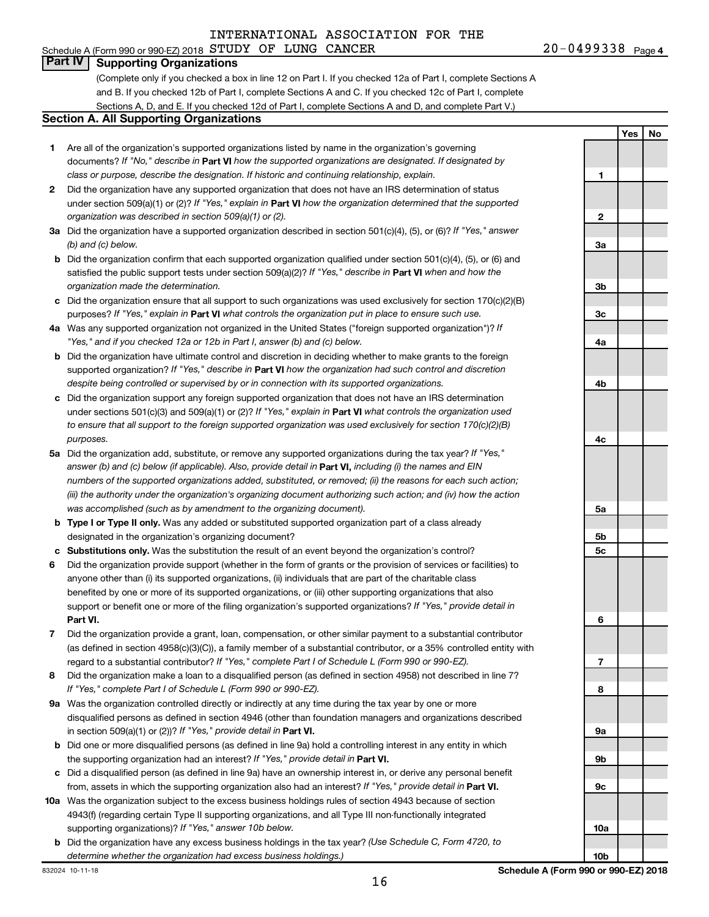**Yes No**

### **Part IV Supporting Organizations**

(Complete only if you checked a box in line 12 on Part I. If you checked 12a of Part I, complete Sections A and B. If you checked 12b of Part I, complete Sections A and C. If you checked 12c of Part I, complete Sections A, D, and E. If you checked 12d of Part I, complete Sections A and D, and complete Part V.)

#### **Section A. All Supporting Organizations**

- **1** Are all of the organization's supported organizations listed by name in the organization's governing documents? If "No," describe in Part VI how the supported organizations are designated. If designated by *class or purpose, describe the designation. If historic and continuing relationship, explain.*
- **2** Did the organization have any supported organization that does not have an IRS determination of status under section 509(a)(1) or (2)? If "Yes," explain in Part **VI** how the organization determined that the supported *organization was described in section 509(a)(1) or (2).*
- **3a** Did the organization have a supported organization described in section 501(c)(4), (5), or (6)? If "Yes," answer *(b) and (c) below.*
- **b** Did the organization confirm that each supported organization qualified under section 501(c)(4), (5), or (6) and satisfied the public support tests under section 509(a)(2)? If "Yes," describe in Part VI when and how the *organization made the determination.*
- **c** Did the organization ensure that all support to such organizations was used exclusively for section 170(c)(2)(B) purposes? If "Yes," explain in Part VI what controls the organization put in place to ensure such use.
- **4 a** *If* Was any supported organization not organized in the United States ("foreign supported organization")? *"Yes," and if you checked 12a or 12b in Part I, answer (b) and (c) below.*
- **b** Did the organization have ultimate control and discretion in deciding whether to make grants to the foreign supported organization? If "Yes," describe in Part VI how the organization had such control and discretion *despite being controlled or supervised by or in connection with its supported organizations.*
- **c** Did the organization support any foreign supported organization that does not have an IRS determination under sections 501(c)(3) and 509(a)(1) or (2)? If "Yes," explain in Part VI what controls the organization used *to ensure that all support to the foreign supported organization was used exclusively for section 170(c)(2)(B) purposes.*
- **5a** Did the organization add, substitute, or remove any supported organizations during the tax year? If "Yes," answer (b) and (c) below (if applicable). Also, provide detail in **Part VI,** including (i) the names and EIN *numbers of the supported organizations added, substituted, or removed; (ii) the reasons for each such action; (iii) the authority under the organization's organizing document authorizing such action; and (iv) how the action was accomplished (such as by amendment to the organizing document).*
- **b** Type I or Type II only. Was any added or substituted supported organization part of a class already designated in the organization's organizing document?
- **c Substitutions only.**  Was the substitution the result of an event beyond the organization's control?
- **6** Did the organization provide support (whether in the form of grants or the provision of services or facilities) to **Part VI.** support or benefit one or more of the filing organization's supported organizations? If "Yes," provide detail in anyone other than (i) its supported organizations, (ii) individuals that are part of the charitable class benefited by one or more of its supported organizations, or (iii) other supporting organizations that also
- **7** Did the organization provide a grant, loan, compensation, or other similar payment to a substantial contributor regard to a substantial contributor? If "Yes," complete Part I of Schedule L (Form 990 or 990-EZ). (as defined in section 4958(c)(3)(C)), a family member of a substantial contributor, or a 35% controlled entity with
- **8** Did the organization make a loan to a disqualified person (as defined in section 4958) not described in line 7? *If "Yes," complete Part I of Schedule L (Form 990 or 990-EZ).*
- **9 a** Was the organization controlled directly or indirectly at any time during the tax year by one or more in section 509(a)(1) or (2))? If "Yes," provide detail in **Part VI.** disqualified persons as defined in section 4946 (other than foundation managers and organizations described
- **b** Did one or more disqualified persons (as defined in line 9a) hold a controlling interest in any entity in which the supporting organization had an interest? If "Yes," provide detail in Part VI.
- **c** Did a disqualified person (as defined in line 9a) have an ownership interest in, or derive any personal benefit from, assets in which the supporting organization also had an interest? If "Yes," provide detail in Part VI.
- **10 a** Was the organization subject to the excess business holdings rules of section 4943 because of section supporting organizations)? If "Yes," answer 10b below. 4943(f) (regarding certain Type II supporting organizations, and all Type III non-functionally integrated
	- **b** Did the organization have any excess business holdings in the tax year? (Use Schedule C, Form 4720, to *determine whether the organization had excess business holdings.)*

**1 2 3a 3b 3c 4a 4b 4c 5a 5b 5c 6 7 8 9a 9b 9c 10a**

**10b**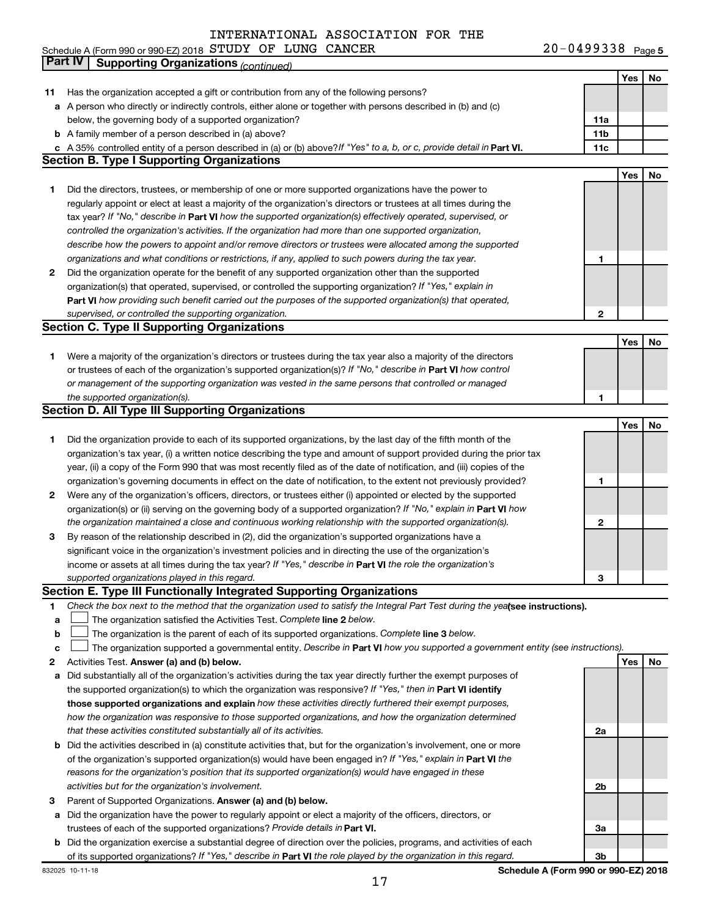20-0499338 Page 5 Schedule A (Form 990 or 990-EZ) 2018 STUDY OF LIUNG CANCER NAMEL ALL NAMEL AND MODEL AND MODEL ASSESSED Fage STUDY OF LUNG CANCER 20-0499338

|             | Part IV<br><b>Supporting Organizations (continued)</b>                                                                          |                 |     |    |
|-------------|---------------------------------------------------------------------------------------------------------------------------------|-----------------|-----|----|
|             |                                                                                                                                 |                 | Yes | No |
| 11          | Has the organization accepted a gift or contribution from any of the following persons?                                         |                 |     |    |
|             | a A person who directly or indirectly controls, either alone or together with persons described in (b) and (c)                  |                 |     |    |
|             | below, the governing body of a supported organization?                                                                          | 11a             |     |    |
|             | <b>b</b> A family member of a person described in (a) above?                                                                    | 11 <sub>b</sub> |     |    |
|             | c A 35% controlled entity of a person described in (a) or (b) above? If "Yes" to a, b, or c, provide detail in Part VI.         | 11c             |     |    |
|             | <b>Section B. Type I Supporting Organizations</b>                                                                               |                 |     |    |
|             |                                                                                                                                 |                 | Yes | No |
|             |                                                                                                                                 |                 |     |    |
| 1           | Did the directors, trustees, or membership of one or more supported organizations have the power to                             |                 |     |    |
|             | regularly appoint or elect at least a majority of the organization's directors or trustees at all times during the              |                 |     |    |
|             | tax year? If "No," describe in Part VI how the supported organization(s) effectively operated, supervised, or                   |                 |     |    |
|             | controlled the organization's activities. If the organization had more than one supported organization,                         |                 |     |    |
|             | describe how the powers to appoint and/or remove directors or trustees were allocated among the supported                       |                 |     |    |
|             | organizations and what conditions or restrictions, if any, applied to such powers during the tax year.                          | 1               |     |    |
| 2           | Did the organization operate for the benefit of any supported organization other than the supported                             |                 |     |    |
|             | organization(s) that operated, supervised, or controlled the supporting organization? If "Yes," explain in                      |                 |     |    |
|             | Part VI how providing such benefit carried out the purposes of the supported organization(s) that operated,                     |                 |     |    |
|             | supervised, or controlled the supporting organization.                                                                          | $\mathbf{2}$    |     |    |
|             | <b>Section C. Type II Supporting Organizations</b>                                                                              |                 |     |    |
|             |                                                                                                                                 |                 | Yes | No |
| 1           | Were a majority of the organization's directors or trustees during the tax year also a majority of the directors                |                 |     |    |
|             | or trustees of each of the organization's supported organization(s)? If "No," describe in Part VI how control                   |                 |     |    |
|             | or management of the supporting organization was vested in the same persons that controlled or managed                          |                 |     |    |
|             | the supported organization(s).                                                                                                  | 1               |     |    |
|             | <b>Section D. All Type III Supporting Organizations</b>                                                                         |                 |     |    |
|             |                                                                                                                                 |                 | Yes | No |
| 1           | Did the organization provide to each of its supported organizations, by the last day of the fifth month of the                  |                 |     |    |
|             |                                                                                                                                 |                 |     |    |
|             | organization's tax year, (i) a written notice describing the type and amount of support provided during the prior tax           |                 |     |    |
|             | year, (ii) a copy of the Form 990 that was most recently filed as of the date of notification, and (iii) copies of the          |                 |     |    |
|             | organization's governing documents in effect on the date of notification, to the extent not previously provided?                | 1               |     |    |
| 2           | Were any of the organization's officers, directors, or trustees either (i) appointed or elected by the supported                |                 |     |    |
|             | organization(s) or (ii) serving on the governing body of a supported organization? If "No," explain in Part VI how              |                 |     |    |
|             | the organization maintained a close and continuous working relationship with the supported organization(s).                     | 2               |     |    |
| 3           | By reason of the relationship described in (2), did the organization's supported organizations have a                           |                 |     |    |
|             | significant voice in the organization's investment policies and in directing the use of the organization's                      |                 |     |    |
|             | income or assets at all times during the tax year? If "Yes," describe in Part VI the role the organization's                    |                 |     |    |
|             | supported organizations played in this regard.                                                                                  | з               |     |    |
|             | Section E. Type III Functionally Integrated Supporting Organizations                                                            |                 |     |    |
| 1           | Check the box next to the method that the organization used to satisfy the Integral Part Test during the yealsee instructions). |                 |     |    |
| a           | The organization satisfied the Activities Test. Complete line 2 below.                                                          |                 |     |    |
| $\mathbf b$ | The organization is the parent of each of its supported organizations. Complete line 3 below.                                   |                 |     |    |
| c           | The organization supported a governmental entity. Describe in Part VI how you supported a government entity (see instructions). |                 |     |    |
| 2           | Activities Test. Answer (a) and (b) below.                                                                                      |                 | Yes | No |
| а           | Did substantially all of the organization's activities during the tax year directly further the exempt purposes of              |                 |     |    |
|             | the supported organization(s) to which the organization was responsive? If "Yes," then in Part VI identify                      |                 |     |    |
|             | those supported organizations and explain how these activities directly furthered their exempt purposes,                        |                 |     |    |
|             | how the organization was responsive to those supported organizations, and how the organization determined                       |                 |     |    |
|             | that these activities constituted substantially all of its activities.                                                          | 2a              |     |    |
|             | <b>b</b> Did the activities described in (a) constitute activities that, but for the organization's involvement, one or more    |                 |     |    |
|             | of the organization's supported organization(s) would have been engaged in? If "Yes," explain in Part VI the                    |                 |     |    |
|             | reasons for the organization's position that its supported organization(s) would have engaged in these                          |                 |     |    |
|             |                                                                                                                                 |                 |     |    |
|             | activities but for the organization's involvement.                                                                              | 2b              |     |    |
| З           | Parent of Supported Organizations. Answer (a) and (b) below.                                                                    |                 |     |    |
| а           | Did the organization have the power to regularly appoint or elect a majority of the officers, directors, or                     |                 |     |    |
|             | trustees of each of the supported organizations? Provide details in Part VI.                                                    | За              |     |    |
|             | <b>b</b> Did the organization exercise a substantial degree of direction over the policies, programs, and activities of each    |                 |     |    |
|             | of its supported organizations? If "Yes," describe in Part VI the role played by the organization in this regard.               | 3b              |     |    |

17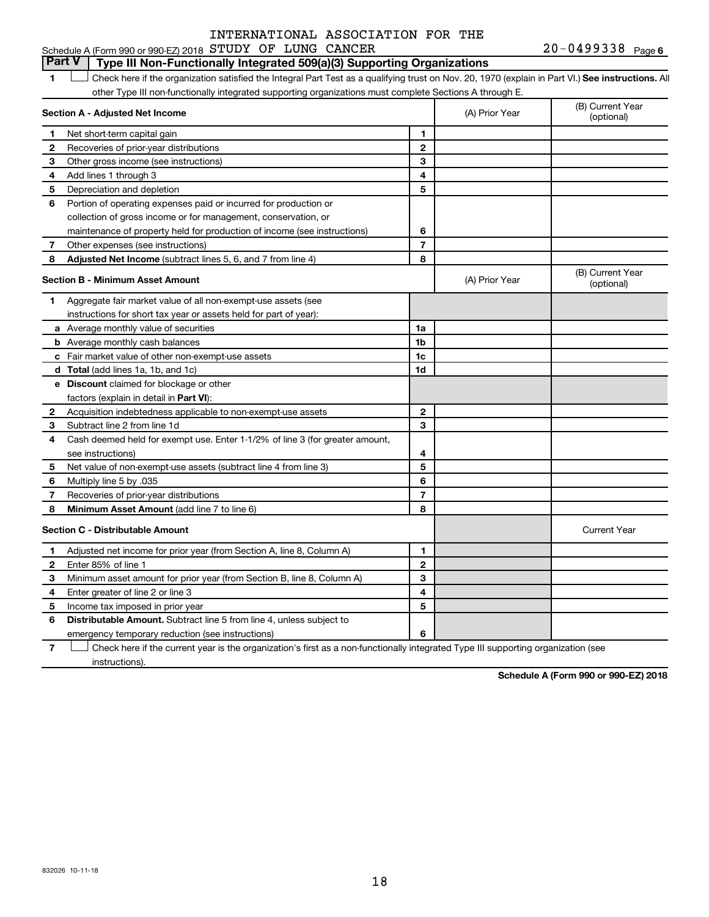### **Part V Type III Non-Functionally Integrated 509(a)(3) Supporting Organizations**

1 **Letter See instructions.** All Check here if the organization satisfied the Integral Part Test as a qualifying trust on Nov. 20, 1970 (explain in Part VI.) See instructions. All other Type III non-functionally integrated supporting organizations must complete Sections A through E.

|              | Section A - Adjusted Net Income                                              |                | (A) Prior Year | (B) Current Year<br>(optional) |
|--------------|------------------------------------------------------------------------------|----------------|----------------|--------------------------------|
| 1            | Net short-term capital gain                                                  | 1              |                |                                |
| 2            | Recoveries of prior-year distributions                                       | $\mathbf{2}$   |                |                                |
| 3            | Other gross income (see instructions)                                        | 3              |                |                                |
| 4            | Add lines 1 through 3                                                        | 4              |                |                                |
| 5            | Depreciation and depletion                                                   | 5              |                |                                |
| 6            | Portion of operating expenses paid or incurred for production or             |                |                |                                |
|              | collection of gross income or for management, conservation, or               |                |                |                                |
|              | maintenance of property held for production of income (see instructions)     | 6              |                |                                |
| 7            | Other expenses (see instructions)                                            | 7              |                |                                |
| 8            | Adjusted Net Income (subtract lines 5, 6, and 7 from line 4)                 | 8              |                |                                |
|              | <b>Section B - Minimum Asset Amount</b>                                      |                | (A) Prior Year | (B) Current Year<br>(optional) |
| 1.           | Aggregate fair market value of all non-exempt-use assets (see                |                |                |                                |
|              | instructions for short tax year or assets held for part of year):            |                |                |                                |
|              | a Average monthly value of securities                                        | 1a             |                |                                |
|              | <b>b</b> Average monthly cash balances                                       | 1b             |                |                                |
|              | c Fair market value of other non-exempt-use assets                           | 1c             |                |                                |
|              | <b>d</b> Total (add lines 1a, 1b, and 1c)                                    | 1d             |                |                                |
|              | e Discount claimed for blockage or other                                     |                |                |                                |
|              | factors (explain in detail in Part VI):                                      |                |                |                                |
| 2            | Acquisition indebtedness applicable to non-exempt-use assets                 | $\overline{2}$ |                |                                |
| 3            | Subtract line 2 from line 1d                                                 | 3              |                |                                |
| 4            | Cash deemed held for exempt use. Enter 1-1/2% of line 3 (for greater amount, |                |                |                                |
|              | see instructions)                                                            | 4              |                |                                |
| 5            | Net value of non-exempt-use assets (subtract line 4 from line 3)             | 5              |                |                                |
| 6            | Multiply line 5 by .035                                                      | 6              |                |                                |
| 7            | Recoveries of prior-year distributions                                       | 7              |                |                                |
| 8            | Minimum Asset Amount (add line 7 to line 6)                                  | 8              |                |                                |
|              | <b>Section C - Distributable Amount</b>                                      |                |                | <b>Current Year</b>            |
| 1            | Adjusted net income for prior year (from Section A, line 8, Column A)        | 1              |                |                                |
| $\mathbf{2}$ | Enter 85% of line 1                                                          | $\mathbf{2}$   |                |                                |
| 3            | Minimum asset amount for prior year (from Section B, line 8, Column A)       | 3              |                |                                |
| 4            | Enter greater of line 2 or line 3                                            | 4              |                |                                |
| 5            | Income tax imposed in prior year                                             | 5              |                |                                |
| 6            | <b>Distributable Amount.</b> Subtract line 5 from line 4, unless subject to  |                |                |                                |
|              | emergency temporary reduction (see instructions)                             | 6              |                |                                |

**7** Let Check here if the current year is the organization's first as a non-functionally integrated Type III supporting organization (see instructions).

**Schedule A (Form 990 or 990-EZ) 2018**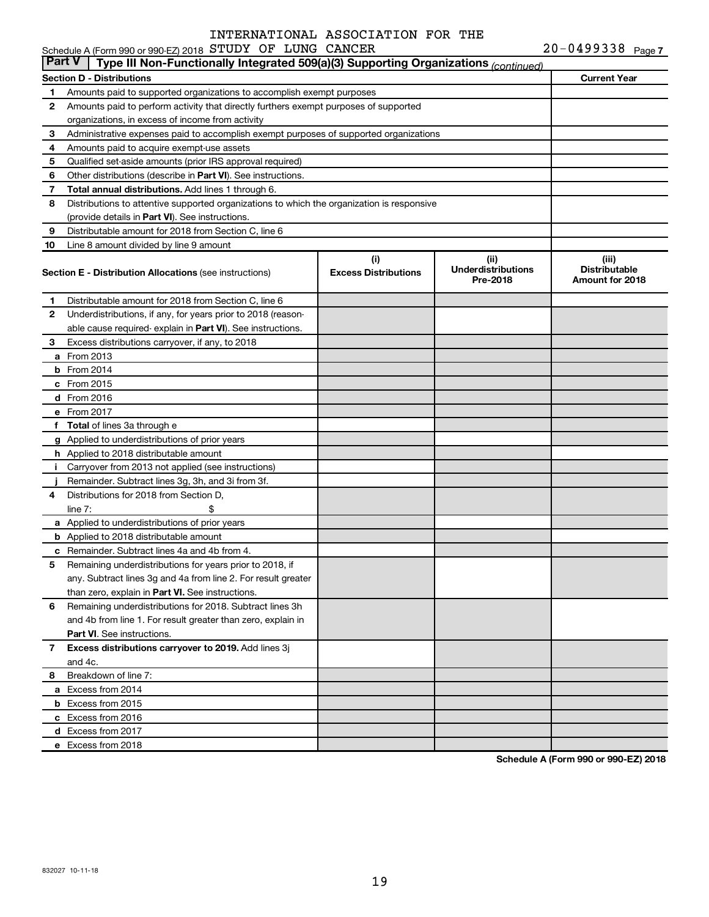|               | Schedule A (Form 990 or 990-EZ) 2018 STUDY OF LUNG CANCER                                  |                             |                           | $20 - 0499338$ Page 7  |
|---------------|--------------------------------------------------------------------------------------------|-----------------------------|---------------------------|------------------------|
| <b>Part V</b> | Type III Non-Functionally Integrated 509(a)(3) Supporting Organizations (continued)        |                             |                           |                        |
|               | <b>Section D - Distributions</b>                                                           |                             |                           | <b>Current Year</b>    |
| 1             | Amounts paid to supported organizations to accomplish exempt purposes                      |                             |                           |                        |
| $\mathbf{2}$  | Amounts paid to perform activity that directly furthers exempt purposes of supported       |                             |                           |                        |
|               | organizations, in excess of income from activity                                           |                             |                           |                        |
| 3             | Administrative expenses paid to accomplish exempt purposes of supported organizations      |                             |                           |                        |
| 4             | Amounts paid to acquire exempt-use assets                                                  |                             |                           |                        |
| 5             | Qualified set-aside amounts (prior IRS approval required)                                  |                             |                           |                        |
| 6             | Other distributions (describe in Part VI). See instructions.                               |                             |                           |                        |
| 7             | Total annual distributions. Add lines 1 through 6.                                         |                             |                           |                        |
| 8             | Distributions to attentive supported organizations to which the organization is responsive |                             |                           |                        |
|               | (provide details in Part VI). See instructions.                                            |                             |                           |                        |
| 9             | Distributable amount for 2018 from Section C, line 6                                       |                             |                           |                        |
| 10            | Line 8 amount divided by line 9 amount                                                     |                             |                           |                        |
|               |                                                                                            | (i)                         | (ii)                      | (iii)                  |
|               | <b>Section E - Distribution Allocations (see instructions)</b>                             | <b>Excess Distributions</b> | <b>Underdistributions</b> | <b>Distributable</b>   |
|               |                                                                                            |                             | Pre-2018                  | <b>Amount for 2018</b> |
| 1             | Distributable amount for 2018 from Section C, line 6                                       |                             |                           |                        |
| $\mathbf{2}$  | Underdistributions, if any, for years prior to 2018 (reason-                               |                             |                           |                        |
|               | able cause required- explain in Part VI). See instructions.                                |                             |                           |                        |
| 3             | Excess distributions carryover, if any, to 2018                                            |                             |                           |                        |
|               | a From 2013                                                                                |                             |                           |                        |
|               | <b>b</b> From 2014                                                                         |                             |                           |                        |
|               | c From 2015                                                                                |                             |                           |                        |
|               | d From 2016                                                                                |                             |                           |                        |
|               | e From 2017                                                                                |                             |                           |                        |
|               | f Total of lines 3a through e                                                              |                             |                           |                        |
|               | g Applied to underdistributions of prior years                                             |                             |                           |                        |
|               | h Applied to 2018 distributable amount                                                     |                             |                           |                        |
| Ť.            | Carryover from 2013 not applied (see instructions)                                         |                             |                           |                        |
|               | Remainder. Subtract lines 3g, 3h, and 3i from 3f.                                          |                             |                           |                        |
| 4             | Distributions for 2018 from Section D,                                                     |                             |                           |                        |
|               | line $7:$                                                                                  |                             |                           |                        |
|               | a Applied to underdistributions of prior years                                             |                             |                           |                        |
|               | <b>b</b> Applied to 2018 distributable amount                                              |                             |                           |                        |
|               | c Remainder. Subtract lines 4a and 4b from 4.                                              |                             |                           |                        |
|               | 5 Remaining underdistributions for years prior to 2018, if                                 |                             |                           |                        |
|               | any. Subtract lines 3g and 4a from line 2. For result greater                              |                             |                           |                        |
|               | than zero, explain in Part VI. See instructions.                                           |                             |                           |                        |
| 6             | Remaining underdistributions for 2018. Subtract lines 3h                                   |                             |                           |                        |
|               | and 4b from line 1. For result greater than zero, explain in                               |                             |                           |                        |
|               | <b>Part VI.</b> See instructions.                                                          |                             |                           |                        |
| 7             | Excess distributions carryover to 2019. Add lines 3j                                       |                             |                           |                        |
|               | and 4c.                                                                                    |                             |                           |                        |
| 8             | Breakdown of line 7:                                                                       |                             |                           |                        |
|               | a Excess from 2014                                                                         |                             |                           |                        |
|               | <b>b</b> Excess from 2015                                                                  |                             |                           |                        |
|               | c Excess from 2016                                                                         |                             |                           |                        |
|               | d Excess from 2017                                                                         |                             |                           |                        |
|               | e Excess from 2018                                                                         |                             |                           |                        |

**Schedule A (Form 990 or 990-EZ) 2018**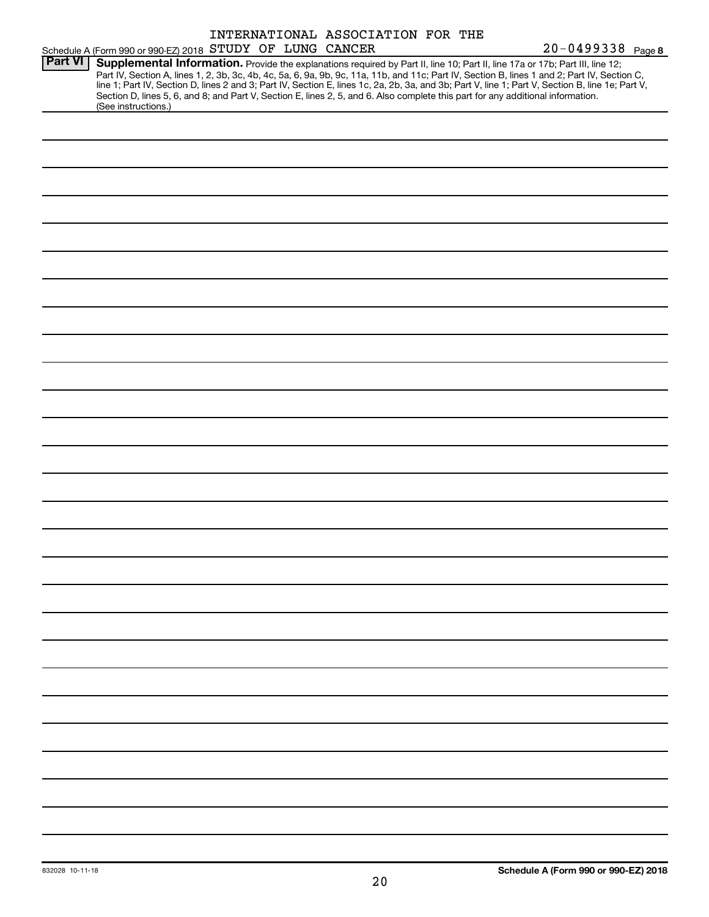|                |                                                                                                                                                                                                                                                                                         |  | INTERNATIONAL ASSOCIATION FOR THE |                                                                                                                                                                                                                                                                                                  |
|----------------|-----------------------------------------------------------------------------------------------------------------------------------------------------------------------------------------------------------------------------------------------------------------------------------------|--|-----------------------------------|--------------------------------------------------------------------------------------------------------------------------------------------------------------------------------------------------------------------------------------------------------------------------------------------------|
|                | Schedule A (Form 990 or 990-EZ) 2018 STUDY OF LUNG CANCER                                                                                                                                                                                                                               |  |                                   | 20-0499338 Page 8                                                                                                                                                                                                                                                                                |
| <b>Part VI</b> | Supplemental Information. Provide the explanations required by Part II, line 10; Part II, line 17a or 17b; Part III, line 12;<br>Section D, lines 5, 6, and 8; and Part V, Section E, lines 2, 5, and 6. Also complete this part for any additional information.<br>(See instructions.) |  |                                   | Part IV, Section A, lines 1, 2, 3b, 3c, 4b, 4c, 5a, 6, 9a, 9b, 9c, 11a, 11b, and 11c; Part IV, Section B, lines 1 and 2; Part IV, Section C,<br>line 1; Part IV, Section D, lines 2 and 3; Part IV, Section E, lines 1c, 2a, 2b, 3a, and 3b; Part V, line 1; Part V, Section B, line 1e; Part V, |
|                |                                                                                                                                                                                                                                                                                         |  |                                   |                                                                                                                                                                                                                                                                                                  |
|                |                                                                                                                                                                                                                                                                                         |  |                                   |                                                                                                                                                                                                                                                                                                  |
|                |                                                                                                                                                                                                                                                                                         |  |                                   |                                                                                                                                                                                                                                                                                                  |
|                |                                                                                                                                                                                                                                                                                         |  |                                   |                                                                                                                                                                                                                                                                                                  |
|                |                                                                                                                                                                                                                                                                                         |  |                                   |                                                                                                                                                                                                                                                                                                  |
|                |                                                                                                                                                                                                                                                                                         |  |                                   |                                                                                                                                                                                                                                                                                                  |
|                |                                                                                                                                                                                                                                                                                         |  |                                   |                                                                                                                                                                                                                                                                                                  |
|                |                                                                                                                                                                                                                                                                                         |  |                                   |                                                                                                                                                                                                                                                                                                  |
|                |                                                                                                                                                                                                                                                                                         |  |                                   |                                                                                                                                                                                                                                                                                                  |
|                |                                                                                                                                                                                                                                                                                         |  |                                   |                                                                                                                                                                                                                                                                                                  |
|                |                                                                                                                                                                                                                                                                                         |  |                                   |                                                                                                                                                                                                                                                                                                  |
|                |                                                                                                                                                                                                                                                                                         |  |                                   |                                                                                                                                                                                                                                                                                                  |
|                |                                                                                                                                                                                                                                                                                         |  |                                   |                                                                                                                                                                                                                                                                                                  |
|                |                                                                                                                                                                                                                                                                                         |  |                                   |                                                                                                                                                                                                                                                                                                  |
|                |                                                                                                                                                                                                                                                                                         |  |                                   |                                                                                                                                                                                                                                                                                                  |
|                |                                                                                                                                                                                                                                                                                         |  |                                   |                                                                                                                                                                                                                                                                                                  |
|                |                                                                                                                                                                                                                                                                                         |  |                                   |                                                                                                                                                                                                                                                                                                  |
|                |                                                                                                                                                                                                                                                                                         |  |                                   |                                                                                                                                                                                                                                                                                                  |
|                |                                                                                                                                                                                                                                                                                         |  |                                   |                                                                                                                                                                                                                                                                                                  |
|                |                                                                                                                                                                                                                                                                                         |  |                                   |                                                                                                                                                                                                                                                                                                  |
|                |                                                                                                                                                                                                                                                                                         |  |                                   |                                                                                                                                                                                                                                                                                                  |
|                |                                                                                                                                                                                                                                                                                         |  |                                   |                                                                                                                                                                                                                                                                                                  |
|                |                                                                                                                                                                                                                                                                                         |  |                                   |                                                                                                                                                                                                                                                                                                  |
|                |                                                                                                                                                                                                                                                                                         |  |                                   |                                                                                                                                                                                                                                                                                                  |
|                |                                                                                                                                                                                                                                                                                         |  |                                   |                                                                                                                                                                                                                                                                                                  |
|                |                                                                                                                                                                                                                                                                                         |  |                                   |                                                                                                                                                                                                                                                                                                  |
|                |                                                                                                                                                                                                                                                                                         |  |                                   |                                                                                                                                                                                                                                                                                                  |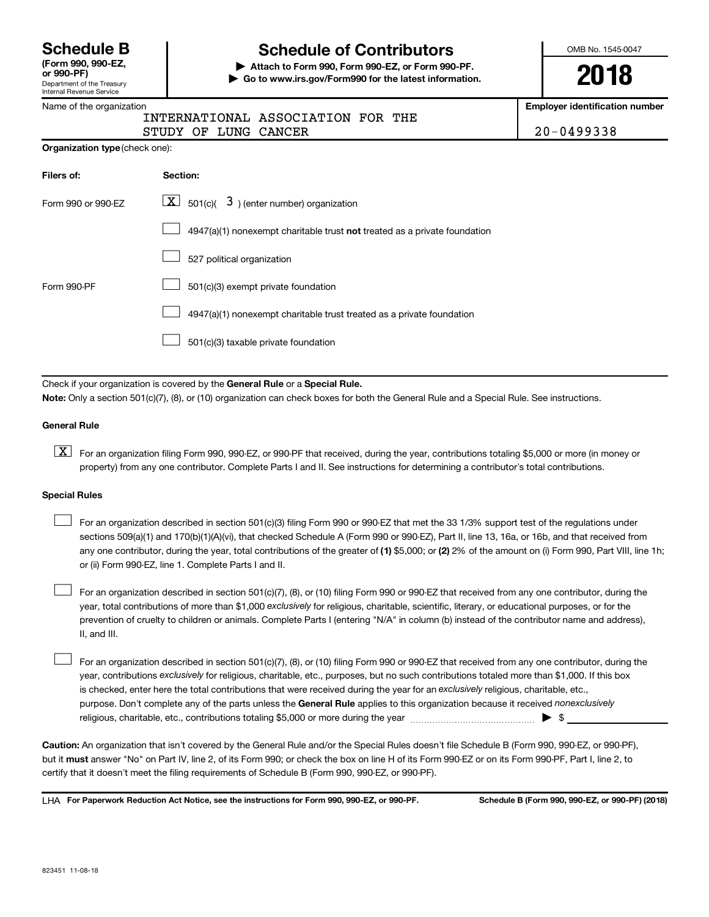Department of the Treasury Internal Revenue Service **(Form 990, 990-EZ,**

## **Schedule B Schedule of Contributors**

**or 990-PF) | Attach to Form 990, Form 990-EZ, or Form 990-PF. | Go to www.irs.gov/Form990 for the latest information.** OMB No. 1545-0047

**2018**

**Employer identification number**

|  |  | Name of the organization |
|--|--|--------------------------|
|--|--|--------------------------|

**Organization type** (check one):

|                      | INTERNATIONAL ASSOCIATION FOR THE |                |
|----------------------|-----------------------------------|----------------|
| STUDY OF LUNG CANCER |                                   | $20 - 0499338$ |

| Filers of:         | Section:                                                                  |
|--------------------|---------------------------------------------------------------------------|
| Form 990 or 990-EZ | $\boxed{\textbf{X}}$ 501(c)( 3) (enter number) organization               |
|                    | 4947(a)(1) nonexempt charitable trust not treated as a private foundation |
|                    | 527 political organization                                                |
| Form 990-PF        | 501(c)(3) exempt private foundation                                       |
|                    | 4947(a)(1) nonexempt charitable trust treated as a private foundation     |
|                    | 501(c)(3) taxable private foundation                                      |

Check if your organization is covered by the General Rule or a Special Rule. **Note:**  Only a section 501(c)(7), (8), or (10) organization can check boxes for both the General Rule and a Special Rule. See instructions.

#### **General Rule**

**K** For an organization filing Form 990, 990-EZ, or 990-PF that received, during the year, contributions totaling \$5,000 or more (in money or property) from any one contributor. Complete Parts I and II. See instructions for determining a contributor's total contributions.

#### **Special Rules**

 $\Box$ 

any one contributor, during the year, total contributions of the greater of (1) \$5,000; or (2) 2% of the amount on (i) Form 990, Part VIII, line 1h; For an organization described in section 501(c)(3) filing Form 990 or 990-EZ that met the 33 1/3% support test of the regulations under sections 509(a)(1) and 170(b)(1)(A)(vi), that checked Schedule A (Form 990 or 990-EZ), Part II, line 13, 16a, or 16b, and that received from or (ii) Form 990-EZ, line 1. Complete Parts I and II.  $\Box$ 

year, total contributions of more than \$1,000 *exclusively* for religious, charitable, scientific, literary, or educational purposes, or for the For an organization described in section 501(c)(7), (8), or (10) filing Form 990 or 990-EZ that received from any one contributor, during the prevention of cruelty to children or animals. Complete Parts I (entering "N/A" in column (b) instead of the contributor name and address), II, and III.  $\Box$ 

purpose. Don't complete any of the parts unless the General Rule applies to this organization because it received nonexclusively year, contributions exclusively for religious, charitable, etc., purposes, but no such contributions totaled more than \$1,000. If this box is checked, enter here the total contributions that were received during the year for an exclusively religious, charitable, etc., For an organization described in section 501(c)(7), (8), or (10) filing Form 990 or 990-EZ that received from any one contributor, during the religious, charitable, etc., contributions totaling \$5,000 or more during the year  $\ldots$  $\ldots$  $\ldots$  $\ldots$  $\ldots$  $\ldots$ 

**Caution:**  An organization that isn't covered by the General Rule and/or the Special Rules doesn't file Schedule B (Form 990, 990-EZ, or 990-PF),  **must** but it answer "No" on Part IV, line 2, of its Form 990; or check the box on line H of its Form 990-EZ or on its Form 990-PF, Part I, line 2, to certify that it doesn't meet the filing requirements of Schedule B (Form 990, 990-EZ, or 990-PF).

**For Paperwork Reduction Act Notice, see the instructions for Form 990, 990-EZ, or 990-PF. Schedule B (Form 990, 990-EZ, or 990-PF) (2018)** LHA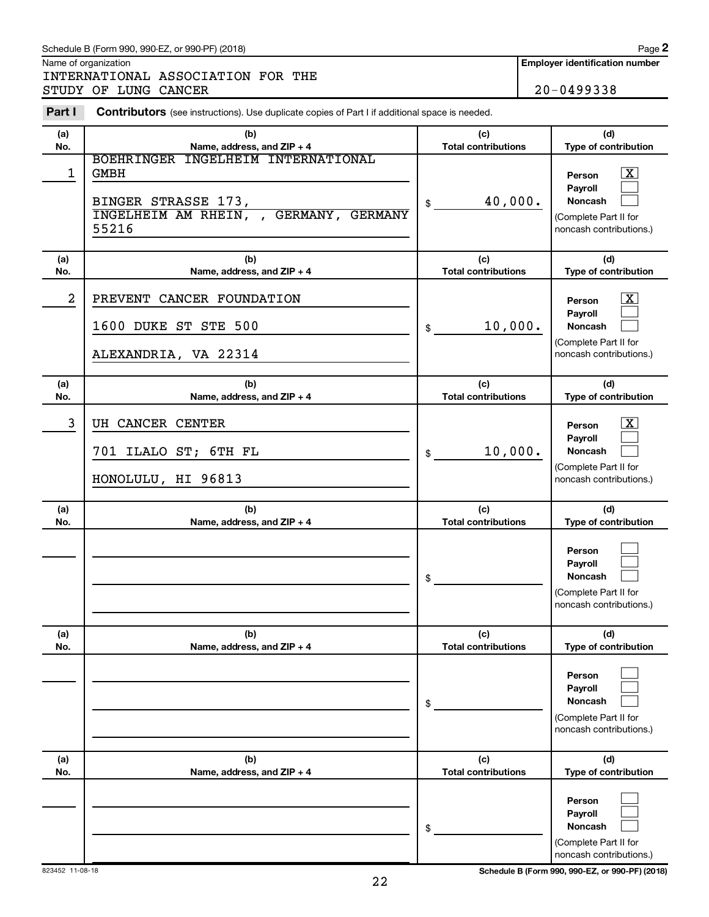#### Schedule B (Form 990, 990-EZ, or 990-PF) (2018)

Name of organization

INTERNATIONAL ASSOCIATION FOR THE STUDY OF LUNG CANCER 20-0499338

| Part I     | <b>Contributors</b> (see instructions). Use duplicate copies of Part I if additional space is needed.                       |                                   |                                                                                                  |  |  |  |
|------------|-----------------------------------------------------------------------------------------------------------------------------|-----------------------------------|--------------------------------------------------------------------------------------------------|--|--|--|
| (a)<br>No. | (b)<br>Name, address, and ZIP + 4                                                                                           | (c)<br><b>Total contributions</b> | (d)<br>Type of contribution                                                                      |  |  |  |
| 1          | BOEHRINGER INGELHEIM INTERNATIONAL<br><b>GMBH</b><br>BINGER STRASSE 173,<br>INGELHEIM AM RHEIN, , GERMANY, GERMANY<br>55216 | 40,000.<br>\$                     | $\mathbf{X}$<br>Person<br>Payroll<br>Noncash<br>(Complete Part II for<br>noncash contributions.) |  |  |  |
| (a)<br>No. | (b)<br>Name, address, and ZIP + 4                                                                                           | (c)<br><b>Total contributions</b> | (d)<br>Type of contribution                                                                      |  |  |  |
| 2          | PREVENT CANCER FOUNDATION<br>1600 DUKE ST STE 500<br>ALEXANDRIA, VA 22314                                                   | 10,000.<br>\$                     | $\mathbf{X}$<br>Person<br>Payroll<br>Noncash<br>(Complete Part II for<br>noncash contributions.) |  |  |  |
| (a)<br>No. | (b)<br>Name, address, and ZIP + 4                                                                                           | (c)<br><b>Total contributions</b> | (d)<br>Type of contribution                                                                      |  |  |  |
| 3          | UH CANCER CENTER<br>701 ILALO ST; 6TH FL<br>HONOLULU, HI 96813                                                              | 10,000.<br>\$                     | $\mathbf{X}$<br>Person<br>Payroll<br>Noncash<br>(Complete Part II for<br>noncash contributions.) |  |  |  |
| (a)<br>No. | (b)<br>Name, address, and ZIP + 4                                                                                           | (c)<br><b>Total contributions</b> | (d)<br>Type of contribution                                                                      |  |  |  |
|            |                                                                                                                             | \$                                | Person<br>Payroll<br>Noncash<br>(Complete Part II for<br>noncash contributions.)                 |  |  |  |
| (a)<br>No. | (b)<br>Name, address, and ZIP + 4                                                                                           | (c)<br><b>Total contributions</b> | (d)<br>Type of contribution                                                                      |  |  |  |
|            |                                                                                                                             | \$                                | Person<br>Payroll<br><b>Noncash</b><br>(Complete Part II for<br>noncash contributions.)          |  |  |  |
| (a)<br>No. | (b)<br>Name, address, and ZIP + 4                                                                                           | (c)<br><b>Total contributions</b> | (d)<br>Type of contribution                                                                      |  |  |  |
|            |                                                                                                                             | \$                                | Person<br>Payroll<br><b>Noncash</b><br>(Complete Part II for<br>noncash contributions.           |  |  |  |

823452 11-08-18 **Schedule B (Form 990, 990-EZ, or 990-PF) (2018)**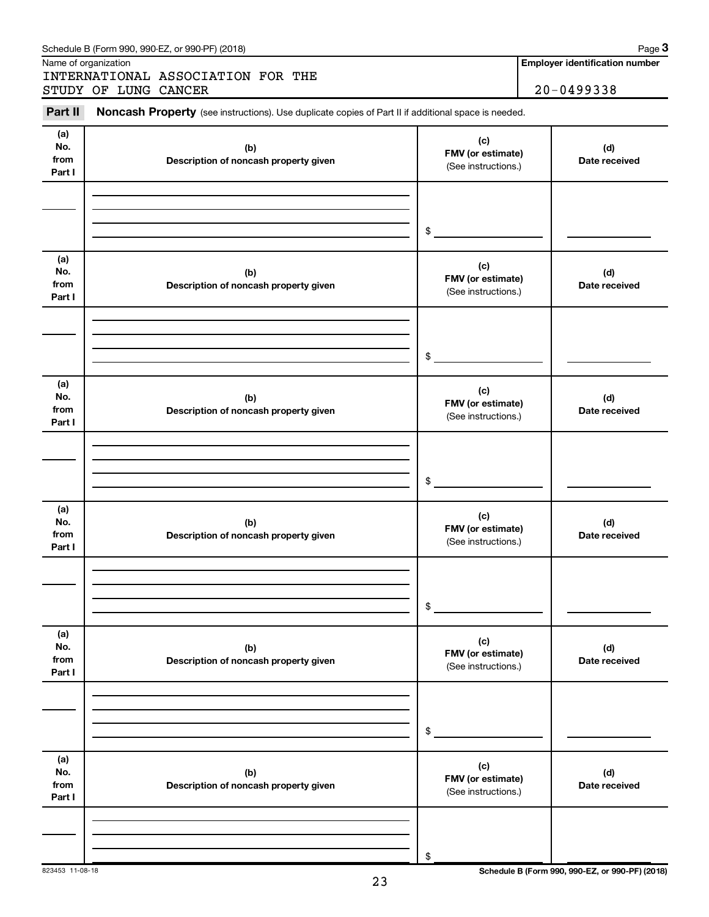| Noncash Property (see instructions). Use duplicate copies of Part II if additional space is needed. |                                                 |                      |
|-----------------------------------------------------------------------------------------------------|-------------------------------------------------|----------------------|
| (b)<br>Description of noncash property given                                                        | (c)<br>FMV (or estimate)<br>(See instructions.) | (d)<br>Date received |
|                                                                                                     |                                                 |                      |
|                                                                                                     | $$\tilde{}}$                                    |                      |
| (b)<br>Description of noncash property given                                                        | (c)<br>FMV (or estimate)<br>(See instructions.) | (d)<br>Date received |
|                                                                                                     |                                                 |                      |
|                                                                                                     | $\frac{1}{2}$                                   |                      |
| (b)<br>Description of noncash property given                                                        | (c)<br>FMV (or estimate)<br>(See instructions.) | (d)<br>Date received |
|                                                                                                     |                                                 |                      |
|                                                                                                     | \$                                              |                      |
| (b)<br>Description of noncash property given                                                        | (c)<br>FMV (or estimate)<br>(See instructions.) | (d)<br>Date received |
|                                                                                                     |                                                 |                      |
|                                                                                                     | \$                                              |                      |
| (b)<br>Description of noncash property given                                                        | (c)<br>FMV (or estimate)<br>(See instructions.) | (d)<br>Date received |
|                                                                                                     |                                                 |                      |
|                                                                                                     | \$                                              |                      |
| (b)<br>Description of noncash property given                                                        | (c)<br>FMV (or estimate)<br>(See instructions.) | (d)<br>Date received |
|                                                                                                     |                                                 |                      |
|                                                                                                     |                                                 |                      |
|                                                                                                     |                                                 |                      |

### Schedule B (Form 990, 990-EZ, or 990-PF) (2018)

Name of organization

INTERNATIONAL ASSOCIATION FOR THE STUDY OF LUNG CANCER 20-0499338

**Employer identification number**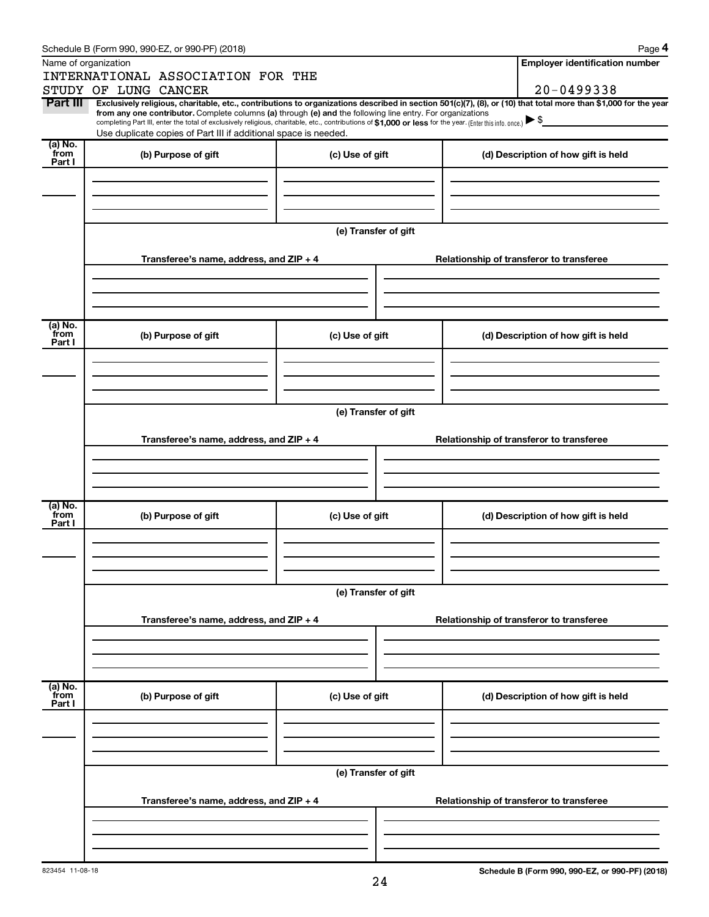|                 | Schedule B (Form 990, 990-EZ, or 990-PF) (2018)                                                                                                                                                                                                                                                                                                                                                                                                                   |                      |  |  | Page 4                                   |  |  |
|-----------------|-------------------------------------------------------------------------------------------------------------------------------------------------------------------------------------------------------------------------------------------------------------------------------------------------------------------------------------------------------------------------------------------------------------------------------------------------------------------|----------------------|--|--|------------------------------------------|--|--|
|                 | Name of organization                                                                                                                                                                                                                                                                                                                                                                                                                                              |                      |  |  | <b>Employer identification number</b>    |  |  |
|                 | INTERNATIONAL ASSOCIATION FOR THE                                                                                                                                                                                                                                                                                                                                                                                                                                 |                      |  |  |                                          |  |  |
|                 | STUDY OF LUNG CANCER                                                                                                                                                                                                                                                                                                                                                                                                                                              |                      |  |  | $20 - 0499338$                           |  |  |
| Part III        | Exclusively religious, charitable, etc., contributions to organizations described in section 501(c)(7), (8), or (10) that total more than \$1,000 for the year<br>from any one contributor. Complete columns (a) through (e) and the following line entry. For organizations<br>completing Part III, enter the total of exclusively religious, charitable, etc., contributions of \$1,000 or less for the year. (Enter this info. once.) $\blacktriangleright$ \$ |                      |  |  |                                          |  |  |
|                 | Use duplicate copies of Part III if additional space is needed.                                                                                                                                                                                                                                                                                                                                                                                                   |                      |  |  |                                          |  |  |
| (a) No.<br>from | (b) Purpose of gift                                                                                                                                                                                                                                                                                                                                                                                                                                               | (c) Use of gift      |  |  |                                          |  |  |
| Part I          |                                                                                                                                                                                                                                                                                                                                                                                                                                                                   |                      |  |  | (d) Description of how gift is held      |  |  |
|                 |                                                                                                                                                                                                                                                                                                                                                                                                                                                                   |                      |  |  |                                          |  |  |
|                 |                                                                                                                                                                                                                                                                                                                                                                                                                                                                   |                      |  |  |                                          |  |  |
|                 |                                                                                                                                                                                                                                                                                                                                                                                                                                                                   |                      |  |  |                                          |  |  |
|                 |                                                                                                                                                                                                                                                                                                                                                                                                                                                                   | (e) Transfer of gift |  |  |                                          |  |  |
|                 |                                                                                                                                                                                                                                                                                                                                                                                                                                                                   |                      |  |  |                                          |  |  |
|                 | Transferee's name, address, and ZIP + 4                                                                                                                                                                                                                                                                                                                                                                                                                           |                      |  |  | Relationship of transferor to transferee |  |  |
|                 |                                                                                                                                                                                                                                                                                                                                                                                                                                                                   |                      |  |  |                                          |  |  |
|                 |                                                                                                                                                                                                                                                                                                                                                                                                                                                                   |                      |  |  |                                          |  |  |
|                 |                                                                                                                                                                                                                                                                                                                                                                                                                                                                   |                      |  |  |                                          |  |  |
| (a) No.         |                                                                                                                                                                                                                                                                                                                                                                                                                                                                   |                      |  |  |                                          |  |  |
| from            | (b) Purpose of gift                                                                                                                                                                                                                                                                                                                                                                                                                                               | (c) Use of gift      |  |  | (d) Description of how gift is held      |  |  |
| Part I          |                                                                                                                                                                                                                                                                                                                                                                                                                                                                   |                      |  |  |                                          |  |  |
|                 |                                                                                                                                                                                                                                                                                                                                                                                                                                                                   |                      |  |  |                                          |  |  |
|                 |                                                                                                                                                                                                                                                                                                                                                                                                                                                                   |                      |  |  |                                          |  |  |
|                 |                                                                                                                                                                                                                                                                                                                                                                                                                                                                   |                      |  |  |                                          |  |  |
|                 | (e) Transfer of gift                                                                                                                                                                                                                                                                                                                                                                                                                                              |                      |  |  |                                          |  |  |
|                 |                                                                                                                                                                                                                                                                                                                                                                                                                                                                   |                      |  |  |                                          |  |  |
|                 | Transferee's name, address, and ZIP + 4                                                                                                                                                                                                                                                                                                                                                                                                                           |                      |  |  | Relationship of transferor to transferee |  |  |
|                 |                                                                                                                                                                                                                                                                                                                                                                                                                                                                   |                      |  |  |                                          |  |  |
|                 |                                                                                                                                                                                                                                                                                                                                                                                                                                                                   |                      |  |  |                                          |  |  |
|                 |                                                                                                                                                                                                                                                                                                                                                                                                                                                                   |                      |  |  |                                          |  |  |
| (a) No.<br>from | (b) Purpose of gift                                                                                                                                                                                                                                                                                                                                                                                                                                               | (c) Use of gift      |  |  | (d) Description of how gift is held      |  |  |
| Part I          |                                                                                                                                                                                                                                                                                                                                                                                                                                                                   |                      |  |  |                                          |  |  |
|                 |                                                                                                                                                                                                                                                                                                                                                                                                                                                                   |                      |  |  |                                          |  |  |
|                 |                                                                                                                                                                                                                                                                                                                                                                                                                                                                   |                      |  |  |                                          |  |  |
|                 |                                                                                                                                                                                                                                                                                                                                                                                                                                                                   |                      |  |  |                                          |  |  |
|                 | (e) Transfer of gift                                                                                                                                                                                                                                                                                                                                                                                                                                              |                      |  |  |                                          |  |  |
|                 |                                                                                                                                                                                                                                                                                                                                                                                                                                                                   |                      |  |  |                                          |  |  |
|                 | Transferee's name, address, and ZIP + 4                                                                                                                                                                                                                                                                                                                                                                                                                           |                      |  |  | Relationship of transferor to transferee |  |  |
|                 |                                                                                                                                                                                                                                                                                                                                                                                                                                                                   |                      |  |  |                                          |  |  |
|                 |                                                                                                                                                                                                                                                                                                                                                                                                                                                                   |                      |  |  |                                          |  |  |
|                 |                                                                                                                                                                                                                                                                                                                                                                                                                                                                   |                      |  |  |                                          |  |  |
| (a) No.<br>from |                                                                                                                                                                                                                                                                                                                                                                                                                                                                   |                      |  |  |                                          |  |  |
| Part I          | (b) Purpose of gift                                                                                                                                                                                                                                                                                                                                                                                                                                               | (c) Use of gift      |  |  | (d) Description of how gift is held      |  |  |
|                 |                                                                                                                                                                                                                                                                                                                                                                                                                                                                   |                      |  |  |                                          |  |  |
|                 |                                                                                                                                                                                                                                                                                                                                                                                                                                                                   |                      |  |  |                                          |  |  |
|                 |                                                                                                                                                                                                                                                                                                                                                                                                                                                                   |                      |  |  |                                          |  |  |
|                 |                                                                                                                                                                                                                                                                                                                                                                                                                                                                   |                      |  |  |                                          |  |  |
|                 |                                                                                                                                                                                                                                                                                                                                                                                                                                                                   | (e) Transfer of gift |  |  |                                          |  |  |
|                 | Transferee's name, address, and ZIP + 4                                                                                                                                                                                                                                                                                                                                                                                                                           |                      |  |  | Relationship of transferor to transferee |  |  |
|                 |                                                                                                                                                                                                                                                                                                                                                                                                                                                                   |                      |  |  |                                          |  |  |
|                 |                                                                                                                                                                                                                                                                                                                                                                                                                                                                   |                      |  |  |                                          |  |  |
|                 |                                                                                                                                                                                                                                                                                                                                                                                                                                                                   |                      |  |  |                                          |  |  |
|                 |                                                                                                                                                                                                                                                                                                                                                                                                                                                                   |                      |  |  |                                          |  |  |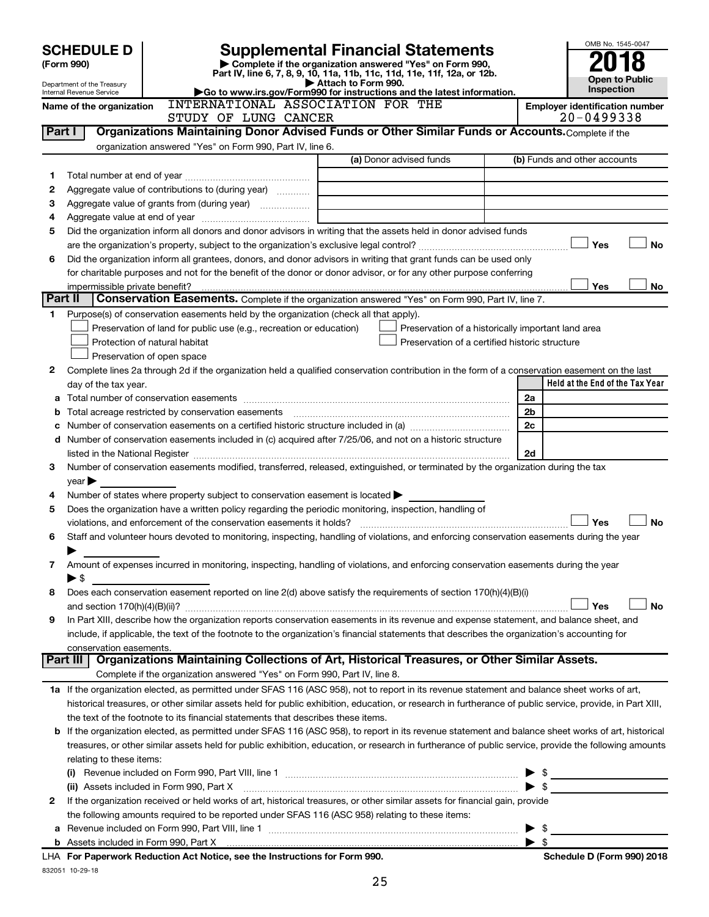| <b>Supplemental Financial Statements</b><br><b>SCHEDULE D</b><br>Complete if the organization answered "Yes" on Form 990,<br>(Form 990)<br>Part IV, line 6, 7, 8, 9, 10, 11a, 11b, 11c, 11d, 11e, 11f, 12a, or 12b.<br>Attach to Form 990.<br>Department of the Treasury<br>Go to www.irs.gov/Form990 for instructions and the latest information.<br>Internal Revenue Service |                                |                                                                                                   |                                                                                                                                                            | OMB No. 1545-0047<br><b>Open to Public</b><br>Inspection |
|--------------------------------------------------------------------------------------------------------------------------------------------------------------------------------------------------------------------------------------------------------------------------------------------------------------------------------------------------------------------------------|--------------------------------|---------------------------------------------------------------------------------------------------|------------------------------------------------------------------------------------------------------------------------------------------------------------|----------------------------------------------------------|
|                                                                                                                                                                                                                                                                                                                                                                                | Name of the organization       | INTERNATIONAL ASSOCIATION FOR THE<br>STUDY OF LUNG CANCER                                         |                                                                                                                                                            | <b>Employer identification number</b><br>20-0499338      |
| Part I                                                                                                                                                                                                                                                                                                                                                                         |                                |                                                                                                   | Organizations Maintaining Donor Advised Funds or Other Similar Funds or Accounts. Complete if the                                                          |                                                          |
|                                                                                                                                                                                                                                                                                                                                                                                |                                | organization answered "Yes" on Form 990, Part IV, line 6.                                         | (a) Donor advised funds                                                                                                                                    |                                                          |
|                                                                                                                                                                                                                                                                                                                                                                                |                                |                                                                                                   |                                                                                                                                                            | (b) Funds and other accounts                             |
| 1<br>2                                                                                                                                                                                                                                                                                                                                                                         |                                | Aggregate value of contributions to (during year)                                                 |                                                                                                                                                            |                                                          |
| 3                                                                                                                                                                                                                                                                                                                                                                              |                                |                                                                                                   |                                                                                                                                                            |                                                          |
| 4                                                                                                                                                                                                                                                                                                                                                                              |                                |                                                                                                   | the control of the control of the control of the control of the control of                                                                                 |                                                          |
| 5                                                                                                                                                                                                                                                                                                                                                                              |                                |                                                                                                   | Did the organization inform all donors and donor advisors in writing that the assets held in donor advised funds                                           |                                                          |
|                                                                                                                                                                                                                                                                                                                                                                                |                                |                                                                                                   |                                                                                                                                                            | Yes<br><b>No</b>                                         |
| 6                                                                                                                                                                                                                                                                                                                                                                              |                                |                                                                                                   | Did the organization inform all grantees, donors, and donor advisors in writing that grant funds can be used only                                          |                                                          |
|                                                                                                                                                                                                                                                                                                                                                                                |                                |                                                                                                   | for charitable purposes and not for the benefit of the donor or donor advisor, or for any other purpose conferring                                         |                                                          |
| Part II                                                                                                                                                                                                                                                                                                                                                                        | impermissible private benefit? |                                                                                                   |                                                                                                                                                            | Yes<br>No                                                |
| 1.                                                                                                                                                                                                                                                                                                                                                                             |                                | Purpose(s) of conservation easements held by the organization (check all that apply).             | <b>Conservation Easements.</b> Complete if the organization answered "Yes" on Form 990, Part IV, line 7.                                                   |                                                          |
|                                                                                                                                                                                                                                                                                                                                                                                |                                | Preservation of land for public use (e.g., recreation or education)                               | Preservation of a historically important land area                                                                                                         |                                                          |
|                                                                                                                                                                                                                                                                                                                                                                                |                                | Protection of natural habitat                                                                     | Preservation of a certified historic structure                                                                                                             |                                                          |
|                                                                                                                                                                                                                                                                                                                                                                                |                                | Preservation of open space                                                                        |                                                                                                                                                            |                                                          |
| 2                                                                                                                                                                                                                                                                                                                                                                              |                                |                                                                                                   | Complete lines 2a through 2d if the organization held a qualified conservation contribution in the form of a conservation easement on the last             |                                                          |
|                                                                                                                                                                                                                                                                                                                                                                                | day of the tax year.           |                                                                                                   |                                                                                                                                                            | Held at the End of the Tax Year                          |
| а                                                                                                                                                                                                                                                                                                                                                                              |                                |                                                                                                   |                                                                                                                                                            | 2a                                                       |
|                                                                                                                                                                                                                                                                                                                                                                                |                                |                                                                                                   |                                                                                                                                                            | 2 <sub>b</sub>                                           |
| с                                                                                                                                                                                                                                                                                                                                                                              |                                |                                                                                                   |                                                                                                                                                            | 2c                                                       |
|                                                                                                                                                                                                                                                                                                                                                                                |                                |                                                                                                   | d Number of conservation easements included in (c) acquired after 7/25/06, and not on a historic structure                                                 |                                                          |
|                                                                                                                                                                                                                                                                                                                                                                                |                                |                                                                                                   |                                                                                                                                                            | 2d                                                       |
| З                                                                                                                                                                                                                                                                                                                                                                              | $year \blacktriangleright$     |                                                                                                   | Number of conservation easements modified, transferred, released, extinguished, or terminated by the organization during the tax                           |                                                          |
| 4                                                                                                                                                                                                                                                                                                                                                                              |                                | Number of states where property subject to conservation easement is located $\blacktriangleright$ |                                                                                                                                                            |                                                          |
| 5                                                                                                                                                                                                                                                                                                                                                                              |                                |                                                                                                   | Does the organization have a written policy regarding the periodic monitoring, inspection, handling of                                                     |                                                          |
|                                                                                                                                                                                                                                                                                                                                                                                |                                |                                                                                                   |                                                                                                                                                            | Yes<br><b>No</b>                                         |
| 6                                                                                                                                                                                                                                                                                                                                                                              |                                |                                                                                                   | Staff and volunteer hours devoted to monitoring, inspecting, handling of violations, and enforcing conservation easements during the year                  |                                                          |
|                                                                                                                                                                                                                                                                                                                                                                                |                                |                                                                                                   |                                                                                                                                                            |                                                          |
| 7                                                                                                                                                                                                                                                                                                                                                                              | ► \$                           |                                                                                                   | Amount of expenses incurred in monitoring, inspecting, handling of violations, and enforcing conservation easements during the year                        |                                                          |
| 8                                                                                                                                                                                                                                                                                                                                                                              |                                |                                                                                                   | Does each conservation easement reported on line 2(d) above satisfy the requirements of section 170(h)(4)(B)(i)                                            |                                                          |
|                                                                                                                                                                                                                                                                                                                                                                                |                                |                                                                                                   |                                                                                                                                                            | No<br>Yes                                                |
| 9                                                                                                                                                                                                                                                                                                                                                                              |                                |                                                                                                   | In Part XIII, describe how the organization reports conservation easements in its revenue and expense statement, and balance sheet, and                    |                                                          |
|                                                                                                                                                                                                                                                                                                                                                                                |                                |                                                                                                   | include, if applicable, the text of the footnote to the organization's financial statements that describes the organization's accounting for               |                                                          |
|                                                                                                                                                                                                                                                                                                                                                                                | conservation easements.        |                                                                                                   | Part III   Organizations Maintaining Collections of Art, Historical Treasures, or Other Similar Assets.                                                    |                                                          |
|                                                                                                                                                                                                                                                                                                                                                                                |                                | Complete if the organization answered "Yes" on Form 990, Part IV, line 8.                         |                                                                                                                                                            |                                                          |
|                                                                                                                                                                                                                                                                                                                                                                                |                                |                                                                                                   | 1a If the organization elected, as permitted under SFAS 116 (ASC 958), not to report in its revenue statement and balance sheet works of art,              |                                                          |
|                                                                                                                                                                                                                                                                                                                                                                                |                                |                                                                                                   | historical treasures, or other similar assets held for public exhibition, education, or research in furtherance of public service, provide, in Part XIII,  |                                                          |
|                                                                                                                                                                                                                                                                                                                                                                                |                                | the text of the footnote to its financial statements that describes these items.                  |                                                                                                                                                            |                                                          |
|                                                                                                                                                                                                                                                                                                                                                                                |                                |                                                                                                   | <b>b</b> If the organization elected, as permitted under SFAS 116 (ASC 958), to report in its revenue statement and balance sheet works of art, historical |                                                          |
|                                                                                                                                                                                                                                                                                                                                                                                |                                |                                                                                                   | treasures, or other similar assets held for public exhibition, education, or research in furtherance of public service, provide the following amounts      |                                                          |
|                                                                                                                                                                                                                                                                                                                                                                                | relating to these items:       |                                                                                                   |                                                                                                                                                            |                                                          |
|                                                                                                                                                                                                                                                                                                                                                                                |                                |                                                                                                   |                                                                                                                                                            |                                                          |
|                                                                                                                                                                                                                                                                                                                                                                                |                                |                                                                                                   | (ii) Assets included in Form 990, Part X [110] [12] Assets included in Form 990, Part X [12] Assets included in Form 990, Part X                           | $\blacktriangleright$ \$                                 |
| 2                                                                                                                                                                                                                                                                                                                                                                              |                                |                                                                                                   | If the organization received or held works of art, historical treasures, or other similar assets for financial gain, provide                               |                                                          |
|                                                                                                                                                                                                                                                                                                                                                                                |                                |                                                                                                   | the following amounts required to be reported under SFAS 116 (ASC 958) relating to these items:                                                            |                                                          |
|                                                                                                                                                                                                                                                                                                                                                                                |                                |                                                                                                   |                                                                                                                                                            | \$                                                       |
|                                                                                                                                                                                                                                                                                                                                                                                |                                | LHA For Paperwork Reduction Act Notice, see the Instructions for Form 990.                        |                                                                                                                                                            | $\blacktriangleright$ \$<br>Schedule D (Form 990) 2018   |

832051 10-29-18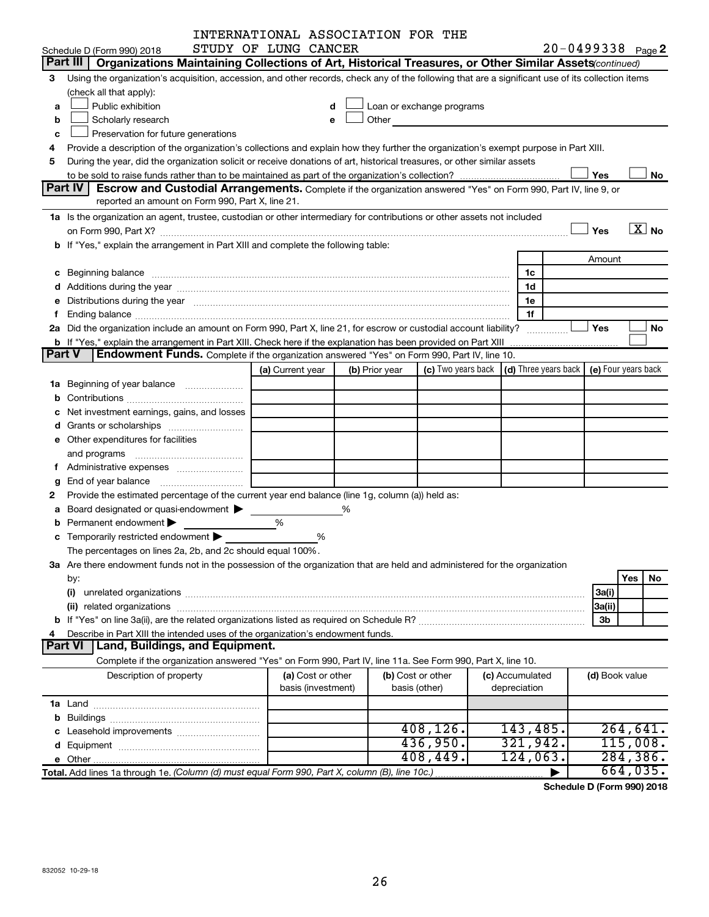|               |                                                                                                                                                                                                                                      |                  |                    | INTERNATIONAL ASSOCIATION FOR THE |                                                                                                                                                                                                                               |                      |                       |           |                   |
|---------------|--------------------------------------------------------------------------------------------------------------------------------------------------------------------------------------------------------------------------------------|------------------|--------------------|-----------------------------------|-------------------------------------------------------------------------------------------------------------------------------------------------------------------------------------------------------------------------------|----------------------|-----------------------|-----------|-------------------|
|               | STUDY OF LUNG CANCER<br>Schedule D (Form 990) 2018                                                                                                                                                                                   |                  |                    |                                   |                                                                                                                                                                                                                               |                      | $20 - 0499338$ Page 2 |           |                   |
|               | Part III   Organizations Maintaining Collections of Art, Historical Treasures, or Other Similar Assets continued)                                                                                                                    |                  |                    |                                   |                                                                                                                                                                                                                               |                      |                       |           |                   |
| 3.            | Using the organization's acquisition, accession, and other records, check any of the following that are a significant use of its collection items                                                                                    |                  |                    |                                   |                                                                                                                                                                                                                               |                      |                       |           |                   |
|               | (check all that apply):                                                                                                                                                                                                              |                  |                    |                                   |                                                                                                                                                                                                                               |                      |                       |           |                   |
| a             | Public exhibition                                                                                                                                                                                                                    |                  |                    |                                   | Loan or exchange programs                                                                                                                                                                                                     |                      |                       |           |                   |
| b             | Scholarly research                                                                                                                                                                                                                   |                  | e                  |                                   | Other and the contract of the contract of the contract of the contract of the contract of the contract of the contract of the contract of the contract of the contract of the contract of the contract of the contract of the |                      |                       |           |                   |
| c             | Preservation for future generations                                                                                                                                                                                                  |                  |                    |                                   |                                                                                                                                                                                                                               |                      |                       |           |                   |
| 4             | Provide a description of the organization's collections and explain how they further the organization's exempt purpose in Part XIII.                                                                                                 |                  |                    |                                   |                                                                                                                                                                                                                               |                      |                       |           |                   |
| 5             | During the year, did the organization solicit or receive donations of art, historical treasures, or other similar assets                                                                                                             |                  |                    |                                   |                                                                                                                                                                                                                               |                      |                       |           |                   |
|               |                                                                                                                                                                                                                                      |                  |                    |                                   |                                                                                                                                                                                                                               |                      | Yes                   |           | No                |
|               | Part IV<br><b>Escrow and Custodial Arrangements.</b> Complete if the organization answered "Yes" on Form 990, Part IV, line 9, or                                                                                                    |                  |                    |                                   |                                                                                                                                                                                                                               |                      |                       |           |                   |
|               | reported an amount on Form 990, Part X, line 21.                                                                                                                                                                                     |                  |                    |                                   |                                                                                                                                                                                                                               |                      |                       |           |                   |
|               | 1a Is the organization an agent, trustee, custodian or other intermediary for contributions or other assets not included                                                                                                             |                  |                    |                                   |                                                                                                                                                                                                                               |                      |                       |           |                   |
|               |                                                                                                                                                                                                                                      |                  |                    |                                   |                                                                                                                                                                                                                               |                      | Yes                   |           | $\overline{X}$ No |
|               | b If "Yes," explain the arrangement in Part XIII and complete the following table:                                                                                                                                                   |                  |                    |                                   |                                                                                                                                                                                                                               |                      |                       |           |                   |
|               |                                                                                                                                                                                                                                      |                  |                    |                                   |                                                                                                                                                                                                                               |                      | Amount                |           |                   |
|               | c Beginning balance <b>contract to the contract of the contract of the contract of the contract of the contract of the contract of the contract of the contract of the contract of the contract of the contract of the contract </b> |                  |                    |                                   |                                                                                                                                                                                                                               | 1c                   |                       |           |                   |
|               |                                                                                                                                                                                                                                      |                  |                    |                                   |                                                                                                                                                                                                                               | 1d                   |                       |           |                   |
|               | e Distributions during the year manufactured and continuum and contact the year manufactured and contact the year manufactured and contact the year manufactured and contact the year manufactured and contact the year manufa       |                  |                    |                                   |                                                                                                                                                                                                                               | 1e                   |                       |           |                   |
| f             | Ending balance <i>www.communicality.communicality.communicality.communicality.communicality.communicality.communicality.com</i>                                                                                                      |                  |                    |                                   |                                                                                                                                                                                                                               | 1f                   |                       |           |                   |
|               | 2a Did the organization include an amount on Form 990, Part X, line 21, for escrow or custodial account liability?                                                                                                                   |                  |                    |                                   |                                                                                                                                                                                                                               |                      | Yes                   |           | No                |
| <b>Part V</b> | <b>b</b> If "Yes," explain the arrangement in Part XIII. Check here if the explanation has been provided on Part XIII                                                                                                                |                  |                    |                                   |                                                                                                                                                                                                                               |                      |                       |           |                   |
|               | <b>Endowment Funds.</b> Complete if the organization answered "Yes" on Form 990, Part IV, line 10.                                                                                                                                   |                  |                    |                                   |                                                                                                                                                                                                                               |                      |                       |           |                   |
|               |                                                                                                                                                                                                                                      | (a) Current year |                    | (b) Prior year                    | (c) Two years back                                                                                                                                                                                                            | (d) Three years back | (e) Four years back   |           |                   |
|               | 1a Beginning of year balance                                                                                                                                                                                                         |                  |                    |                                   |                                                                                                                                                                                                                               |                      |                       |           |                   |
|               |                                                                                                                                                                                                                                      |                  |                    |                                   |                                                                                                                                                                                                                               |                      |                       |           |                   |
|               | c Net investment earnings, gains, and losses                                                                                                                                                                                         |                  |                    |                                   |                                                                                                                                                                                                                               |                      |                       |           |                   |
|               |                                                                                                                                                                                                                                      |                  |                    |                                   |                                                                                                                                                                                                                               |                      |                       |           |                   |
|               | e Other expenditures for facilities                                                                                                                                                                                                  |                  |                    |                                   |                                                                                                                                                                                                                               |                      |                       |           |                   |
|               | and programs                                                                                                                                                                                                                         |                  |                    |                                   |                                                                                                                                                                                                                               |                      |                       |           |                   |
|               |                                                                                                                                                                                                                                      |                  |                    |                                   |                                                                                                                                                                                                                               |                      |                       |           |                   |
| g             |                                                                                                                                                                                                                                      |                  |                    |                                   |                                                                                                                                                                                                                               |                      |                       |           |                   |
| 2             | Provide the estimated percentage of the current year end balance (line 1g, column (a)) held as:                                                                                                                                      |                  |                    |                                   |                                                                                                                                                                                                                               |                      |                       |           |                   |
|               | a Board designated or quasi-endowment >                                                                                                                                                                                              |                  |                    | %                                 |                                                                                                                                                                                                                               |                      |                       |           |                   |
| b             | Permanent endowment                                                                                                                                                                                                                  | %                |                    |                                   |                                                                                                                                                                                                                               |                      |                       |           |                   |
|               | c Temporarily restricted endowment $\blacktriangleright$                                                                                                                                                                             |                  | %                  |                                   |                                                                                                                                                                                                                               |                      |                       |           |                   |
|               | The percentages on lines 2a, 2b, and 2c should equal 100%.                                                                                                                                                                           |                  |                    |                                   |                                                                                                                                                                                                                               |                      |                       |           |                   |
|               | 3a Are there endowment funds not in the possession of the organization that are held and administered for the organization                                                                                                           |                  |                    |                                   |                                                                                                                                                                                                                               |                      |                       |           |                   |
|               | by:                                                                                                                                                                                                                                  |                  |                    |                                   |                                                                                                                                                                                                                               |                      |                       | Yes       | No                |
|               | (i)                                                                                                                                                                                                                                  |                  |                    |                                   |                                                                                                                                                                                                                               |                      | 3a(i)                 |           |                   |
|               |                                                                                                                                                                                                                                      |                  |                    |                                   |                                                                                                                                                                                                                               |                      | 3a(ii)                |           |                   |
|               |                                                                                                                                                                                                                                      |                  |                    |                                   |                                                                                                                                                                                                                               |                      | 3b                    |           |                   |
| 4             | Describe in Part XIII the intended uses of the organization's endowment funds.<br>Land, Buildings, and Equipment.<br><b>Part VI</b>                                                                                                  |                  |                    |                                   |                                                                                                                                                                                                                               |                      |                       |           |                   |
|               | Complete if the organization answered "Yes" on Form 990, Part IV, line 11a. See Form 990, Part X, line 10.                                                                                                                           |                  |                    |                                   |                                                                                                                                                                                                                               |                      |                       |           |                   |
|               | Description of property                                                                                                                                                                                                              |                  | (a) Cost or other  |                                   | (b) Cost or other                                                                                                                                                                                                             | (c) Accumulated      | (d) Book value        |           |                   |
|               |                                                                                                                                                                                                                                      |                  | basis (investment) |                                   | basis (other)                                                                                                                                                                                                                 | depreciation         |                       |           |                   |
|               |                                                                                                                                                                                                                                      |                  |                    |                                   |                                                                                                                                                                                                                               |                      |                       |           |                   |
|               |                                                                                                                                                                                                                                      |                  |                    |                                   |                                                                                                                                                                                                                               |                      |                       |           |                   |
|               |                                                                                                                                                                                                                                      |                  |                    |                                   | 408, 126.                                                                                                                                                                                                                     | 143,485.             |                       |           | 264,641.          |
|               |                                                                                                                                                                                                                                      |                  |                    |                                   | 436,950.                                                                                                                                                                                                                      | 321,942.             |                       |           | 115,008.          |
|               |                                                                                                                                                                                                                                      |                  |                    |                                   | 408,449.                                                                                                                                                                                                                      | 124,063.             |                       | 284, 386. |                   |
|               | Total. Add lines 1a through 1e. (Column (d) must equal Form 990, Part X, column (B), line 10c.)                                                                                                                                      |                  |                    |                                   |                                                                                                                                                                                                                               |                      |                       |           | 664,035.          |

**Schedule D (Form 990) 2018**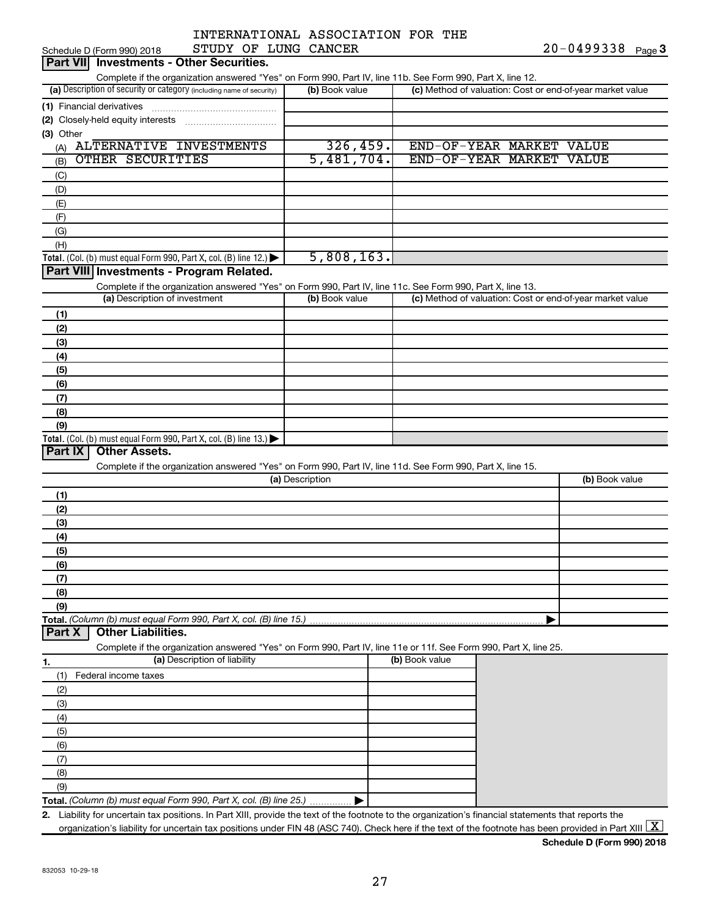|  | INTERNATIONAL ASSOCIATION FOR THE |  |                       |  |
|--|-----------------------------------|--|-----------------------|--|
|  | STUDY OF LUNG CANCER              |  | $20 - 0499338$ Page 3 |  |

| STUDY OF LUNG CANCER<br>Schedule D (Form 990) 2018                                                                                                                                                                                                                                                                              |                         |                                                           | 20-0499338 Page 3                                         |
|---------------------------------------------------------------------------------------------------------------------------------------------------------------------------------------------------------------------------------------------------------------------------------------------------------------------------------|-------------------------|-----------------------------------------------------------|-----------------------------------------------------------|
| <b>Investments - Other Securities.</b><br><b>Part VIII</b>                                                                                                                                                                                                                                                                      |                         |                                                           |                                                           |
| Complete if the organization answered "Yes" on Form 990, Part IV, line 11b. See Form 990, Part X, line 12.                                                                                                                                                                                                                      |                         |                                                           |                                                           |
| (a) Description of security or category (including name of security)                                                                                                                                                                                                                                                            | (b) Book value          |                                                           | (c) Method of valuation: Cost or end-of-year market value |
| (1) Financial derivatives                                                                                                                                                                                                                                                                                                       |                         |                                                           |                                                           |
|                                                                                                                                                                                                                                                                                                                                 |                         |                                                           |                                                           |
| (3) Other                                                                                                                                                                                                                                                                                                                       |                         |                                                           |                                                           |
| ALTERNATIVE INVESTMENTS<br>(A)<br>OTHER SECURITIES                                                                                                                                                                                                                                                                              | 326, 459.<br>5,481,704. | END-OF-YEAR MARKET VALUE<br>END-OF-YEAR MARKET VALUE      |                                                           |
| (B)<br>(C)                                                                                                                                                                                                                                                                                                                      |                         |                                                           |                                                           |
| (D)                                                                                                                                                                                                                                                                                                                             |                         |                                                           |                                                           |
| (E)                                                                                                                                                                                                                                                                                                                             |                         |                                                           |                                                           |
| (F)                                                                                                                                                                                                                                                                                                                             |                         |                                                           |                                                           |
| (G)                                                                                                                                                                                                                                                                                                                             |                         |                                                           |                                                           |
| (H)                                                                                                                                                                                                                                                                                                                             |                         |                                                           |                                                           |
| <b>Total.</b> (Col. (b) must equal Form 990, Part X, col. (B) line 12.) $\blacktriangleright$                                                                                                                                                                                                                                   | 5,808,163.              |                                                           |                                                           |
| Part VIII Investments - Program Related.                                                                                                                                                                                                                                                                                        |                         |                                                           |                                                           |
| Complete if the organization answered "Yes" on Form 990, Part IV, line 11c. See Form 990, Part X, line 13.                                                                                                                                                                                                                      |                         |                                                           |                                                           |
| (a) Description of investment                                                                                                                                                                                                                                                                                                   | (b) Book value          | (c) Method of valuation: Cost or end-of-year market value |                                                           |
| (1)                                                                                                                                                                                                                                                                                                                             |                         |                                                           |                                                           |
| (2)                                                                                                                                                                                                                                                                                                                             |                         |                                                           |                                                           |
| (3)                                                                                                                                                                                                                                                                                                                             |                         |                                                           |                                                           |
| (4)                                                                                                                                                                                                                                                                                                                             |                         |                                                           |                                                           |
| (5)                                                                                                                                                                                                                                                                                                                             |                         |                                                           |                                                           |
| (6)                                                                                                                                                                                                                                                                                                                             |                         |                                                           |                                                           |
| (7)                                                                                                                                                                                                                                                                                                                             |                         |                                                           |                                                           |
| (8)<br>(9)                                                                                                                                                                                                                                                                                                                      |                         |                                                           |                                                           |
| <b>Total.</b> (Col. (b) must equal Form 990, Part X, col. (B) line 13.)                                                                                                                                                                                                                                                         |                         |                                                           |                                                           |
| Part IX<br><b>Other Assets.</b>                                                                                                                                                                                                                                                                                                 |                         |                                                           |                                                           |
| Complete if the organization answered "Yes" on Form 990, Part IV, line 11d. See Form 990, Part X, line 15.                                                                                                                                                                                                                      |                         |                                                           |                                                           |
|                                                                                                                                                                                                                                                                                                                                 | (a) Description         |                                                           | (b) Book value                                            |
| (1)                                                                                                                                                                                                                                                                                                                             |                         |                                                           |                                                           |
| (2)                                                                                                                                                                                                                                                                                                                             |                         |                                                           |                                                           |
| (3)                                                                                                                                                                                                                                                                                                                             |                         |                                                           |                                                           |
| (4)                                                                                                                                                                                                                                                                                                                             |                         |                                                           |                                                           |
| (5)                                                                                                                                                                                                                                                                                                                             |                         |                                                           |                                                           |
| (6)                                                                                                                                                                                                                                                                                                                             |                         |                                                           |                                                           |
| (7)                                                                                                                                                                                                                                                                                                                             |                         |                                                           |                                                           |
| (8)                                                                                                                                                                                                                                                                                                                             |                         |                                                           |                                                           |
| (9)<br>Total. (Column (b) must equal Form 990, Part X, col. (B) line 15.)                                                                                                                                                                                                                                                       |                         |                                                           |                                                           |
| <b>Other Liabilities.</b><br>Part X                                                                                                                                                                                                                                                                                             |                         |                                                           |                                                           |
| Complete if the organization answered "Yes" on Form 990, Part IV, line 11e or 11f. See Form 990, Part X, line 25.                                                                                                                                                                                                               |                         |                                                           |                                                           |
| (a) Description of liability<br>1.                                                                                                                                                                                                                                                                                              |                         | (b) Book value                                            |                                                           |
| Federal income taxes<br>(1)                                                                                                                                                                                                                                                                                                     |                         |                                                           |                                                           |
| (2)                                                                                                                                                                                                                                                                                                                             |                         |                                                           |                                                           |
| (3)                                                                                                                                                                                                                                                                                                                             |                         |                                                           |                                                           |
| (4)                                                                                                                                                                                                                                                                                                                             |                         |                                                           |                                                           |
| (5)                                                                                                                                                                                                                                                                                                                             |                         |                                                           |                                                           |
| (6)                                                                                                                                                                                                                                                                                                                             |                         |                                                           |                                                           |
| (7)                                                                                                                                                                                                                                                                                                                             |                         |                                                           |                                                           |
| (8)                                                                                                                                                                                                                                                                                                                             |                         |                                                           |                                                           |
| (9)                                                                                                                                                                                                                                                                                                                             |                         |                                                           |                                                           |
| <b>Total.</b> (Column (b) must equal Form 990, Part X, col. (B) line 25.)                                                                                                                                                                                                                                                       |                         |                                                           |                                                           |
| 2. Liability for uncertain tax positions. In Part XIII, provide the text of the footnote to the organization's financial statements that reports the<br>organization's liability for uncertain tax positions under FIN 48 (ASC 740). Check here if the text of the footnote has been provided in Part XIII $\boxed{\mathrm{X}}$ |                         |                                                           |                                                           |
|                                                                                                                                                                                                                                                                                                                                 |                         |                                                           |                                                           |

**Schedule D (Form 990) 2018**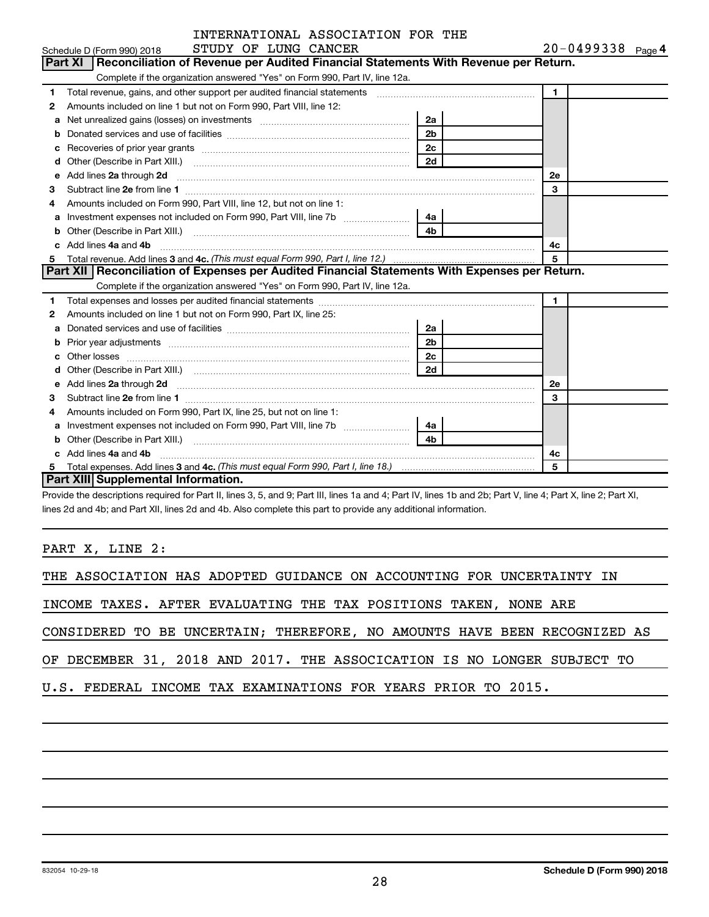|  | INTERNATIONAL ASSOCIATION FOR THE |  |
|--|-----------------------------------|--|
|  |                                   |  |

|    | STUDY OF LUNG CANCER<br>Schedule D (Form 990) 2018                                                                                                           |                | $20 - 0499338$ Page 4 |  |
|----|--------------------------------------------------------------------------------------------------------------------------------------------------------------|----------------|-----------------------|--|
|    | <b>Part XI</b><br>Reconciliation of Revenue per Audited Financial Statements With Revenue per Return.                                                        |                |                       |  |
|    | Complete if the organization answered "Yes" on Form 990, Part IV, line 12a.                                                                                  |                |                       |  |
| 1  | Total revenue, gains, and other support per audited financial statements [111] [11] Total revenue, gains, and other support per audited financial statements |                | $\blacksquare$        |  |
| 2  | Amounts included on line 1 but not on Form 990, Part VIII, line 12:                                                                                          |                |                       |  |
| a  |                                                                                                                                                              | 2a             |                       |  |
| b  |                                                                                                                                                              | 2 <sub>b</sub> |                       |  |
| c  |                                                                                                                                                              | 2c             |                       |  |
| d  |                                                                                                                                                              | 2d             |                       |  |
| е  | Add lines 2a through 2d                                                                                                                                      |                | 2е                    |  |
| 3  |                                                                                                                                                              |                | 3                     |  |
| 4  | Amounts included on Form 990, Part VIII, line 12, but not on line 1:                                                                                         |                |                       |  |
| a  | Investment expenses not included on Form 990, Part VIII, line 7b [11, 111, 111, 111]                                                                         | 4a             |                       |  |
| b  |                                                                                                                                                              | 4 <sub>b</sub> |                       |  |
|    | Add lines 4a and 4b                                                                                                                                          |                | 4с                    |  |
| 5. |                                                                                                                                                              |                | 5                     |  |
|    | Part XII Reconciliation of Expenses per Audited Financial Statements With Expenses per Return.                                                               |                |                       |  |
|    | Complete if the organization answered "Yes" on Form 990, Part IV, line 12a.                                                                                  |                |                       |  |
| 1  |                                                                                                                                                              |                | $\blacksquare$        |  |
| 2  | Amounts included on line 1 but not on Form 990, Part IX, line 25:                                                                                            |                |                       |  |
| a  |                                                                                                                                                              | 2a             |                       |  |
| b  |                                                                                                                                                              | 2 <sub>b</sub> |                       |  |
| c  |                                                                                                                                                              | 2 <sub>c</sub> |                       |  |
|    |                                                                                                                                                              | 2d             |                       |  |
| е  |                                                                                                                                                              |                | 2e                    |  |
| 3  |                                                                                                                                                              |                | 3                     |  |
| 4  | Amounts included on Form 990, Part IX, line 25, but not on line 1:                                                                                           |                |                       |  |
| а  | Investment expenses not included on Form 990, Part VIII, line 7b [11, 111, 120]                                                                              | 4a l           |                       |  |
| b  |                                                                                                                                                              | 4b             |                       |  |
|    | Add lines 4a and 4b                                                                                                                                          |                | 4c                    |  |
| 5. |                                                                                                                                                              |                | 5                     |  |
|    | Part XIII Supplemental Information.                                                                                                                          |                |                       |  |

Provide the descriptions required for Part II, lines 3, 5, and 9; Part III, lines 1a and 4; Part IV, lines 1b and 2b; Part V, line 4; Part X, line 2; Part XI, lines 2d and 4b; and Part XII, lines 2d and 4b. Also complete this part to provide any additional information.

PART X, LINE 2:

|  |  |  |  |  |  |                                                                  | THE ASSOCIATION HAS ADOPTED GUIDANCE ON ACCOUNTING FOR UNCERTAINTY IN     |  |
|--|--|--|--|--|--|------------------------------------------------------------------|---------------------------------------------------------------------------|--|
|  |  |  |  |  |  | INCOME TAXES. AFTER EVALUATING THE TAX POSITIONS TAKEN, NONE ARE |                                                                           |  |
|  |  |  |  |  |  |                                                                  | CONSIDERED TO BE UNCERTAIN; THEREFORE, NO AMOUNTS HAVE BEEN RECOGNIZED AS |  |
|  |  |  |  |  |  |                                                                  | OF DECEMBER 31, 2018 AND 2017. THE ASSOCICATION IS NO LONGER SUBJECT TO   |  |
|  |  |  |  |  |  | U.S. FEDERAL INCOME TAX EXAMINATIONS FOR YEARS PRIOR TO 2015.    |                                                                           |  |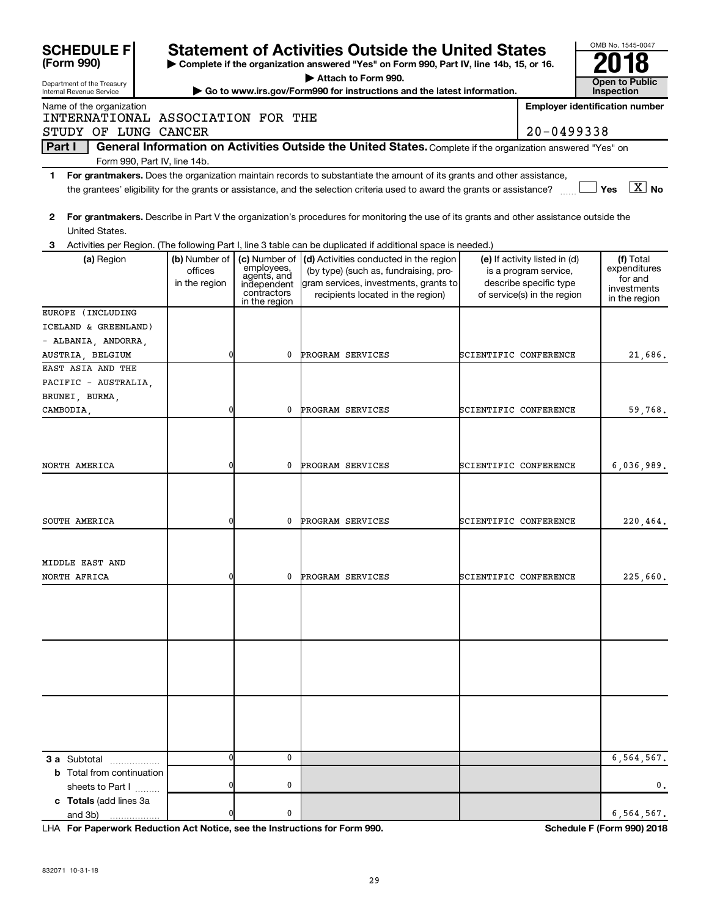| <b>SCHEDULE F</b><br>(Form 990)                               |                                           |                                                                          | <b>Statement of Activities Outside the United States</b><br>Complete if the organization answered "Yes" on Form 990, Part IV, line 14b, 15, or 16.                                  |                                                                                                                 | OMB No. 1545-0047                                                    |
|---------------------------------------------------------------|-------------------------------------------|--------------------------------------------------------------------------|-------------------------------------------------------------------------------------------------------------------------------------------------------------------------------------|-----------------------------------------------------------------------------------------------------------------|----------------------------------------------------------------------|
| Department of the Treasury                                    |                                           |                                                                          | Attach to Form 990.                                                                                                                                                                 |                                                                                                                 | <b>Open to Public</b>                                                |
| Internal Revenue Service                                      |                                           |                                                                          | Go to www.irs.gov/Form990 for instructions and the latest information.                                                                                                              |                                                                                                                 | <b>Inspection</b>                                                    |
| Name of the organization<br>INTERNATIONAL ASSOCIATION FOR THE |                                           |                                                                          |                                                                                                                                                                                     |                                                                                                                 | <b>Employer identification number</b>                                |
| STUDY OF LUNG CANCER                                          |                                           |                                                                          |                                                                                                                                                                                     | 20-0499338                                                                                                      |                                                                      |
| Part I                                                        |                                           |                                                                          | General Information on Activities Outside the United States. Complete if the organization answered "Yes" on                                                                         |                                                                                                                 |                                                                      |
| Form 990, Part IV, line 14b.                                  |                                           |                                                                          |                                                                                                                                                                                     |                                                                                                                 |                                                                      |
| 1                                                             |                                           |                                                                          | For grantmakers. Does the organization maintain records to substantiate the amount of its grants and other assistance,                                                              |                                                                                                                 |                                                                      |
|                                                               |                                           |                                                                          | the grantees' eligibility for the grants or assistance, and the selection criteria used to award the grants or assistance?                                                          |                                                                                                                 | $\boxed{X}$ No<br>Yes                                                |
| 2<br>United States.                                           |                                           |                                                                          | For grantmakers. Describe in Part V the organization's procedures for monitoring the use of its grants and other assistance outside the                                             |                                                                                                                 |                                                                      |
|                                                               |                                           |                                                                          | Activities per Region. (The following Part I, line 3 table can be duplicated if additional space is needed.)                                                                        |                                                                                                                 |                                                                      |
| (a) Region                                                    | (b) Number of<br>offices<br>in the region | employees,<br>agents, and<br>independent<br>contractors<br>in the region | (c) Number of $\vert$ (d) Activities conducted in the region<br>(by type) (such as, fundraising, pro-<br>gram services, investments, grants to<br>recipients located in the region) | (e) If activity listed in (d)<br>is a program service,<br>describe specific type<br>of service(s) in the region | (f) Total<br>expenditures<br>for and<br>investments<br>in the region |
| EUROPE (INCLUDING                                             |                                           |                                                                          |                                                                                                                                                                                     |                                                                                                                 |                                                                      |
| ICELAND & GREENLAND)                                          |                                           |                                                                          |                                                                                                                                                                                     |                                                                                                                 |                                                                      |
| - ALBANIA, ANDORRA,                                           |                                           |                                                                          |                                                                                                                                                                                     |                                                                                                                 |                                                                      |
| AUSTRIA, BELGIUM<br>EAST ASIA AND THE                         | 01                                        | 0                                                                        | PROGRAM SERVICES                                                                                                                                                                    | SCIENTIFIC CONFERENCE                                                                                           | 21,686.                                                              |
| PACIFIC - AUSTRALIA,                                          |                                           |                                                                          |                                                                                                                                                                                     |                                                                                                                 |                                                                      |
| BRUNEI, BURMA,                                                |                                           |                                                                          |                                                                                                                                                                                     |                                                                                                                 |                                                                      |
| CAMBODIA,                                                     | 01                                        | 0                                                                        | PROGRAM SERVICES                                                                                                                                                                    | SCIENTIFIC CONFERENCE                                                                                           | 59,768.                                                              |
| NORTH AMERICA                                                 | 01                                        | 0                                                                        | PROGRAM SERVICES                                                                                                                                                                    | SCIENTIFIC CONFERENCE                                                                                           | 6,036,989.                                                           |
| SOUTH AMERICA                                                 | 01                                        | 0                                                                        | PROGRAM SERVICES                                                                                                                                                                    | SCIENTIFIC CONFERENCE                                                                                           | 220,464.                                                             |
| MIDDLE EAST AND<br>NORTH AFRICA                               |                                           | 0                                                                        | <b>PROGRAM SERVICES</b>                                                                                                                                                             | SCIENTIFIC CONFERENCE                                                                                           | 225,660.                                                             |
|                                                               |                                           |                                                                          |                                                                                                                                                                                     |                                                                                                                 |                                                                      |
| 3 a Subtotal                                                  |                                           | 0                                                                        |                                                                                                                                                                                     |                                                                                                                 | 6,564,567.                                                           |
| <b>b</b> Total from continuation                              |                                           |                                                                          |                                                                                                                                                                                     |                                                                                                                 |                                                                      |
| sheets to Part I                                              |                                           | 0                                                                        |                                                                                                                                                                                     |                                                                                                                 | $\mathbf 0$ .                                                        |
| c Totals (add lines 3a<br>and $3b)$                           |                                           | 0                                                                        |                                                                                                                                                                                     |                                                                                                                 | 6,564,567.                                                           |

**For Paperwork Reduction Act Notice, see the Instructions for Form 990. Schedule F (Form 990) 2018** LHA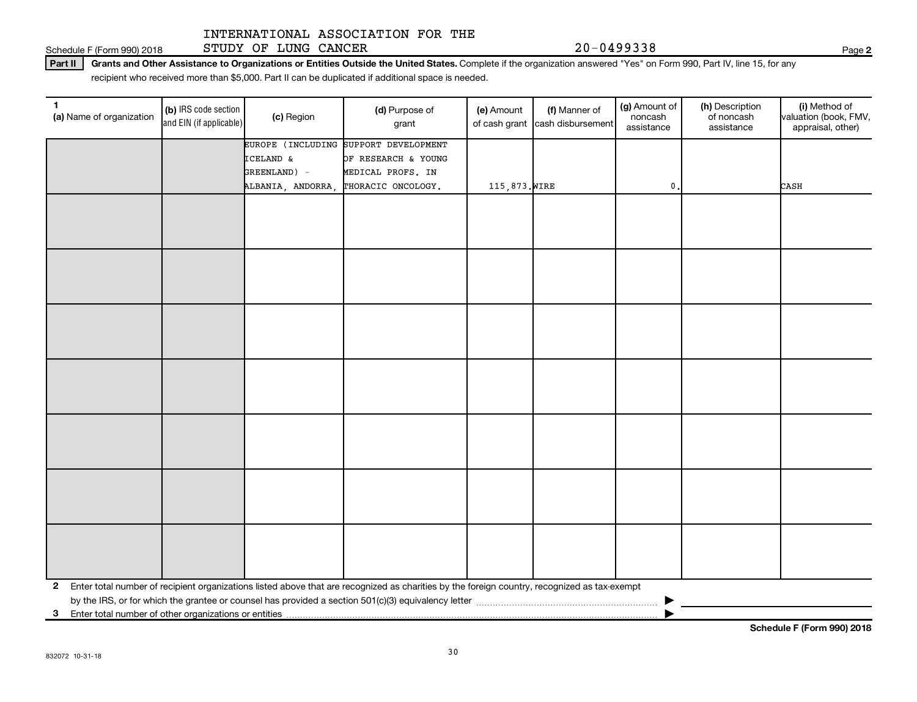Schedule F (Form 990) 2018 STUDY OF LUNG CANCER Page 20-0499338

Part II | Grants and Other Assistance to Organizations or Entities Outside the United States. Complete if the organization answered "Yes" on Form 990, Part IV, line 15, for any recipient who received more than \$5,000. Part II can be duplicated if additional space is needed.

| 1<br>(a) Name of organization                              | (b) IRS code section<br>and EIN (if applicable) | (c) Region        | (d) Purpose of<br>grant                                                                                                                      | (e) Amount    | (f) Manner of<br>of cash grant cash disbursement | (g) Amount of<br>noncash<br>assistance | (h) Description<br>of noncash<br>assistance | (i) Method of<br>valuation (book, FMV,<br>appraisal, other) |
|------------------------------------------------------------|-------------------------------------------------|-------------------|----------------------------------------------------------------------------------------------------------------------------------------------|---------------|--------------------------------------------------|----------------------------------------|---------------------------------------------|-------------------------------------------------------------|
|                                                            |                                                 |                   | EUROPE (INCLUDING SUPPORT DEVELOPMENT                                                                                                        |               |                                                  |                                        |                                             |                                                             |
|                                                            |                                                 | ICELAND &         | OF RESEARCH & YOUNG                                                                                                                          |               |                                                  |                                        |                                             |                                                             |
|                                                            |                                                 | GREENLAND) -      | MEDICAL PROFS. IN                                                                                                                            |               |                                                  |                                        |                                             |                                                             |
|                                                            |                                                 | ALBANIA, ANDORRA, | THORACIC ONCOLOGY.                                                                                                                           | 115,873. WIRE |                                                  | $\mathbf{0}$                           |                                             | CASH                                                        |
|                                                            |                                                 |                   |                                                                                                                                              |               |                                                  |                                        |                                             |                                                             |
|                                                            |                                                 |                   |                                                                                                                                              |               |                                                  |                                        |                                             |                                                             |
|                                                            |                                                 |                   |                                                                                                                                              |               |                                                  |                                        |                                             |                                                             |
|                                                            |                                                 |                   |                                                                                                                                              |               |                                                  |                                        |                                             |                                                             |
|                                                            |                                                 |                   |                                                                                                                                              |               |                                                  |                                        |                                             |                                                             |
|                                                            |                                                 |                   |                                                                                                                                              |               |                                                  |                                        |                                             |                                                             |
|                                                            |                                                 |                   |                                                                                                                                              |               |                                                  |                                        |                                             |                                                             |
|                                                            |                                                 |                   |                                                                                                                                              |               |                                                  |                                        |                                             |                                                             |
|                                                            |                                                 |                   |                                                                                                                                              |               |                                                  |                                        |                                             |                                                             |
|                                                            |                                                 |                   |                                                                                                                                              |               |                                                  |                                        |                                             |                                                             |
|                                                            |                                                 |                   |                                                                                                                                              |               |                                                  |                                        |                                             |                                                             |
|                                                            |                                                 |                   |                                                                                                                                              |               |                                                  |                                        |                                             |                                                             |
|                                                            |                                                 |                   |                                                                                                                                              |               |                                                  |                                        |                                             |                                                             |
|                                                            |                                                 |                   |                                                                                                                                              |               |                                                  |                                        |                                             |                                                             |
|                                                            |                                                 |                   |                                                                                                                                              |               |                                                  |                                        |                                             |                                                             |
|                                                            |                                                 |                   |                                                                                                                                              |               |                                                  |                                        |                                             |                                                             |
|                                                            |                                                 |                   |                                                                                                                                              |               |                                                  |                                        |                                             |                                                             |
|                                                            |                                                 |                   |                                                                                                                                              |               |                                                  |                                        |                                             |                                                             |
|                                                            |                                                 |                   |                                                                                                                                              |               |                                                  |                                        |                                             |                                                             |
|                                                            |                                                 |                   |                                                                                                                                              |               |                                                  |                                        |                                             |                                                             |
|                                                            |                                                 |                   |                                                                                                                                              |               |                                                  |                                        |                                             |                                                             |
|                                                            |                                                 |                   |                                                                                                                                              |               |                                                  |                                        |                                             |                                                             |
|                                                            |                                                 |                   |                                                                                                                                              |               |                                                  |                                        |                                             |                                                             |
|                                                            |                                                 |                   |                                                                                                                                              |               |                                                  |                                        |                                             |                                                             |
|                                                            |                                                 |                   |                                                                                                                                              |               |                                                  |                                        |                                             |                                                             |
|                                                            |                                                 |                   |                                                                                                                                              |               |                                                  |                                        |                                             |                                                             |
| $\mathbf{2}$                                               |                                                 |                   | Enter total number of recipient organizations listed above that are recognized as charities by the foreign country, recognized as tax-exempt |               |                                                  |                                        |                                             |                                                             |
|                                                            |                                                 |                   |                                                                                                                                              |               |                                                  |                                        |                                             |                                                             |
| Enter total number of other organizations or entities<br>3 |                                                 |                   |                                                                                                                                              |               |                                                  |                                        |                                             |                                                             |

**2**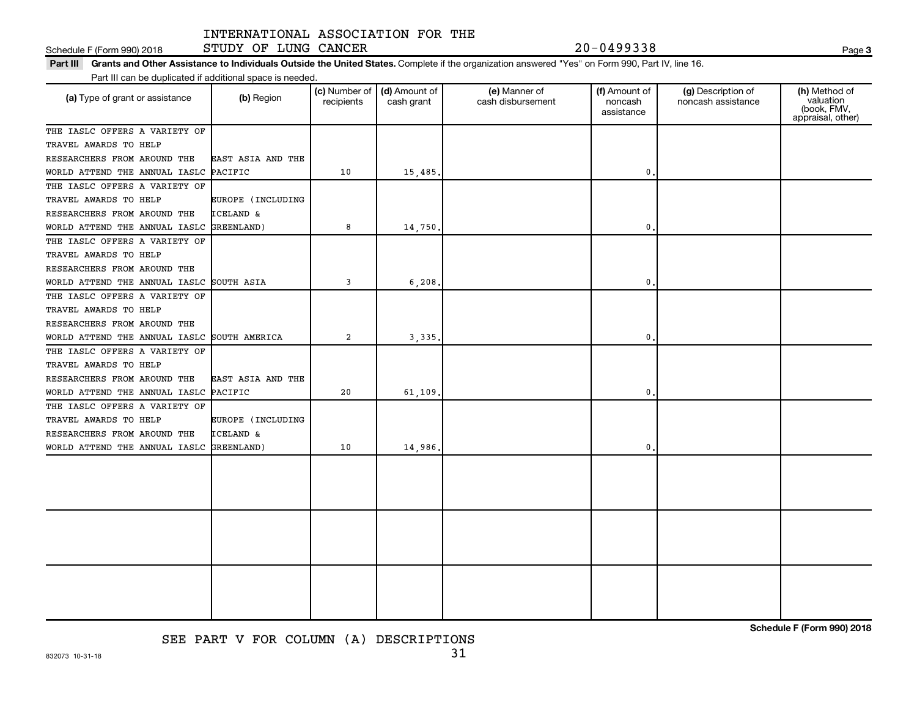Schedule F (Form 990) 2018 STUDY OF LUNG CANCER Page 20-0499338

Part III Grants and Other Assistance to Individuals Outside the United States. Complete if the organization answered "Yes" on Form 990, Part IV, line 16.

Part III can be duplicated if additional space is needed.

| (a) Type of grant or assistance | (b) Region           | (c) Number of<br>recipients | (d) Amount of<br>cash grant | (e) Manner of<br>cash disbursement | (f) Amount of<br>noncash<br>assistance | (g) Description of<br>noncash assistance | (h) Method of<br>valuation<br>(book, FMV,<br>appraisal, other) |
|---------------------------------|----------------------|-----------------------------|-----------------------------|------------------------------------|----------------------------------------|------------------------------------------|----------------------------------------------------------------|
| THE IASLC OFFERS A VARIETY OF   |                      |                             |                             |                                    |                                        |                                          |                                                                |
| TRAVEL AWARDS TO HELP           |                      |                             |                             |                                    |                                        |                                          |                                                                |
| RESEARCHERS FROM AROUND THE     | EAST ASIA AND THE    |                             |                             |                                    |                                        |                                          |                                                                |
| WORLD ATTEND THE ANNUAL IASLC   | PACIFIC              | 10                          | 15,485.                     |                                    | 0                                      |                                          |                                                                |
| THE IASLC OFFERS A VARIETY OF   |                      |                             |                             |                                    |                                        |                                          |                                                                |
| TRAVEL AWARDS TO HELP           | EUROPE (INCLUDING    |                             |                             |                                    |                                        |                                          |                                                                |
| RESEARCHERS FROM AROUND THE     | <b>ICELAND &amp;</b> |                             |                             |                                    |                                        |                                          |                                                                |
| WORLD ATTEND THE ANNUAL IASLC   | GREENLAND)           | 8                           | 14,750.                     |                                    | $\pmb{0}$                              |                                          |                                                                |
| THE IASLC OFFERS A VARIETY OF   |                      |                             |                             |                                    |                                        |                                          |                                                                |
| TRAVEL AWARDS TO HELP           |                      |                             |                             |                                    |                                        |                                          |                                                                |
| RESEARCHERS FROM AROUND THE     |                      |                             |                             |                                    |                                        |                                          |                                                                |
| WORLD ATTEND THE ANNUAL IASLC   | SOUTH ASIA           | 3                           | 6, 208                      |                                    | 0                                      |                                          |                                                                |
| THE IASLC OFFERS A VARIETY OF   |                      |                             |                             |                                    |                                        |                                          |                                                                |
| TRAVEL AWARDS TO HELP           |                      |                             |                             |                                    |                                        |                                          |                                                                |
| RESEARCHERS FROM AROUND THE     |                      |                             |                             |                                    |                                        |                                          |                                                                |
| WORLD ATTEND THE ANNUAL IASLC   | SOUTH AMERICA        | $\overline{c}$              | 3,335.                      |                                    | $\mathbf 0$                            |                                          |                                                                |
| THE IASLC OFFERS A VARIETY OF   |                      |                             |                             |                                    |                                        |                                          |                                                                |
| TRAVEL AWARDS TO HELP           |                      |                             |                             |                                    |                                        |                                          |                                                                |
| RESEARCHERS FROM AROUND THE     | EAST ASIA AND THE    |                             |                             |                                    |                                        |                                          |                                                                |
| WORLD ATTEND THE ANNUAL IASLC   | PACIFIC              | 20                          | 61,109                      |                                    | $\mathbf 0$                            |                                          |                                                                |
| THE IASLC OFFERS A VARIETY OF   |                      |                             |                             |                                    |                                        |                                          |                                                                |
| TRAVEL AWARDS TO HELP           | EUROPE (INCLUDING    |                             |                             |                                    |                                        |                                          |                                                                |
| RESEARCHERS FROM AROUND THE     | ICELAND &            |                             |                             |                                    |                                        |                                          |                                                                |
| WORLD ATTEND THE ANNUAL IASLC   | GREENLAND)           | 10                          | 14,986.                     |                                    | 0                                      |                                          |                                                                |
|                                 |                      |                             |                             |                                    |                                        |                                          |                                                                |
|                                 |                      |                             |                             |                                    |                                        |                                          |                                                                |
|                                 |                      |                             |                             |                                    |                                        |                                          |                                                                |

Page 3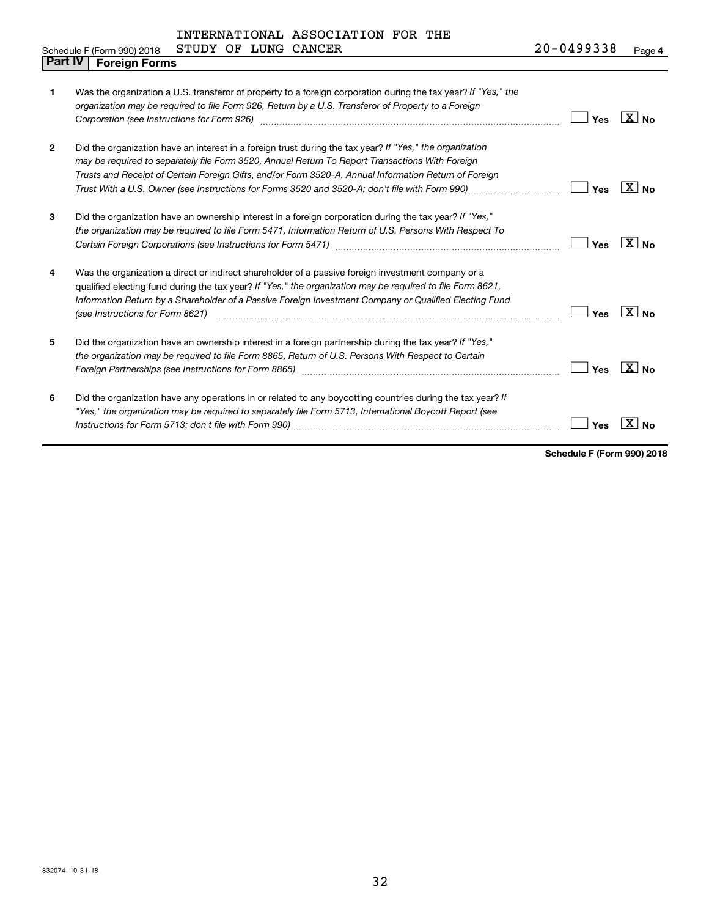|              | STUDY OF LUNG CANCER<br>Schedule F (Form 990) 2018                                                                                                                                                                                                                                                                                                                                                                                              | $20 - 0499338$ | Page 4             |
|--------------|-------------------------------------------------------------------------------------------------------------------------------------------------------------------------------------------------------------------------------------------------------------------------------------------------------------------------------------------------------------------------------------------------------------------------------------------------|----------------|--------------------|
| Part IV      | <b>Foreign Forms</b>                                                                                                                                                                                                                                                                                                                                                                                                                            |                |                    |
| 1            | Was the organization a U.S. transferor of property to a foreign corporation during the tax year? If "Yes," the<br>organization may be required to file Form 926, Return by a U.S. Transferor of Property to a Foreign                                                                                                                                                                                                                           | Yes            | $\overline{X}$ No  |
| $\mathbf{2}$ | Did the organization have an interest in a foreign trust during the tax year? If "Yes," the organization<br>may be required to separately file Form 3520, Annual Return To Report Transactions With Foreign<br>Trusts and Receipt of Certain Foreign Gifts, and/or Form 3520-A, Annual Information Return of Foreign<br>Trust With a U.S. Owner (see Instructions for Forms 3520 and 3520-A; don't file with Form 990)                          | Yes            | $X _{\mathsf{No}}$ |
| 3            | Did the organization have an ownership interest in a foreign corporation during the tax year? If "Yes,"<br>the organization may be required to file Form 5471, Information Return of U.S. Persons With Respect To                                                                                                                                                                                                                               | Yes            | $X _{\text{No}}$   |
| 4            | Was the organization a direct or indirect shareholder of a passive foreign investment company or a<br>qualified electing fund during the tax year? If "Yes," the organization may be required to file Form 8621,<br>Information Return by a Shareholder of a Passive Foreign Investment Company or Qualified Electing Fund<br>(see Instructions for Form 8621)                                                                                  | Yes            | $X _{\text{No}}$   |
| 5            | Did the organization have an ownership interest in a foreign partnership during the tax year? If "Yes,"<br>the organization may be required to file Form 8865, Return of U.S. Persons With Respect to Certain<br>Foreign Partnerships (see Instructions for Form 8865) [111] [12] The Content of Partnerships (see Instructions of Form 8865) [12] The Content of The Content of The Content of The Content of The Content of The Content of Th | Yes            | $ X $ No           |
| 6            | Did the organization have any operations in or related to any boycotting countries during the tax year? If<br>"Yes," the organization may be required to separately file Form 5713, International Boycott Report (see                                                                                                                                                                                                                           | Yes            | X<br><b>No</b>     |

**Schedule F (Form 990) 2018**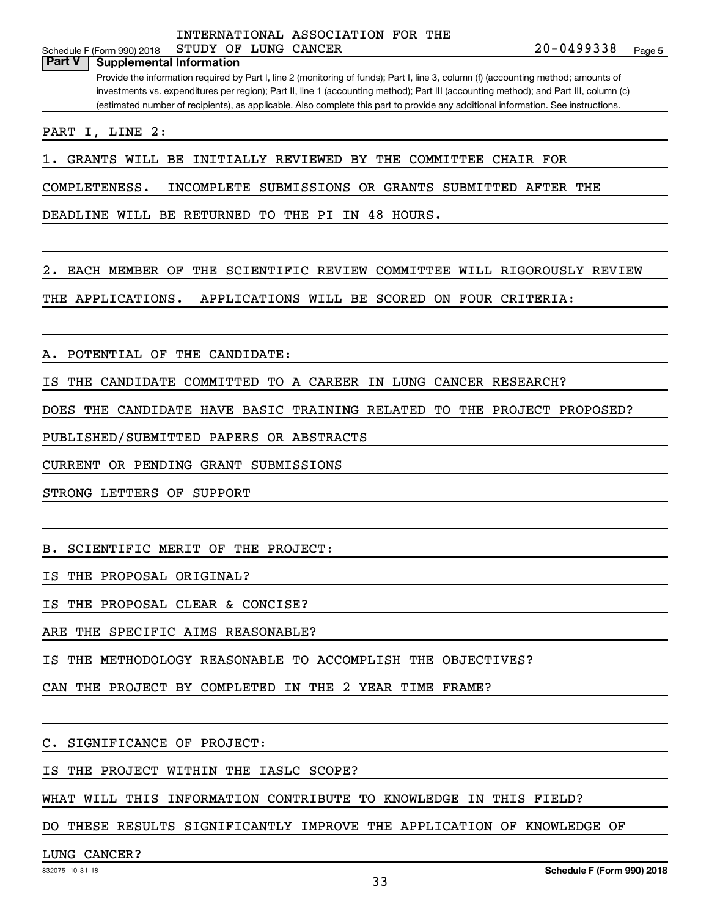| OCHEQUIE F (FORM 990) ZUTO |  | uluul ul                 |  |
|----------------------------|--|--------------------------|--|
| <b>Part V</b>              |  | Supplemental Information |  |

Provide the information required by Part I, line 2 (monitoring of funds); Part I, line 3, column (f) (accounting method; amounts of investments vs. expenditures per region); Part II, line 1 (accounting method); Part III (accounting method); and Part III, column (c) (estimated number of recipients), as applicable. Also complete this part to provide any additional information. See instructions.

PART I, LINE 2:

1. GRANTS WILL BE INITIALLY REVIEWED BY THE COMMITTEE CHAIR FOR

COMPLETENESS. INCOMPLETE SUBMISSIONS OR GRANTS SUBMITTED AFTER THE

DEADLINE WILL BE RETURNED TO THE PI IN 48 HOURS.

2. EACH MEMBER OF THE SCIENTIFIC REVIEW COMMITTEE WILL RIGOROUSLY REVIEW

THE APPLICATIONS. APPLICATIONS WILL BE SCORED ON FOUR CRITERIA:

A. POTENTIAL OF THE CANDIDATE:

IS THE CANDIDATE COMMITTED TO A CAREER IN LUNG CANCER RESEARCH?

DOES THE CANDIDATE HAVE BASIC TRAINING RELATED TO THE PROJECT PROPOSED?

PUBLISHED/SUBMITTED PAPERS OR ABSTRACTS

CURRENT OR PENDING GRANT SUBMISSIONS

STRONG LETTERS OF SUPPORT

B. SCIENTIFIC MERIT OF THE PROJECT:

IS THE PROPOSAL ORIGINAL?

IS THE PROPOSAL CLEAR & CONCISE?

ARE THE SPECIFIC AIMS REASONABLE?

IS THE METHODOLOGY REASONABLE TO ACCOMPLISH THE OBJECTIVES?

CAN THE PROJECT BY COMPLETED IN THE 2 YEAR TIME FRAME?

C. SIGNIFICANCE OF PROJECT:

IS THE PROJECT WITHIN THE IASLC SCOPE?

WHAT WILL THIS INFORMATION CONTRIBUTE TO KNOWLEDGE IN THIS FIELD?

DO THESE RESULTS SIGNIFICANTLY IMPROVE THE APPLICATION OF KNOWLEDGE OF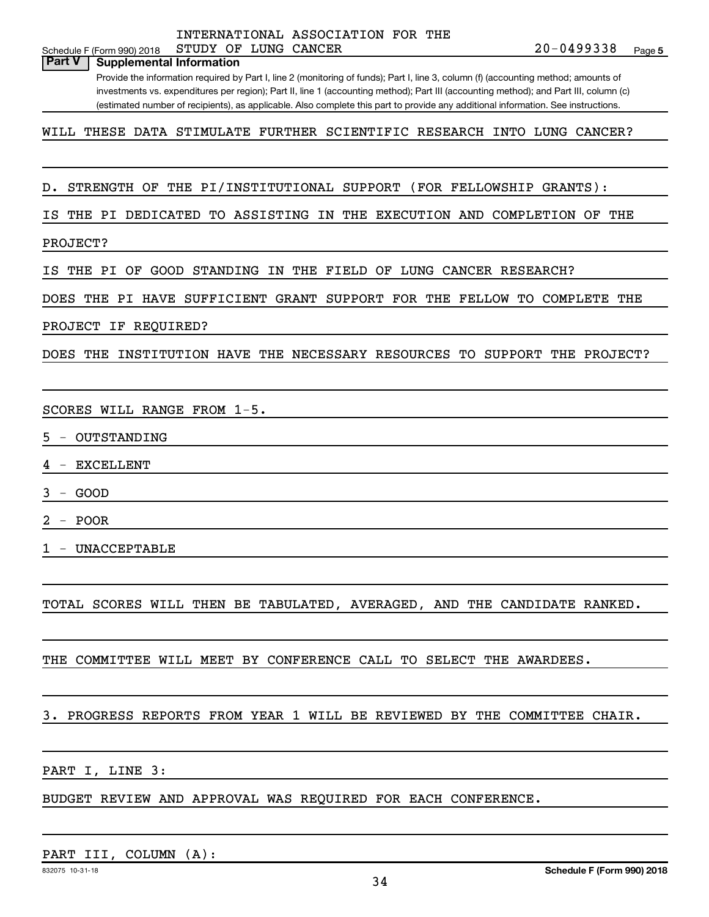## **Part V Supplemental Information**

Provide the information required by Part I, line 2 (monitoring of funds); Part I, line 3, column (f) (accounting method; amounts of investments vs. expenditures per region); Part II, line 1 (accounting method); Part III (accounting method); and Part III, column (c) (estimated number of recipients), as applicable. Also complete this part to provide any additional information. See instructions.

### WILL THESE DATA STIMULATE FURTHER SCIENTIFIC RESEARCH INTO LUNG CANCER?

#### D. STRENGTH OF THE PI/INSTITUTIONAL SUPPORT (FOR FELLOWSHIP GRANTS):

#### IS THE PI DEDICATED TO ASSISTING IN THE EXECUTION AND COMPLETION OF THE

#### PROJECT?

IS THE PI OF GOOD STANDING IN THE FIELD OF LUNG CANCER RESEARCH?

#### DOES THE PI HAVE SUFFICIENT GRANT SUPPORT FOR THE FELLOW TO COMPLETE THE

#### PROJECT IF REQUIRED?

DOES THE INSTITUTION HAVE THE NECESSARY RESOURCES TO SUPPORT THE PROJECT?

SCORES WILL RANGE FROM 1-5.

- 5 OUTSTANDING
- EXCELLENT
- 3 GOOD
- 2 POOR
- 1 UNACCEPTABLE

TOTAL SCORES WILL THEN BE TABULATED, AVERAGED, AND THE CANDIDATE RANKED.

THE COMMITTEE WILL MEET BY CONFERENCE CALL TO SELECT THE AWARDEES.

#### 3. PROGRESS REPORTS FROM YEAR 1 WILL BE REVIEWED BY THE COMMITTEE CHAIR.

PART I, LINE 3:

#### BUDGET REVIEW AND APPROVAL WAS REQUIRED FOR EACH CONFERENCE.

#### PART III, COLUMN (A):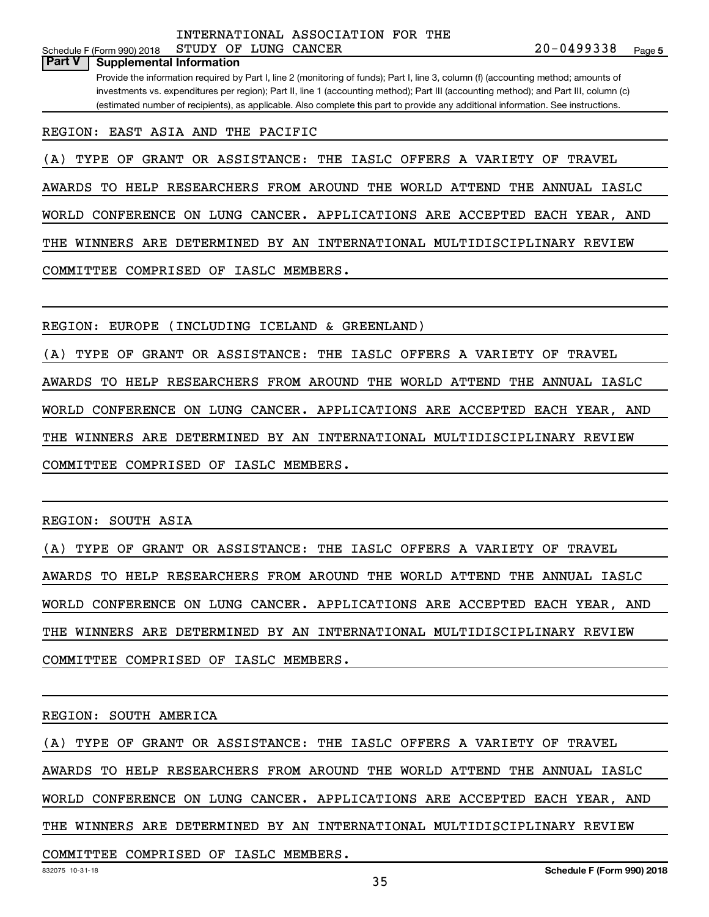**Part V Supplemental Information**

Provide the information required by Part I, line 2 (monitoring of funds); Part I, line 3, column (f) (accounting method; amounts of investments vs. expenditures per region); Part II, line 1 (accounting method); Part III (accounting method); and Part III, column (c) (estimated number of recipients), as applicable. Also complete this part to provide any additional information. See instructions.

REGION: EAST ASIA AND THE PACIFIC

(A) TYPE OF GRANT OR ASSISTANCE: THE IASLC OFFERS A VARIETY OF TRAVEL

AWARDS TO HELP RESEARCHERS FROM AROUND THE WORLD ATTEND THE ANNUAL IASLC

WORLD CONFERENCE ON LUNG CANCER. APPLICATIONS ARE ACCEPTED EACH YEAR, AND

THE WINNERS ARE DETERMINED BY AN INTERNATIONAL MULTIDISCIPLINARY REVIEW

COMMITTEE COMPRISED OF IASLC MEMBERS.

REGION: EUROPE (INCLUDING ICELAND & GREENLAND)

(A) TYPE OF GRANT OR ASSISTANCE: THE IASLC OFFERS A VARIETY OF TRAVEL

AWARDS TO HELP RESEARCHERS FROM AROUND THE WORLD ATTEND THE ANNUAL IASLC

WORLD CONFERENCE ON LUNG CANCER. APPLICATIONS ARE ACCEPTED EACH YEAR, AND

THE WINNERS ARE DETERMINED BY AN INTERNATIONAL MULTIDISCIPLINARY REVIEW

COMMITTEE COMPRISED OF IASLC MEMBERS.

REGION: SOUTH ASIA

(A) TYPE OF GRANT OR ASSISTANCE: THE IASLC OFFERS A VARIETY OF TRAVEL AWARDS TO HELP RESEARCHERS FROM AROUND THE WORLD ATTEND THE ANNUAL IASLC WORLD CONFERENCE ON LUNG CANCER. APPLICATIONS ARE ACCEPTED EACH YEAR, AND THE WINNERS ARE DETERMINED BY AN INTERNATIONAL MULTIDISCIPLINARY REVIEW COMMITTEE COMPRISED OF IASLC MEMBERS.

REGION: SOUTH AMERICA

(A) TYPE OF GRANT OR ASSISTANCE: THE IASLC OFFERS A VARIETY OF TRAVEL AWARDS TO HELP RESEARCHERS FROM AROUND THE WORLD ATTEND THE ANNUAL IASLC WORLD CONFERENCE ON LUNG CANCER. APPLICATIONS ARE ACCEPTED EACH YEAR, AND THE WINNERS ARE DETERMINED BY AN INTERNATIONAL MULTIDISCIPLINARY REVIEW

COMMITTEE COMPRISED OF IASLC MEMBERS.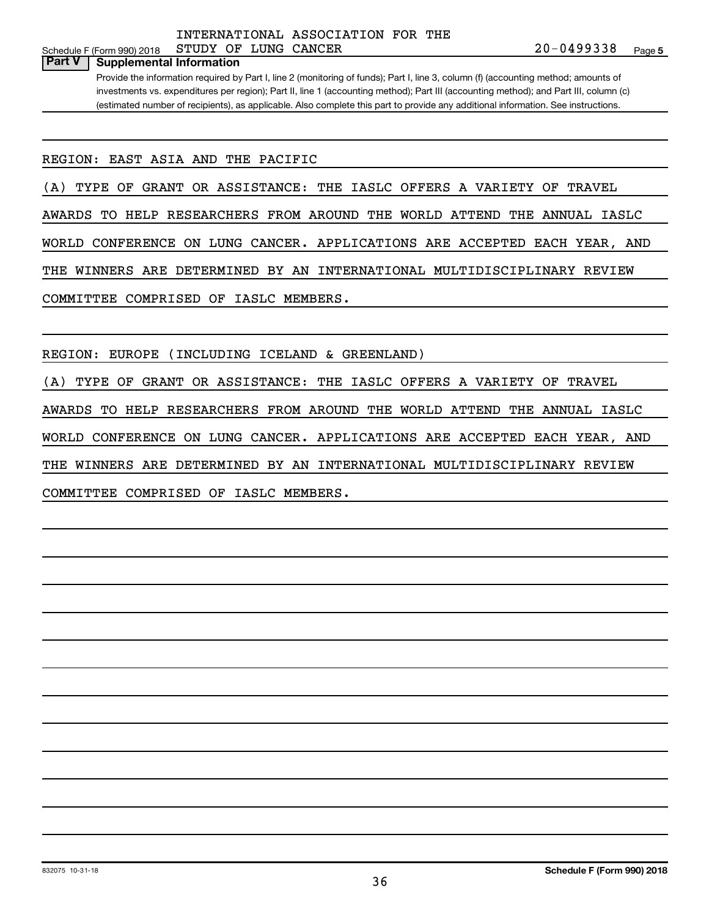# **Part V Supplemental Information**

Provide the information required by Part I, line 2 (monitoring of funds); Part I, line 3, column (f) (accounting method; amounts of investments vs. expenditures per region); Part II, line 1 (accounting method); Part III (accounting method); and Part III, column (c) (estimated number of recipients), as applicable. Also complete this part to provide any additional information. See instructions.

REGION: EAST ASIA AND THE PACIFIC

(A) TYPE OF GRANT OR ASSISTANCE: THE IASLC OFFERS A VARIETY OF TRAVEL

AWARDS TO HELP RESEARCHERS FROM AROUND THE WORLD ATTEND THE ANNUAL IASLC

WORLD CONFERENCE ON LUNG CANCER. APPLICATIONS ARE ACCEPTED EACH YEAR, AND

THE WINNERS ARE DETERMINED BY AN INTERNATIONAL MULTIDISCIPLINARY REVIEW

COMMITTEE COMPRISED OF IASLC MEMBERS.

REGION: EUROPE (INCLUDING ICELAND & GREENLAND)

(A) TYPE OF GRANT OR ASSISTANCE: THE IASLC OFFERS A VARIETY OF TRAVEL AWARDS TO HELP RESEARCHERS FROM AROUND THE WORLD ATTEND THE ANNUAL IASLC WORLD CONFERENCE ON LUNG CANCER. APPLICATIONS ARE ACCEPTED EACH YEAR, AND THE WINNERS ARE DETERMINED BY AN INTERNATIONAL MULTIDISCIPLINARY REVIEW COMMITTEE COMPRISED OF IASLC MEMBERS.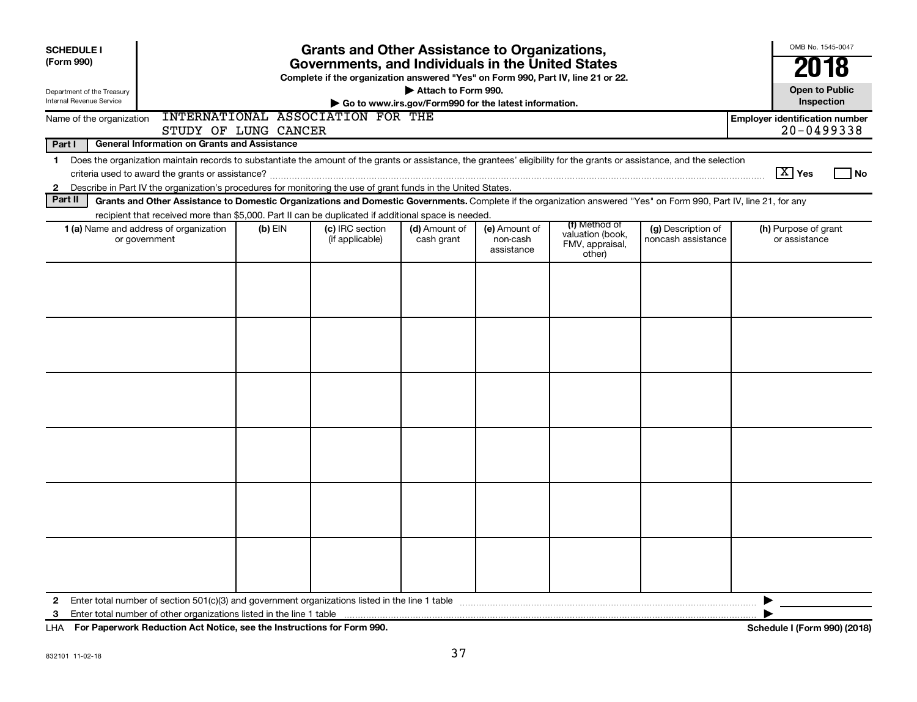| <b>Grants and Other Assistance to Organizations,</b><br><b>SCHEDULE I</b><br>(Form 990)<br>Governments, and Individuals in the United States<br>Complete if the organization answered "Yes" on Form 990, Part IV, line 21 or 22.<br>Attach to Form 990. |                                                     |                      |                                                                                                     |                                                       |                                         |                                               |                                                                                                                                                                          |                                                     |  |  |  |  |
|---------------------------------------------------------------------------------------------------------------------------------------------------------------------------------------------------------------------------------------------------------|-----------------------------------------------------|----------------------|-----------------------------------------------------------------------------------------------------|-------------------------------------------------------|-----------------------------------------|-----------------------------------------------|--------------------------------------------------------------------------------------------------------------------------------------------------------------------------|-----------------------------------------------------|--|--|--|--|
| Department of the Treasury<br>Internal Revenue Service                                                                                                                                                                                                  |                                                     |                      |                                                                                                     | Go to www.irs.gov/Form990 for the latest information. |                                         |                                               |                                                                                                                                                                          | <b>Open to Public</b><br>Inspection                 |  |  |  |  |
| Name of the organization                                                                                                                                                                                                                                |                                                     | STUDY OF LUNG CANCER | INTERNATIONAL ASSOCIATION FOR THE                                                                   |                                                       |                                         |                                               |                                                                                                                                                                          | <b>Employer identification number</b><br>20-0499338 |  |  |  |  |
| Part I                                                                                                                                                                                                                                                  | <b>General Information on Grants and Assistance</b> |                      |                                                                                                     |                                                       |                                         |                                               |                                                                                                                                                                          |                                                     |  |  |  |  |
| $\mathbf 1$<br>Describe in Part IV the organization's procedures for monitoring the use of grant funds in the United States.<br>$\mathbf{2}$                                                                                                            |                                                     |                      |                                                                                                     |                                                       |                                         |                                               | Does the organization maintain records to substantiate the amount of the grants or assistance, the grantees' eligibility for the grants or assistance, and the selection | $\boxed{\text{X}}$ Yes<br>l No                      |  |  |  |  |
| Part II                                                                                                                                                                                                                                                 |                                                     |                      |                                                                                                     |                                                       |                                         |                                               | Grants and Other Assistance to Domestic Organizations and Domestic Governments. Complete if the organization answered "Yes" on Form 990, Part IV, line 21, for any       |                                                     |  |  |  |  |
|                                                                                                                                                                                                                                                         |                                                     |                      | recipient that received more than \$5,000. Part II can be duplicated if additional space is needed. |                                                       |                                         | (f) Method of                                 |                                                                                                                                                                          |                                                     |  |  |  |  |
| 1 (a) Name and address of organization<br>or government                                                                                                                                                                                                 |                                                     | $(b)$ EIN            | (c) IRC section<br>(if applicable)                                                                  | (d) Amount of<br>cash grant                           | (e) Amount of<br>non-cash<br>assistance | valuation (book,<br>FMV, appraisal,<br>other) | (g) Description of<br>noncash assistance                                                                                                                                 | (h) Purpose of grant<br>or assistance               |  |  |  |  |
|                                                                                                                                                                                                                                                         |                                                     |                      |                                                                                                     |                                                       |                                         |                                               |                                                                                                                                                                          |                                                     |  |  |  |  |
|                                                                                                                                                                                                                                                         |                                                     |                      |                                                                                                     |                                                       |                                         |                                               |                                                                                                                                                                          |                                                     |  |  |  |  |
|                                                                                                                                                                                                                                                         |                                                     |                      |                                                                                                     |                                                       |                                         |                                               |                                                                                                                                                                          |                                                     |  |  |  |  |
|                                                                                                                                                                                                                                                         |                                                     |                      |                                                                                                     |                                                       |                                         |                                               |                                                                                                                                                                          |                                                     |  |  |  |  |
|                                                                                                                                                                                                                                                         |                                                     |                      |                                                                                                     |                                                       |                                         |                                               |                                                                                                                                                                          |                                                     |  |  |  |  |
|                                                                                                                                                                                                                                                         |                                                     |                      |                                                                                                     |                                                       |                                         |                                               |                                                                                                                                                                          |                                                     |  |  |  |  |
| $\mathbf{2}$<br>3 Enter total number of other organizations listed in the line 1 table                                                                                                                                                                  |                                                     |                      |                                                                                                     |                                                       |                                         |                                               |                                                                                                                                                                          | ▶                                                   |  |  |  |  |
|                                                                                                                                                                                                                                                         |                                                     |                      |                                                                                                     |                                                       |                                         |                                               |                                                                                                                                                                          |                                                     |  |  |  |  |

**For Paperwork Reduction Act Notice, see the Instructions for Form 990. Schedule I (Form 990) (2018)** LHA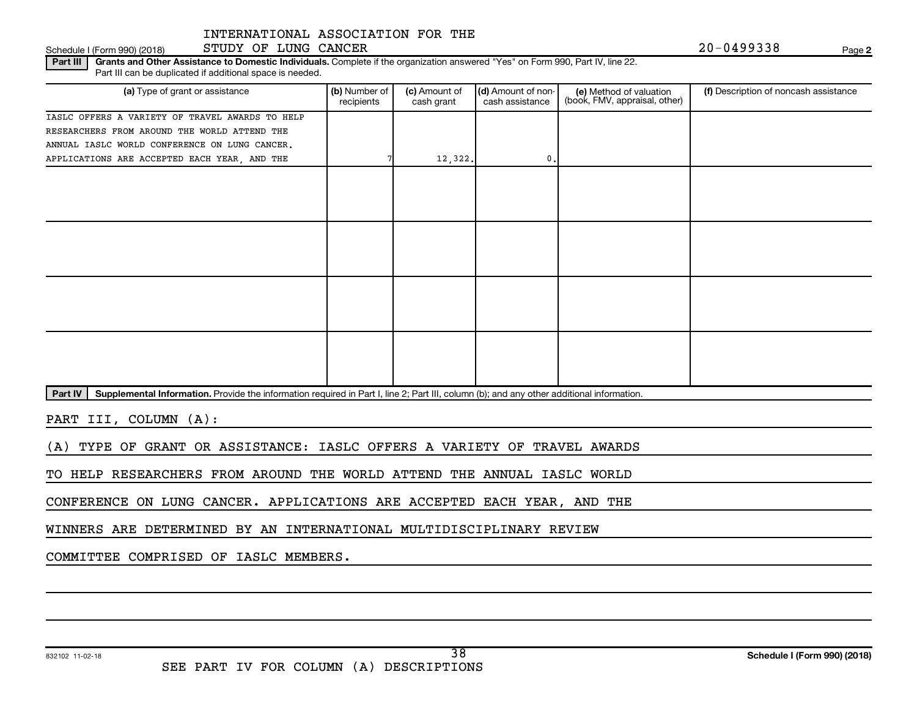Part III | Grants and Other Assistance to Domestic Individuals. Complete if the organization answered "Yes" on Form 990, Part IV, line 22.

Schedule I (Form 990) (2018) STUDY OF LUNG CANCER (2008) Page 20-0499338

(a) Type of grant or assistance **(b)** Number of  $|$  **(c)** Amount of  $|$  **(d)** Amount of non- $|$  **(e)** Method of valuation  $|$  **(f)** Part III can be duplicated if additional space is needed. (e) Method of valuation (book, FMV, appraisal, other) recipients (c) Amount of cash grant (d) Amount of noncash assistance **(f)** Description of noncash assistance IASLC OFFERS A VARIETY OF TRAVEL AWARDS TO HELP RESEARCHERS FROM AROUND THE WORLD ATTEND THE ANNUAL IASLC WORLD CONFERENCE ON LUNG CANCER. APPLICATIONS ARE ACCEPTED EACH YEAR, AND THE  $\begin{array}{ccc} 7 & 12,322. \end{array}$ 

Part IV | Supplemental Information. Provide the information required in Part I, line 2; Part III, column (b); and any other additional information.

PART III, COLUMN (A):

(A) TYPE OF GRANT OR ASSISTANCE: IASLC OFFERS A VARIETY OF TRAVEL AWARDS

TO HELP RESEARCHERS FROM AROUND THE WORLD ATTEND THE ANNUAL IASLC WORLD

CONFERENCE ON LUNG CANCER. APPLICATIONS ARE ACCEPTED EACH YEAR, AND THE

WINNERS ARE DETERMINED BY AN INTERNATIONAL MULTIDISCIPLINARY REVIEW

COMMITTEE COMPRISED OF IASLC MEMBERS.

**2**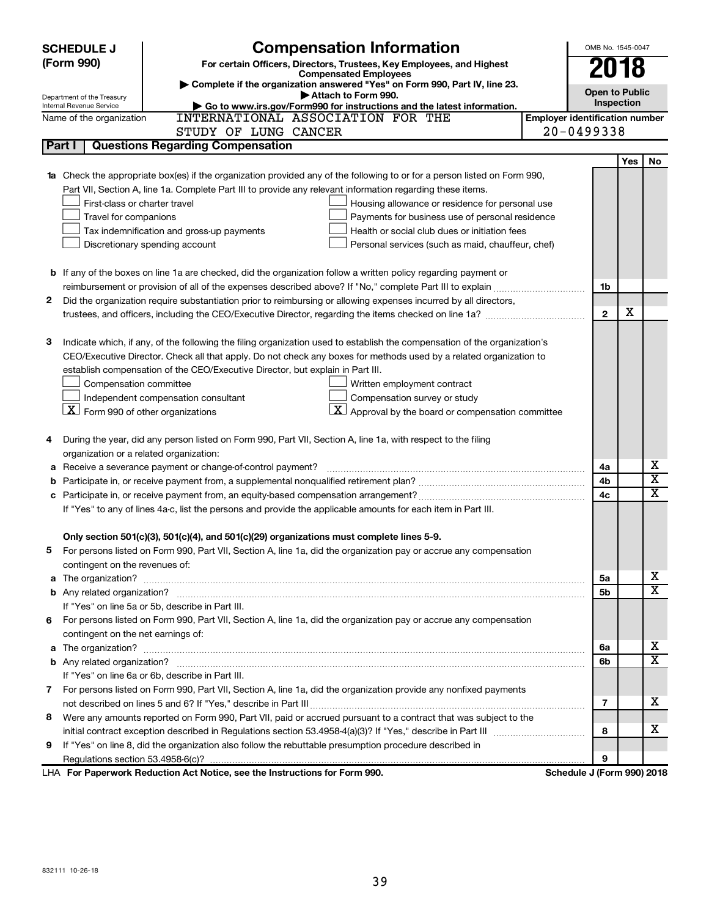| <b>SCHEDULE J</b>                                                                                             |                                                                                                                 | <b>Compensation Information</b>                                                                                           |                                       | OMB No. 1545-0047          |     |                         |  |
|---------------------------------------------------------------------------------------------------------------|-----------------------------------------------------------------------------------------------------------------|---------------------------------------------------------------------------------------------------------------------------|---------------------------------------|----------------------------|-----|-------------------------|--|
| (Form 990)                                                                                                    |                                                                                                                 | For certain Officers, Directors, Trustees, Key Employees, and Highest                                                     |                                       |                            |     |                         |  |
|                                                                                                               |                                                                                                                 | <b>Compensated Employees</b>                                                                                              |                                       | 2018                       |     |                         |  |
| Department of the Treasury                                                                                    |                                                                                                                 | Complete if the organization answered "Yes" on Form 990, Part IV, line 23.<br>Attach to Form 990.                         |                                       | <b>Open to Public</b>      |     |                         |  |
| Internal Revenue Service                                                                                      |                                                                                                                 | Go to www.irs.gov/Form990 for instructions and the latest information.                                                    |                                       | Inspection                 |     |                         |  |
|                                                                                                               | Name of the organization                                                                                        | INTERNATIONAL ASSOCIATION FOR THE                                                                                         | <b>Employer identification number</b> |                            |     |                         |  |
|                                                                                                               |                                                                                                                 | STUDY OF LUNG CANCER                                                                                                      |                                       | 20-0499338                 |     |                         |  |
|                                                                                                               | Part I                                                                                                          | <b>Questions Regarding Compensation</b>                                                                                   |                                       |                            |     |                         |  |
|                                                                                                               |                                                                                                                 |                                                                                                                           |                                       |                            | Yes | No                      |  |
|                                                                                                               |                                                                                                                 | Check the appropriate box(es) if the organization provided any of the following to or for a person listed on Form 990,    |                                       |                            |     |                         |  |
|                                                                                                               |                                                                                                                 | Part VII, Section A, line 1a. Complete Part III to provide any relevant information regarding these items.                |                                       |                            |     |                         |  |
|                                                                                                               | First-class or charter travel                                                                                   | Housing allowance or residence for personal use                                                                           |                                       |                            |     |                         |  |
|                                                                                                               | Travel for companions                                                                                           | Payments for business use of personal residence                                                                           |                                       |                            |     |                         |  |
|                                                                                                               |                                                                                                                 | Health or social club dues or initiation fees<br>Tax indemnification and gross-up payments                                |                                       |                            |     |                         |  |
|                                                                                                               |                                                                                                                 | Discretionary spending account<br>Personal services (such as maid, chauffeur, chef)                                       |                                       |                            |     |                         |  |
|                                                                                                               |                                                                                                                 |                                                                                                                           |                                       |                            |     |                         |  |
|                                                                                                               |                                                                                                                 | <b>b</b> If any of the boxes on line 1a are checked, did the organization follow a written policy regarding payment or    |                                       |                            |     |                         |  |
|                                                                                                               |                                                                                                                 |                                                                                                                           |                                       | 1b                         |     |                         |  |
| 2                                                                                                             |                                                                                                                 | Did the organization require substantiation prior to reimbursing or allowing expenses incurred by all directors,          |                                       |                            |     |                         |  |
|                                                                                                               |                                                                                                                 | trustees, and officers, including the CEO/Executive Director, regarding the items checked on line 1a?                     |                                       | $\mathbf{2}$               | х   |                         |  |
|                                                                                                               |                                                                                                                 |                                                                                                                           |                                       |                            |     |                         |  |
| з                                                                                                             |                                                                                                                 | Indicate which, if any, of the following the filing organization used to establish the compensation of the organization's |                                       |                            |     |                         |  |
|                                                                                                               |                                                                                                                 | CEO/Executive Director. Check all that apply. Do not check any boxes for methods used by a related organization to        |                                       |                            |     |                         |  |
|                                                                                                               |                                                                                                                 | establish compensation of the CEO/Executive Director, but explain in Part III.                                            |                                       |                            |     |                         |  |
|                                                                                                               | Compensation committee                                                                                          | Written employment contract                                                                                               |                                       |                            |     |                         |  |
|                                                                                                               |                                                                                                                 | Independent compensation consultant<br>Compensation survey or study                                                       |                                       |                            |     |                         |  |
|                                                                                                               | $ \mathbf{X} $ Form 990 of other organizations                                                                  | $\boxed{\textbf{X}}$ Approval by the board or compensation committee                                                      |                                       |                            |     |                         |  |
|                                                                                                               |                                                                                                                 |                                                                                                                           |                                       |                            |     |                         |  |
| 4                                                                                                             |                                                                                                                 | During the year, did any person listed on Form 990, Part VII, Section A, line 1a, with respect to the filing              |                                       |                            |     |                         |  |
|                                                                                                               | organization or a related organization:                                                                         |                                                                                                                           |                                       | 4a                         |     | x                       |  |
|                                                                                                               | Receive a severance payment or change-of-control payment?<br>а                                                  |                                                                                                                           |                                       |                            |     | $\overline{\mathbf{X}}$ |  |
| b                                                                                                             |                                                                                                                 |                                                                                                                           |                                       | 4b<br>4c                   |     | X                       |  |
|                                                                                                               |                                                                                                                 |                                                                                                                           |                                       |                            |     |                         |  |
| If "Yes" to any of lines 4a-c, list the persons and provide the applicable amounts for each item in Part III. |                                                                                                                 |                                                                                                                           |                                       |                            |     |                         |  |
|                                                                                                               |                                                                                                                 | Only section 501(c)(3), 501(c)(4), and 501(c)(29) organizations must complete lines 5-9.                                  |                                       |                            |     |                         |  |
|                                                                                                               |                                                                                                                 | For persons listed on Form 990, Part VII, Section A, line 1a, did the organization pay or accrue any compensation         |                                       |                            |     |                         |  |
|                                                                                                               | contingent on the revenues of:                                                                                  |                                                                                                                           |                                       |                            |     |                         |  |
| a                                                                                                             |                                                                                                                 |                                                                                                                           |                                       | 5a                         |     | x                       |  |
|                                                                                                               |                                                                                                                 |                                                                                                                           |                                       | 5b                         |     | $\overline{\texttt{x}}$ |  |
|                                                                                                               |                                                                                                                 | If "Yes" on line 5a or 5b, describe in Part III.                                                                          |                                       |                            |     |                         |  |
|                                                                                                               |                                                                                                                 | 6 For persons listed on Form 990, Part VII, Section A, line 1a, did the organization pay or accrue any compensation       |                                       |                            |     |                         |  |
|                                                                                                               | contingent on the net earnings of:                                                                              |                                                                                                                           |                                       |                            |     |                         |  |
| a                                                                                                             |                                                                                                                 |                                                                                                                           |                                       | 6a                         |     | x                       |  |
|                                                                                                               |                                                                                                                 |                                                                                                                           |                                       | 6b                         |     | $\overline{\texttt{x}}$ |  |
|                                                                                                               |                                                                                                                 | If "Yes" on line 6a or 6b, describe in Part III.                                                                          |                                       |                            |     |                         |  |
|                                                                                                               |                                                                                                                 | 7 For persons listed on Form 990, Part VII, Section A, line 1a, did the organization provide any nonfixed payments        |                                       |                            |     |                         |  |
|                                                                                                               |                                                                                                                 |                                                                                                                           |                                       | 7                          |     | х                       |  |
| 8                                                                                                             | Were any amounts reported on Form 990, Part VII, paid or accrued pursuant to a contract that was subject to the |                                                                                                                           |                                       |                            |     |                         |  |
|                                                                                                               |                                                                                                                 |                                                                                                                           |                                       | 8                          |     | х                       |  |
| 9                                                                                                             |                                                                                                                 | If "Yes" on line 8, did the organization also follow the rebuttable presumption procedure described in                    |                                       |                            |     |                         |  |
|                                                                                                               |                                                                                                                 |                                                                                                                           |                                       | 9                          |     |                         |  |
|                                                                                                               |                                                                                                                 | LHA For Paperwork Reduction Act Notice, see the Instructions for Form 990.                                                |                                       | Schedule J (Form 990) 2018 |     |                         |  |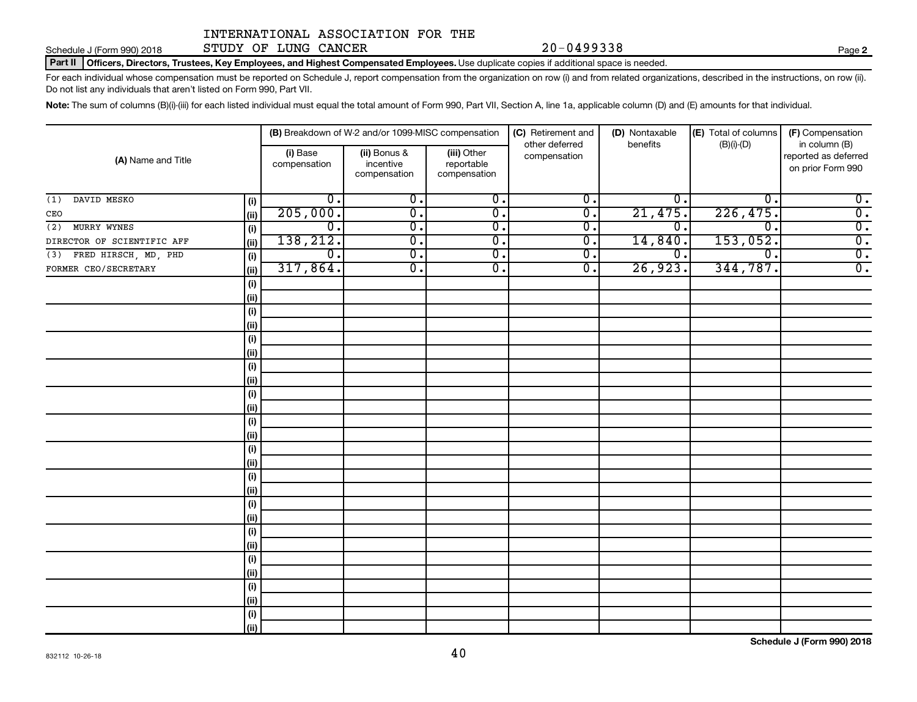Schedule J (Form 990) 2018 STUDY OF LUNG CANCER Page 20-0499338

#### Part II | Officers, Directors, Trustees, Key Employees, and Highest Compensated Employees. Use duplicate copies if additional space is needed.

For each individual whose compensation must be reported on Schedule J, report compensation from the organization on row (i) and from related organizations, described in the instructions, on row (ii). Do not list any individuals that aren't listed on Form 990, Part VII.

Note: The sum of columns (B)(i)-(iii) for each listed individual must equal the total amount of Form 990, Part VII, Section A, line 1a, applicable column (D) and (E) amounts for that individual.

| (A) Name and Title          |      |                          | (B) Breakdown of W-2 and/or 1099-MISC compensation |                                           | (C) Retirement and<br>other deferred | (D) Nontaxable<br>benefits | (E) Total of columns        | (F) Compensation                                           |
|-----------------------------|------|--------------------------|----------------------------------------------------|-------------------------------------------|--------------------------------------|----------------------------|-----------------------------|------------------------------------------------------------|
|                             |      | (i) Base<br>compensation | (ii) Bonus &<br>incentive<br>compensation          | (iii) Other<br>reportable<br>compensation | compensation                         |                            | $(B)(i)$ - $(D)$            | in column (B)<br>reported as deferred<br>on prior Form 990 |
| DAVID MESKO<br>(1)          | (i)  | $\overline{0}$ .         | $\overline{\mathbf{0}}$ .                          | $\overline{0}$ .                          | $\overline{0}$ .                     | $\overline{0}$ .           | 0.                          | $\overline{\mathbf{0}}$ .                                  |
| CEO                         | (ii) | 205,000.                 | $\overline{\mathbf{0}}$ .                          | $\overline{0}$ .                          | $\overline{0}$ .                     | 21,475.                    | 226, 475.                   | $\overline{0}$ .                                           |
| MURRY WYNES<br>(2)          | (i)  | $\overline{0}$ .         | $\overline{\mathbf{0}}$ .                          | $\overline{\mathbf{0}}$ .                 | $\mathbf 0$ .                        | 0.                         | $\overline{0}$ .            | $\overline{0}$ .                                           |
| DIRECTOR OF SCIENTIFIC AFF  | (ii) | 138,212.                 | $\overline{0}$ .                                   | $\overline{\mathbf{0}}$ .                 | $\overline{0}$ .                     | 14,840.                    | 153,052.                    | $\overline{0}$ .                                           |
| FRED HIRSCH, MD, PHD<br>(3) | (i)  | $\overline{0}$ .         | $\overline{\mathfrak{o}}$ .                        | $\overline{\mathbf{0}}$ .                 | $\overline{0}$ .                     | 0.                         | $\overline{\mathfrak{o}}$ . | $\overline{0}$ .                                           |
| FORMER CEO/SECRETARY        | (ii) | 317,864.                 | $\overline{\mathfrak{o}}$ .                        | $\overline{0}$ .                          | $\overline{0}$ .                     | 26,923.                    | 344,787.                    | $\overline{0}$ .                                           |
|                             | (i)  |                          |                                                    |                                           |                                      |                            |                             |                                                            |
|                             | (ii) |                          |                                                    |                                           |                                      |                            |                             |                                                            |
|                             | (i)  |                          |                                                    |                                           |                                      |                            |                             |                                                            |
|                             | (ii) |                          |                                                    |                                           |                                      |                            |                             |                                                            |
|                             | (i)  |                          |                                                    |                                           |                                      |                            |                             |                                                            |
|                             | (ii) |                          |                                                    |                                           |                                      |                            |                             |                                                            |
|                             | (i)  |                          |                                                    |                                           |                                      |                            |                             |                                                            |
|                             | (ii) |                          |                                                    |                                           |                                      |                            |                             |                                                            |
|                             | (i)  |                          |                                                    |                                           |                                      |                            |                             |                                                            |
|                             | (ii) |                          |                                                    |                                           |                                      |                            |                             |                                                            |
|                             | (i)  |                          |                                                    |                                           |                                      |                            |                             |                                                            |
|                             | (ii) |                          |                                                    |                                           |                                      |                            |                             |                                                            |
|                             | (i)  |                          |                                                    |                                           |                                      |                            |                             |                                                            |
|                             | (ii) |                          |                                                    |                                           |                                      |                            |                             |                                                            |
|                             | (i)  |                          |                                                    |                                           |                                      |                            |                             |                                                            |
|                             | (ii) |                          |                                                    |                                           |                                      |                            |                             |                                                            |
|                             | (i)  |                          |                                                    |                                           |                                      |                            |                             |                                                            |
|                             | (ii) |                          |                                                    |                                           |                                      |                            |                             |                                                            |
|                             | (i)  |                          |                                                    |                                           |                                      |                            |                             |                                                            |
|                             | (ii) |                          |                                                    |                                           |                                      |                            |                             |                                                            |
|                             | (i)  |                          |                                                    |                                           |                                      |                            |                             |                                                            |
|                             | (ii) |                          |                                                    |                                           |                                      |                            |                             |                                                            |
|                             | (i)  |                          |                                                    |                                           |                                      |                            |                             |                                                            |
|                             | (ii) |                          |                                                    |                                           |                                      |                            |                             |                                                            |
|                             | (i)  |                          |                                                    |                                           |                                      |                            |                             |                                                            |
|                             | (ii) |                          |                                                    |                                           |                                      |                            |                             |                                                            |

**Schedule J (Form 990) 2018**

**2**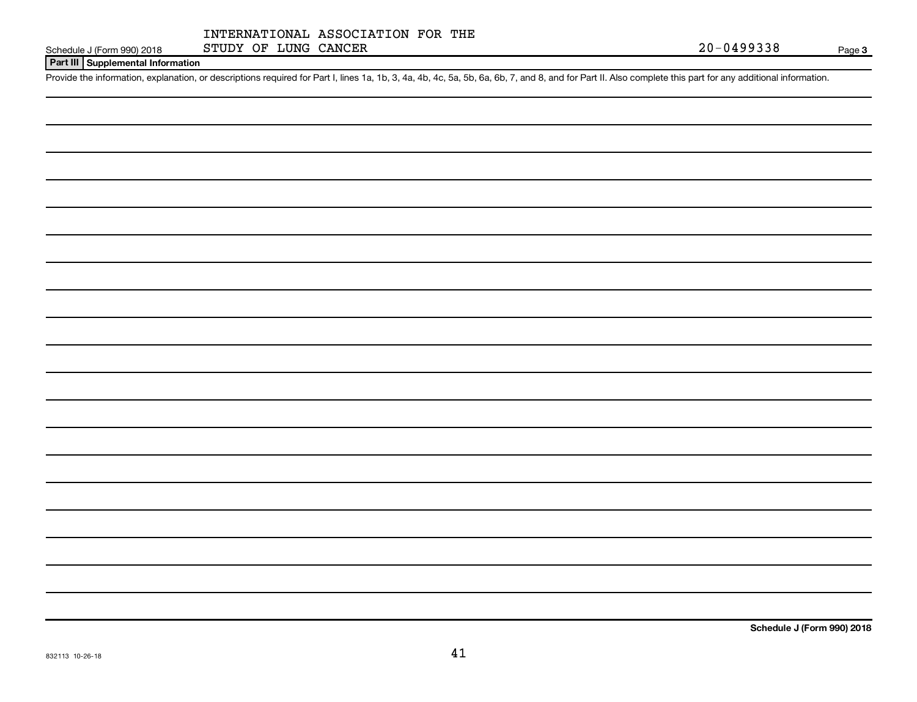### **Part III Supplemental Information**

Provide the information, explanation, or descriptions required for Part I, lines 1a, 1b, 3, 4a, 4b, 4c, 5a, 5b, 6a, 6b, 7, and 8, and for Part II. Also complete this part for any additional information.

**Schedule J (Form 990) 2018**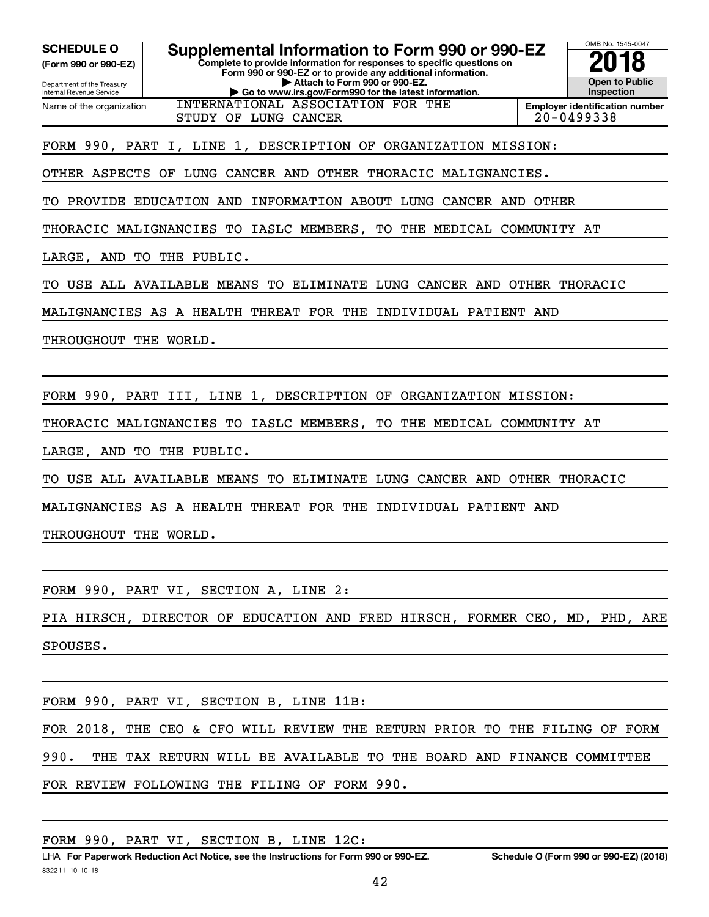**(Form 990 or 990-EZ)**

**Complete to provide information for responses to specific questions on Form 990 or 990-EZ or to provide any additional information. | Attach to Form 990 or 990-EZ.** SCHEDULE O **Supplemental Information to Form 990 or 990-EZ 2018**<br>(Form 990 or 990-EZ) Complete to provide information for responses to specific questions on

**| Go to www.irs.gov/Form990 for the latest information.**

Department of the Treasury Internal Revenue Service Name of the organization

INTERNATIONAL ASSOCIATION FOR THE STUDY OF LUNG CANCER 20-0499338

**Inspection Employer identification number**

OMB No. 1545-0047

**Open to Public**

FORM 990, PART I, LINE 1, DESCRIPTION OF ORGANIZATION MISSION:

OTHER ASPECTS OF LUNG CANCER AND OTHER THORACIC MALIGNANCIES.

TO PROVIDE EDUCATION AND INFORMATION ABOUT LUNG CANCER AND OTHER

THORACIC MALIGNANCIES TO IASLC MEMBERS, TO THE MEDICAL COMMUNITY AT

LARGE, AND TO THE PUBLIC.

TO USE ALL AVAILABLE MEANS TO ELIMINATE LUNG CANCER AND OTHER THORACIC

MALIGNANCIES AS A HEALTH THREAT FOR THE INDIVIDUAL PATIENT AND

THROUGHOUT THE WORLD.

FORM 990, PART III, LINE 1, DESCRIPTION OF ORGANIZATION MISSION:

THORACIC MALIGNANCIES TO IASLC MEMBERS, TO THE MEDICAL COMMUNITY AT

LARGE, AND TO THE PUBLIC.

TO USE ALL AVAILABLE MEANS TO ELIMINATE LUNG CANCER AND OTHER THORACIC

MALIGNANCIES AS A HEALTH THREAT FOR THE INDIVIDUAL PATIENT AND

THROUGHOUT THE WORLD.

FORM 990, PART VI, SECTION A, LINE 2:

PIA HIRSCH, DIRECTOR OF EDUCATION AND FRED HIRSCH, FORMER CEO, MD, PHD, ARE SPOUSES.

FORM 990, PART VI, SECTION B, LINE 11B: FOR 2018, THE CEO & CFO WILL REVIEW THE RETURN PRIOR TO THE FILING OF FORM 990. THE TAX RETURN WILL BE AVAILABLE TO THE BOARD AND FINANCE COMMITTEE FOR REVIEW FOLLOWING THE FILING OF FORM 990.

FORM 990, PART VI, SECTION B, LINE 12C: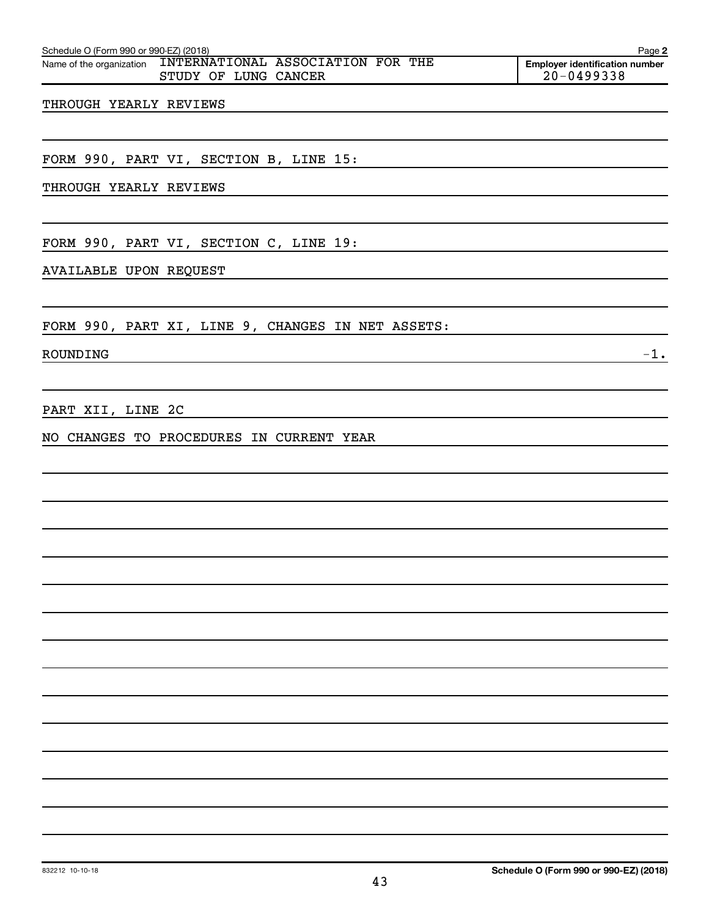| Schedule O (Form 990 or 990-EZ) (2018)<br>Name of the organization INTERNATIONAL ASSOCIATION FOR THE<br>STUDY OF LUNG CANCER                                                                                                                                   | Page 2<br><b>Employer identification number</b><br>$20 - 0499338$          |
|----------------------------------------------------------------------------------------------------------------------------------------------------------------------------------------------------------------------------------------------------------------|----------------------------------------------------------------------------|
| THROUGH YEARLY REVIEWS                                                                                                                                                                                                                                         |                                                                            |
| FORM 990, PART VI, SECTION B, LINE 15:                                                                                                                                                                                                                         |                                                                            |
| THROUGH YEARLY REVIEWS<br>and the control of the control of the control of the control of the control of the control of the control of the                                                                                                                     |                                                                            |
| FORM 990, PART VI, SECTION C, LINE 19:                                                                                                                                                                                                                         |                                                                            |
| <b>AVAILABLE UPON REQUEST</b><br>the control of the control of the control of the control of the control of the control of the control of the control of the control of the control of the control of the control of the control of the control of the control |                                                                            |
| FORM 990, PART XI, LINE 9, CHANGES IN NET ASSETS:                                                                                                                                                                                                              | the control of the control of the control of the control of the control of |
| ROUNDING                                                                                                                                                                                                                                                       | $-1.$                                                                      |
| PART XII, LINE 2C<br>the control of the control of the control of the control of the control of the control of the control of the control of the control of the control of the control of the control of the control of the control of the control             |                                                                            |
| NO CHANGES TO PROCEDURES IN CURRENT YEAR                                                                                                                                                                                                                       |                                                                            |
|                                                                                                                                                                                                                                                                |                                                                            |
|                                                                                                                                                                                                                                                                |                                                                            |
|                                                                                                                                                                                                                                                                |                                                                            |
|                                                                                                                                                                                                                                                                |                                                                            |
|                                                                                                                                                                                                                                                                |                                                                            |
|                                                                                                                                                                                                                                                                |                                                                            |
|                                                                                                                                                                                                                                                                |                                                                            |
|                                                                                                                                                                                                                                                                |                                                                            |